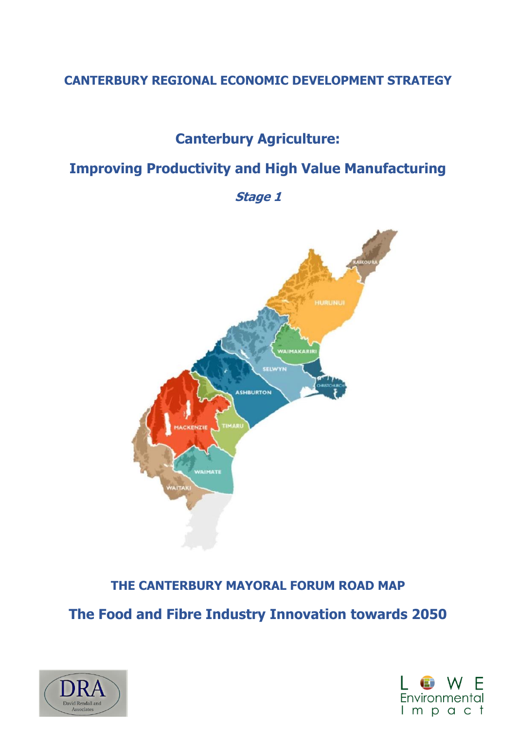# **CANTERBURY REGIONAL ECONOMIC DEVELOPMENT STRATEGY**

# **Canterbury Agriculture:**

# **Improving Productivity and High Value Manufacturing**

**Stage 1**



# **THE CANTERBURY MAYORAL FORUM ROAD MAP**

**The Food and Fibre Industry Innovation towards 2050**



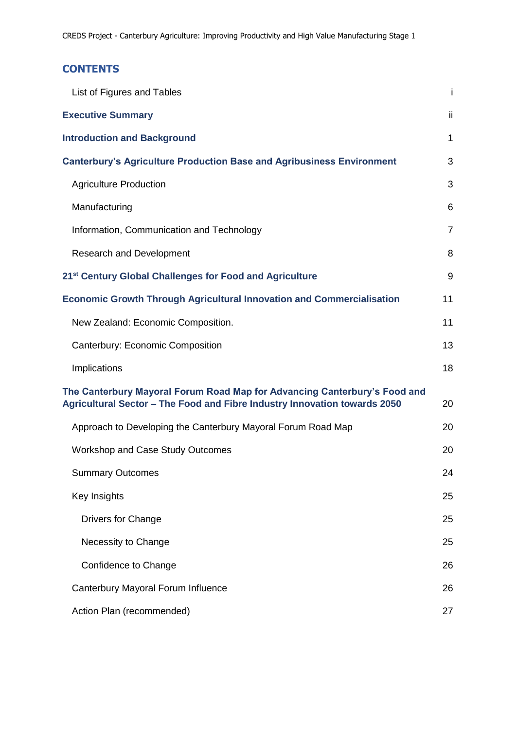# **CONTENTS**

| List of Figures and Tables                                                                                                                             | Ť              |
|--------------------------------------------------------------------------------------------------------------------------------------------------------|----------------|
| <b>Executive Summary</b>                                                                                                                               | ii             |
| <b>Introduction and Background</b>                                                                                                                     | $\mathbf{1}$   |
| <b>Canterbury's Agriculture Production Base and Agribusiness Environment</b>                                                                           | 3              |
| <b>Agriculture Production</b>                                                                                                                          | 3              |
| Manufacturing                                                                                                                                          | 6              |
| Information, Communication and Technology                                                                                                              | $\overline{7}$ |
| <b>Research and Development</b>                                                                                                                        | 8              |
| 21 <sup>st</sup> Century Global Challenges for Food and Agriculture                                                                                    | 9              |
| <b>Economic Growth Through Agricultural Innovation and Commercialisation</b>                                                                           | 11             |
| New Zealand: Economic Composition.                                                                                                                     | 11             |
| Canterbury: Economic Composition                                                                                                                       | 13             |
| Implications                                                                                                                                           | 18             |
| The Canterbury Mayoral Forum Road Map for Advancing Canterbury's Food and<br>Agricultural Sector - The Food and Fibre Industry Innovation towards 2050 | 20             |
| Approach to Developing the Canterbury Mayoral Forum Road Map                                                                                           | 20             |
| <b>Workshop and Case Study Outcomes</b>                                                                                                                | 20             |
| <b>Summary Outcomes</b>                                                                                                                                | 24             |
| Key Insights                                                                                                                                           | 25             |
| <b>Drivers for Change</b>                                                                                                                              | 25             |
| Necessity to Change                                                                                                                                    | 25             |
| Confidence to Change                                                                                                                                   | 26             |
| Canterbury Mayoral Forum Influence                                                                                                                     | 26             |
| Action Plan (recommended)                                                                                                                              | 27             |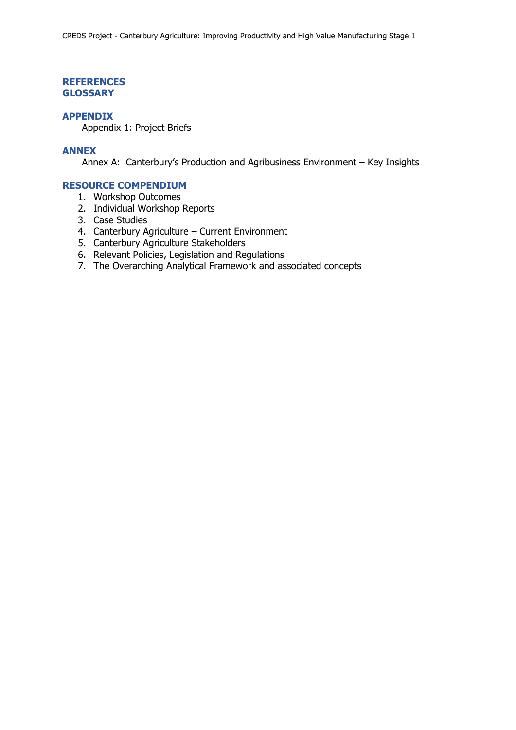### **REFERENCES GLOSSARY**

### **APPENDIX**

Appendix 1: Project Briefs

### **ANNEX**

Annex A: Canterbury's Production and Agribusiness Environment – Key Insights

### **RESOURCE COMPENDIUM**

- 1. Workshop Outcomes
- 2. Individual Workshop Reports
- 3. Case Studies
- 4. Canterbury Agriculture Current Environment
- 5. Canterbury Agriculture Stakeholders
- 6. Relevant Policies, Legislation and Regulations
- 7. The Overarching Analytical Framework and associated concepts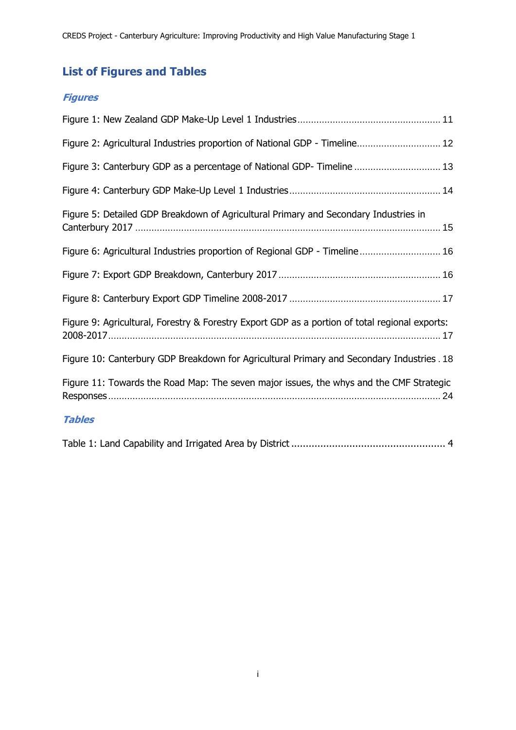# <span id="page-3-0"></span>**List of Figures and Tables**

# **Figures**

| Figure 2: Agricultural Industries proportion of National GDP - Timeline 12                     |
|------------------------------------------------------------------------------------------------|
| Figure 3: Canterbury GDP as a percentage of National GDP-Timeline  13                          |
|                                                                                                |
| Figure 5: Detailed GDP Breakdown of Agricultural Primary and Secondary Industries in           |
| Figure 6: Agricultural Industries proportion of Regional GDP - Timeline 16                     |
|                                                                                                |
|                                                                                                |
| Figure 9: Agricultural, Forestry & Forestry Export GDP as a portion of total regional exports: |
| Figure 10: Canterbury GDP Breakdown for Agricultural Primary and Secondary Industries . 18     |
| Figure 11: Towards the Road Map: The seven major issues, the whys and the CMF Strategic        |
| <b>Tables</b>                                                                                  |
|                                                                                                |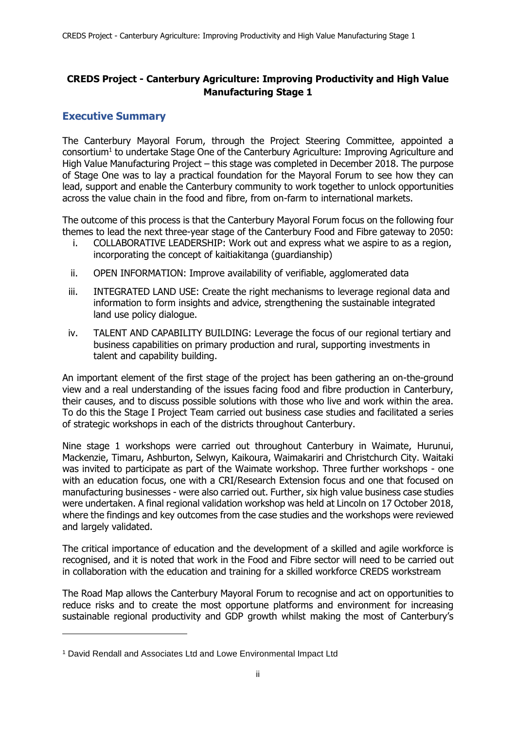# **CREDS Project - Canterbury Agriculture: Improving Productivity and High Value Manufacturing Stage 1**

# <span id="page-4-0"></span>**Executive Summary**

The Canterbury Mayoral Forum, through the Project Steering Committee, appointed a consortium<sup>1</sup> to undertake Stage One of the Canterbury Agriculture: Improving Agriculture and High Value Manufacturing Project – this stage was completed in December 2018. The purpose of Stage One was to lay a practical foundation for the Mayoral Forum to see how they can lead, support and enable the Canterbury community to work together to unlock opportunities across the value chain in the food and fibre, from on-farm to international markets.

The outcome of this process is that the Canterbury Mayoral Forum focus on the following four themes to lead the next three-year stage of the Canterbury Food and Fibre gateway to 2050:

- i. COLLABORATIVE LEADERSHIP: Work out and express what we aspire to as a region, incorporating the concept of kaitiakitanga (guardianship)
- ii. OPEN INFORMATION: Improve availability of verifiable, agglomerated data
- iii. INTEGRATED LAND USE: Create the right mechanisms to leverage regional data and information to form insights and advice, strengthening the sustainable integrated land use policy dialogue.
- iv. TALENT AND CAPABILITY BUILDING: Leverage the focus of our regional tertiary and business capabilities on primary production and rural, supporting investments in talent and capability building.

An important element of the first stage of the project has been gathering an on-the-ground view and a real understanding of the issues facing food and fibre production in Canterbury, their causes, and to discuss possible solutions with those who live and work within the area. To do this the Stage I Project Team carried out business case studies and facilitated a series of strategic workshops in each of the districts throughout Canterbury.

Nine stage 1 workshops were carried out throughout Canterbury in Waimate, Hurunui, Mackenzie, Timaru, Ashburton, Selwyn, Kaikoura, Waimakariri and Christchurch City. Waitaki was invited to participate as part of the Waimate workshop. Three further workshops - one with an education focus, one with a CRI/Research Extension focus and one that focused on manufacturing businesses - were also carried out. Further, six high value business case studies were undertaken. A final regional validation workshop was held at Lincoln on 17 October 2018, where the findings and key outcomes from the case studies and the workshops were reviewed and largely validated.

The critical importance of education and the development of a skilled and agile workforce is recognised, and it is noted that work in the Food and Fibre sector will need to be carried out in collaboration with the education and training for a skilled workforce CREDS workstream

The Road Map allows the Canterbury Mayoral Forum to recognise and act on opportunities to reduce risks and to create the most opportune platforms and environment for increasing sustainable regional productivity and GDP growth whilst making the most of Canterbury's

-

<sup>1</sup> David Rendall and Associates Ltd and Lowe Environmental Impact Ltd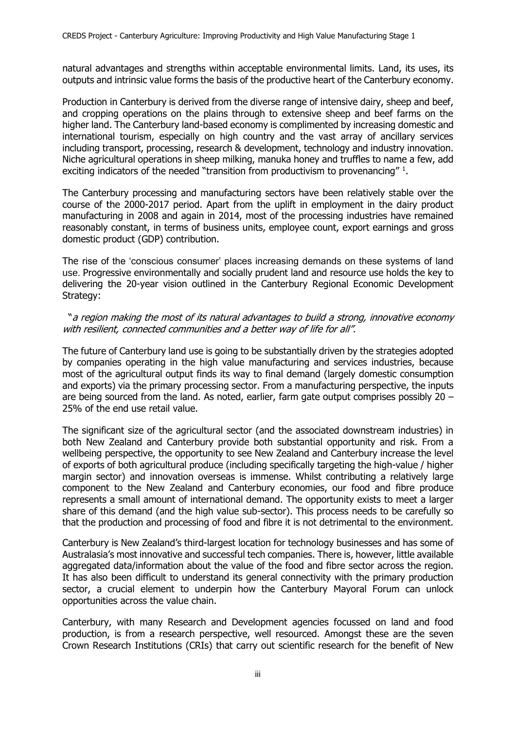natural advantages and strengths within acceptable environmental limits. Land, its uses, its outputs and intrinsic value forms the basis of the productive heart of the Canterbury economy.

Production in Canterbury is derived from the diverse range of intensive dairy, sheep and beef, and cropping operations on the plains through to extensive sheep and beef farms on the higher land. The Canterbury land-based economy is complimented by increasing domestic and international tourism, especially on high country and the vast array of ancillary services including transport, processing, research & development, technology and industry innovation. Niche agricultural operations in sheep milking, manuka honey and truffles to name a few, add exciting indicators of the needed "transition from productivism to provenancing"  $1$ .

The Canterbury processing and manufacturing sectors have been relatively stable over the course of the 2000-2017 period. Apart from the uplift in employment in the dairy product manufacturing in 2008 and again in 2014, most of the processing industries have remained reasonably constant, in terms of business units, employee count, export earnings and gross domestic product (GDP) contribution.

The rise of the 'conscious consumer' places increasing demands on these systems of land use. Progressive environmentally and socially prudent land and resource use holds the key to delivering the 20-year vision outlined in the Canterbury Regional Economic Development Strategy:

### "a region making the most of its natural advantages to build a strong, innovative economy with resilient, connected communities and a better way of life for all".

The future of Canterbury land use is going to be substantially driven by the strategies adopted by companies operating in the high value manufacturing and services industries, because most of the agricultural output finds its way to final demand (largely domestic consumption and exports) via the primary processing sector. From a manufacturing perspective, the inputs are being sourced from the land. As noted, earlier, farm gate output comprises possibly  $20 -$ 25% of the end use retail value.

The significant size of the agricultural sector (and the associated downstream industries) in both New Zealand and Canterbury provide both substantial opportunity and risk. From a wellbeing perspective, the opportunity to see New Zealand and Canterbury increase the level of exports of both agricultural produce (including specifically targeting the high-value / higher margin sector) and innovation overseas is immense. Whilst contributing a relatively large component to the New Zealand and Canterbury economies, our food and fibre produce represents a small amount of international demand. The opportunity exists to meet a larger share of this demand (and the high value sub-sector). This process needs to be carefully so that the production and processing of food and fibre it is not detrimental to the environment.

Canterbury is New Zealand's third-largest location for technology businesses and has some of Australasia's most innovative and successful tech companies. There is, however, little available aggregated data/information about the value of the food and fibre sector across the region. It has also been difficult to understand its general connectivity with the primary production sector, a crucial element to underpin how the Canterbury Mayoral Forum can unlock opportunities across the value chain.

Canterbury, with many Research and Development agencies focussed on land and food production, is from a research perspective, well resourced. Amongst these are the seven Crown Research Institutions (CRIs) that carry out scientific research for the benefit of New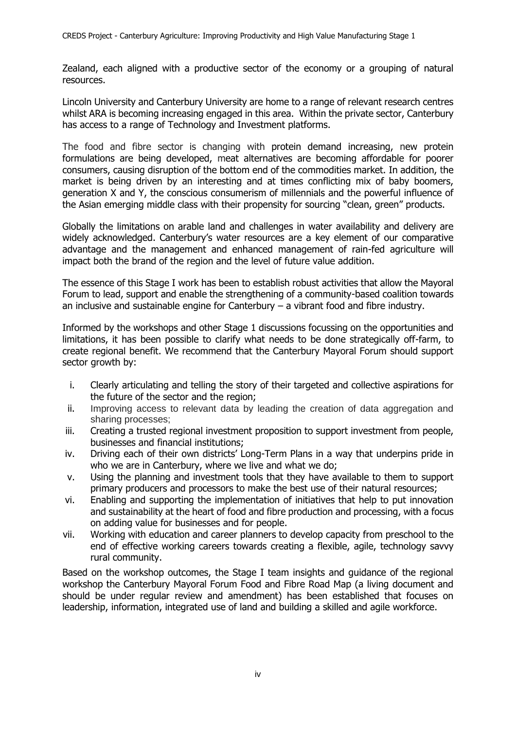Zealand, each aligned with a productive sector of the economy or a grouping of natural resources.

Lincoln University and Canterbury University are home to a range of relevant research centres whilst ARA is becoming increasing engaged in this area. Within the private sector, Canterbury has access to a range of Technology and Investment platforms.

The food and fibre sector is changing with protein demand increasing, new protein formulations are being developed, meat alternatives are becoming affordable for poorer consumers, causing disruption of the bottom end of the commodities market. In addition, the market is being driven by an interesting and at times conflicting mix of baby boomers, generation X and Y, the conscious consumerism of millennials and the powerful influence of the Asian emerging middle class with their propensity for sourcing "clean, green" products.

Globally the limitations on arable land and challenges in water availability and delivery are widely acknowledged. Canterbury's water resources are a key element of our comparative advantage and the management and enhanced management of rain-fed agriculture will impact both the brand of the region and the level of future value addition.

The essence of this Stage I work has been to establish robust activities that allow the Mayoral Forum to lead, support and enable the strengthening of a community-based coalition towards an inclusive and sustainable engine for Canterbury  $-$  a vibrant food and fibre industry.

Informed by the workshops and other Stage 1 discussions focussing on the opportunities and limitations, it has been possible to clarify what needs to be done strategically off-farm, to create regional benefit. We recommend that the Canterbury Mayoral Forum should support sector growth by:

- i. Clearly articulating and telling the story of their targeted and collective aspirations for the future of the sector and the region;
- ii. Improving access to relevant data by leading the creation of data aggregation and sharing processes;
- iii. Creating a trusted regional investment proposition to support investment from people, businesses and financial institutions;
- iv. Driving each of their own districts' Long-Term Plans in a way that underpins pride in who we are in Canterbury, where we live and what we do;
- v. Using the planning and investment tools that they have available to them to support primary producers and processors to make the best use of their natural resources;
- vi. Enabling and supporting the implementation of initiatives that help to put innovation and sustainability at the heart of food and fibre production and processing, with a focus on adding value for businesses and for people.
- vii. Working with education and career planners to develop capacity from preschool to the end of effective working careers towards creating a flexible, agile, technology savvy rural community.

Based on the workshop outcomes, the Stage I team insights and guidance of the regional workshop the Canterbury Mayoral Forum Food and Fibre Road Map (a living document and should be under regular review and amendment) has been established that focuses on leadership, information, integrated use of land and building a skilled and agile workforce.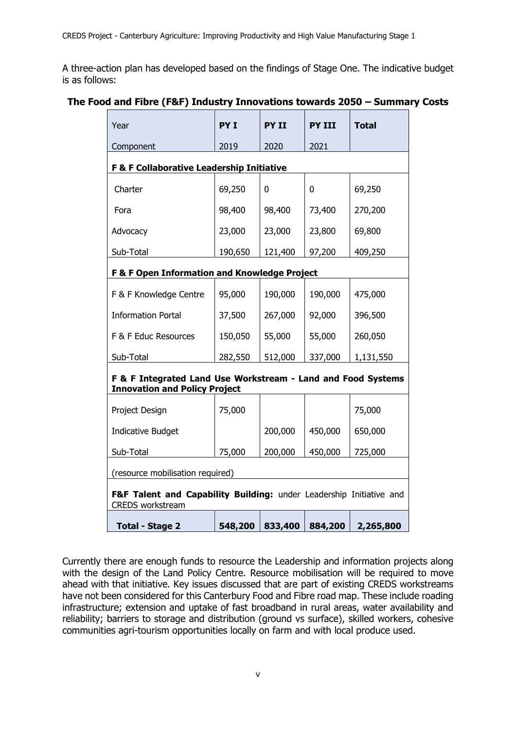A three-action plan has developed based on the findings of Stage One. The indicative budget is as follows:

## **The Food and Fibre (F&F) Industry Innovations towards 2050 – Summary Costs**

| Year                                                                                                 | PY I    | <b>PY II</b> | <b>PY III</b> | <b>Total</b> |  |  |  |  |  |  |
|------------------------------------------------------------------------------------------------------|---------|--------------|---------------|--------------|--|--|--|--|--|--|
| Component                                                                                            | 2019    | 2020         | 2021          |              |  |  |  |  |  |  |
| F & F Collaborative Leadership Initiative                                                            |         |              |               |              |  |  |  |  |  |  |
| Charter                                                                                              | 69,250  | 0            | 0             | 69,250       |  |  |  |  |  |  |
| Fora                                                                                                 | 98,400  | 98,400       | 73,400        | 270,200      |  |  |  |  |  |  |
| Advocacy                                                                                             | 23,000  | 23,000       | 23,800        | 69,800       |  |  |  |  |  |  |
| Sub-Total                                                                                            | 190,650 | 121,400      | 97,200        | 409,250      |  |  |  |  |  |  |
| F & F Open Information and Knowledge Project                                                         |         |              |               |              |  |  |  |  |  |  |
| F & F Knowledge Centre                                                                               | 95,000  | 190,000      | 190,000       | 475,000      |  |  |  |  |  |  |
| <b>Information Portal</b>                                                                            | 37,500  | 267,000      | 92,000        | 396,500      |  |  |  |  |  |  |
| F & F Educ Resources                                                                                 | 150,050 | 55,000       | 55,000        | 260,050      |  |  |  |  |  |  |
| Sub-Total                                                                                            | 282,550 | 512,000      | 337,000       | 1,131,550    |  |  |  |  |  |  |
| F & F Integrated Land Use Workstream - Land and Food Systems<br><b>Innovation and Policy Project</b> |         |              |               |              |  |  |  |  |  |  |
| Project Design                                                                                       | 75,000  |              |               | 75,000       |  |  |  |  |  |  |
| <b>Indicative Budget</b>                                                                             |         | 200,000      | 450,000       | 650,000      |  |  |  |  |  |  |
| Sub-Total                                                                                            | 75,000  | 200,000      | 450,000       | 725,000      |  |  |  |  |  |  |
| (resource mobilisation required)                                                                     |         |              |               |              |  |  |  |  |  |  |
| F&F Talent and Capability Building: under Leadership Initiative and<br><b>CREDS</b> workstream       |         |              |               |              |  |  |  |  |  |  |
| <b>Total - Stage 2</b>                                                                               | 548,200 | 833,400      | 884,200       | 2,265,800    |  |  |  |  |  |  |

Currently there are enough funds to resource the Leadership and information projects along with the design of the Land Policy Centre. Resource mobilisation will be required to move ahead with that initiative. Key issues discussed that are part of existing CREDS workstreams have not been considered for this Canterbury Food and Fibre road map. These include roading infrastructure; extension and uptake of fast broadband in rural areas, water availability and reliability; barriers to storage and distribution (ground vs surface), skilled workers, cohesive communities agri-tourism opportunities locally on farm and with local produce used.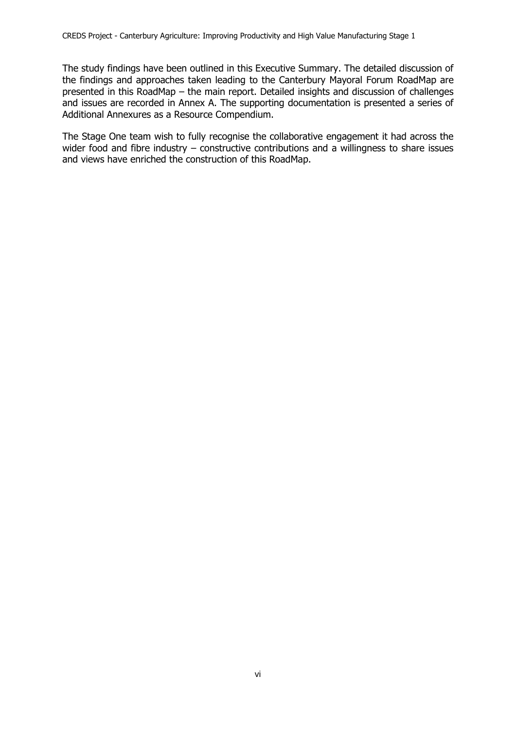The study findings have been outlined in this Executive Summary. The detailed discussion of the findings and approaches taken leading to the Canterbury Mayoral Forum RoadMap are presented in this RoadMap – the main report. Detailed insights and discussion of challenges and issues are recorded in Annex A. The supporting documentation is presented a series of Additional Annexures as a Resource Compendium.

The Stage One team wish to fully recognise the collaborative engagement it had across the wider food and fibre industry – constructive contributions and a willingness to share issues and views have enriched the construction of this RoadMap.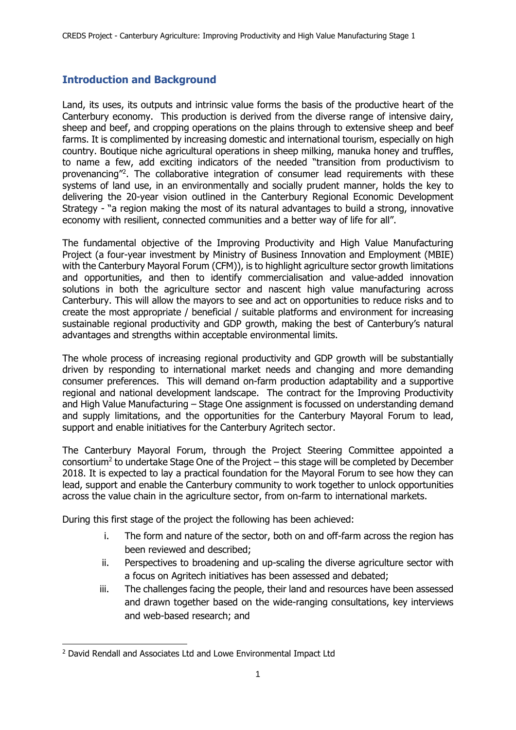# <span id="page-9-0"></span>**Introduction and Background**

Land, its uses, its outputs and intrinsic value forms the basis of the productive heart of the Canterbury economy. This production is derived from the diverse range of intensive dairy, sheep and beef, and cropping operations on the plains through to extensive sheep and beef farms. It is complimented by increasing domestic and international tourism, especially on high country. Boutique niche agricultural operations in sheep milking, manuka honey and truffles, to name a few, add exciting indicators of the needed "transition from productivism to provenancing<sup>"2</sup>. The collaborative integration of consumer lead requirements with these systems of land use, in an environmentally and socially prudent manner, holds the key to delivering the 20-year vision outlined in the Canterbury Regional Economic Development Strategy - "a region making the most of its natural advantages to build a strong, innovative economy with resilient, connected communities and a better way of life for all".

The fundamental objective of the Improving Productivity and High Value Manufacturing Project (a four-year investment by Ministry of Business Innovation and Employment (MBIE) with the Canterbury Mayoral Forum (CFM)), is to highlight agriculture sector growth limitations and opportunities, and then to identify commercialisation and value-added innovation solutions in both the agriculture sector and nascent high value manufacturing across Canterbury. This will allow the mayors to see and act on opportunities to reduce risks and to create the most appropriate / beneficial / suitable platforms and environment for increasing sustainable regional productivity and GDP growth, making the best of Canterbury's natural advantages and strengths within acceptable environmental limits.

The whole process of increasing regional productivity and GDP growth will be substantially driven by responding to international market needs and changing and more demanding consumer preferences. This will demand on-farm production adaptability and a supportive regional and national development landscape. The contract for the Improving Productivity and High Value Manufacturing – Stage One assignment is focussed on understanding demand and supply limitations, and the opportunities for the Canterbury Mayoral Forum to lead, support and enable initiatives for the Canterbury Agritech sector.

The Canterbury Mayoral Forum, through the Project Steering Committee appointed a consortium<sup>2</sup> to undertake Stage One of the Project  $-$  this stage will be completed by December 2018. It is expected to lay a practical foundation for the Mayoral Forum to see how they can lead, support and enable the Canterbury community to work together to unlock opportunities across the value chain in the agriculture sector, from on-farm to international markets.

During this first stage of the project the following has been achieved:

- i. The form and nature of the sector, both on and off-farm across the region has been reviewed and described;
- ii. Perspectives to broadening and up-scaling the diverse agriculture sector with a focus on Agritech initiatives has been assessed and debated;
- iii. The challenges facing the people, their land and resources have been assessed and drawn together based on the wide-ranging consultations, key interviews and web-based research; and

-

<sup>2</sup> David Rendall and Associates Ltd and Lowe Environmental Impact Ltd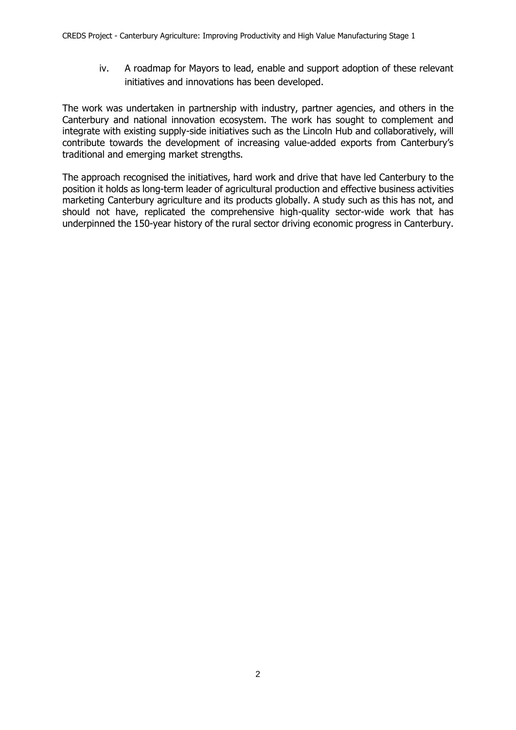iv. A roadmap for Mayors to lead, enable and support adoption of these relevant initiatives and innovations has been developed.

The work was undertaken in partnership with industry, partner agencies, and others in the Canterbury and national innovation ecosystem. The work has sought to complement and integrate with existing supply-side initiatives such as the Lincoln Hub and collaboratively, will contribute towards the development of increasing value-added exports from Canterbury's traditional and emerging market strengths.

The approach recognised the initiatives, hard work and drive that have led Canterbury to the position it holds as long-term leader of agricultural production and effective business activities marketing Canterbury agriculture and its products globally. A study such as this has not, and should not have, replicated the comprehensive high-quality sector-wide work that has underpinned the 150-year history of the rural sector driving economic progress in Canterbury.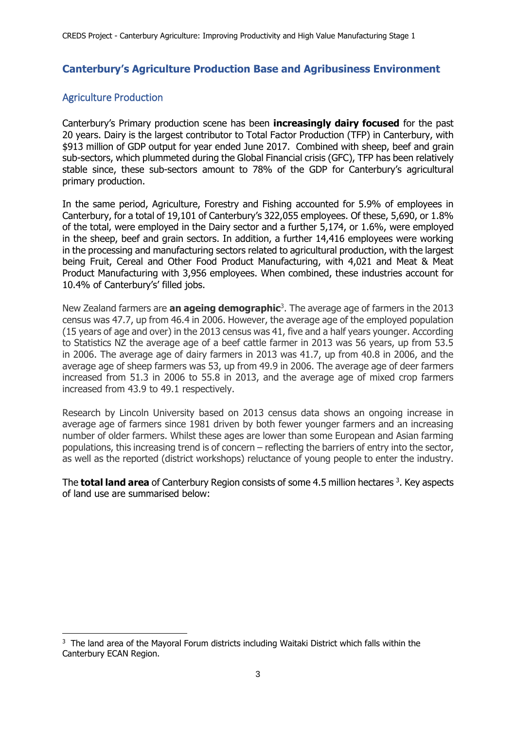# <span id="page-11-0"></span>**Canterbury's Agriculture Production Base and Agribusiness Environment**

# <span id="page-11-1"></span>Agriculture Production

-

Canterbury's Primary production scene has been **increasingly dairy focused** for the past 20 years. Dairy is the largest contributor to Total Factor Production (TFP) in Canterbury, with \$913 million of GDP output for year ended June 2017. Combined with sheep, beef and grain sub-sectors, which plummeted during the Global Financial crisis (GFC), TFP has been relatively stable since, these sub-sectors amount to 78% of the GDP for Canterbury's agricultural primary production.

In the same period, Agriculture, Forestry and Fishing accounted for 5.9% of employees in Canterbury, for a total of 19,101 of Canterbury's 322,055 employees. Of these, 5,690, or 1.8% of the total, were employed in the Dairy sector and a further 5,174, or 1.6%, were employed in the sheep, beef and grain sectors. In addition, a further 14,416 employees were working in the processing and manufacturing sectors related to agricultural production, with the largest being Fruit, Cereal and Other Food Product Manufacturing, with 4,021 and Meat & Meat Product Manufacturing with 3,956 employees. When combined, these industries account for 10.4% of Canterbury's' filled jobs.

New Zealand farmers are **an ageing demographic**<sup>3</sup> . The average age of farmers in the 2013 census was 47.7, up from 46.4 in 2006. However, the average age of the employed population (15 years of age and over) in the 2013 census was 41, five and a half years younger. According to Statistics NZ the average age of a beef cattle farmer in 2013 was 56 years, up from 53.5 in 2006. The average age of dairy farmers in 2013 was 41.7, up from 40.8 in 2006, and the average age of sheep farmers was 53, up from 49.9 in 2006. The average age of deer farmers increased from 51.3 in 2006 to 55.8 in 2013, and the average age of mixed crop farmers increased from 43.9 to 49.1 respectively.

Research by Lincoln University based on 2013 census data shows an ongoing increase in average age of farmers since 1981 driven by both fewer younger farmers and an increasing number of older farmers. Whilst these ages are lower than some European and Asian farming populations, this increasing trend is of concern – reflecting the barriers of entry into the sector, as well as the reported (district workshops) reluctance of young people to enter the industry.

The **total land area** of Canterbury Region consists of some 4.5 million hectares<sup>3</sup>. Key aspects of land use are summarised below:

<sup>&</sup>lt;sup>3</sup> The land area of the Mayoral Forum districts including Waitaki District which falls within the Canterbury ECAN Region.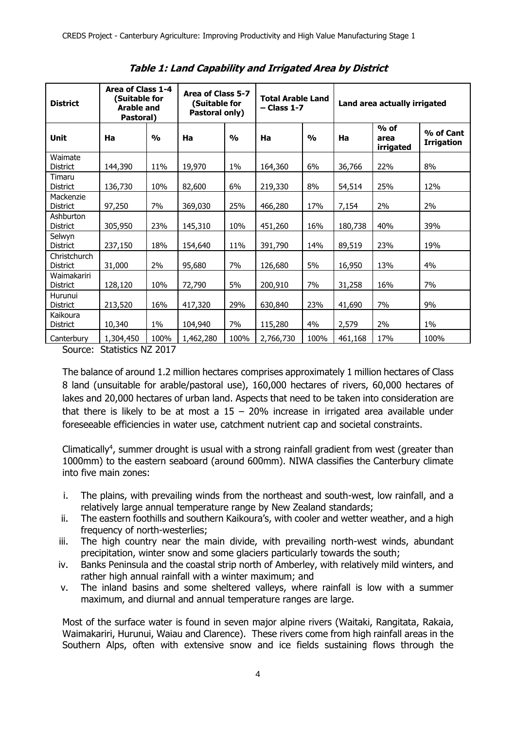<span id="page-12-0"></span>

| <b>District</b>              | Area of Class 1-4<br>(Suitable for<br><b>Arable and</b><br>Pastoral) |               | Area of Class 5-7<br>(Suitable for<br>Pastoral only) |               | <b>Total Arable Land</b><br>- Class 1-7 |               | Land area actually irrigated |                             |                                |
|------------------------------|----------------------------------------------------------------------|---------------|------------------------------------------------------|---------------|-----------------------------------------|---------------|------------------------------|-----------------------------|--------------------------------|
| <b>Unit</b>                  | Ha                                                                   | $\frac{1}{2}$ | Ha                                                   | $\frac{1}{2}$ | Ha                                      | $\frac{1}{2}$ | Ha                           | $%$ of<br>area<br>irrigated | % of Cant<br><b>Irrigation</b> |
| Waimate<br><b>District</b>   | 144,390                                                              | 11%           | 19,970                                               | 1%            | 164,360                                 | 6%            | 36,766                       | 22%                         | 8%                             |
| Timaru<br><b>District</b>    | 136,730                                                              | 10%           | 82,600                                               | 6%            | 219,330                                 | 8%            | 54,514                       | 25%                         | 12%                            |
| Mackenzie<br><b>District</b> | 97,250                                                               | 7%            | 369,030                                              | 25%           | 466,280                                 | 17%           | 7,154                        | 2%                          | 2%                             |
| Ashburton<br><b>District</b> | 305,950                                                              | 23%           | 145,310                                              | 10%           | 451,260                                 | 16%           | 180,738                      | 40%                         | 39%                            |
| Selwyn<br>District           | 237,150                                                              | 18%           | 154,640                                              | 11%           | 391,790                                 | 14%           | 89,519                       | 23%                         | 19%                            |
| Christchurch<br>District     | 31,000                                                               | 2%            | 95,680                                               | 7%            | 126,680                                 | 5%            | 16,950                       | 13%                         | 4%                             |
| Waimakariri<br>District      | 128,120                                                              | 10%           | 72,790                                               | 5%            | 200,910                                 | 7%            | 31,258                       | 16%                         | 7%                             |
| Hurunui<br><b>District</b>   | 213,520                                                              | 16%           | 417,320                                              | 29%           | 630,840                                 | 23%           | 41,690                       | 7%                          | 9%                             |
| Kaikoura<br><b>District</b>  | 10,340                                                               | 1%            | 104,940                                              | 7%            | 115,280                                 | 4%            | 2,579                        | 2%                          | $1\%$                          |
| Canterbury                   | 1,304,450                                                            | 100%          | 1,462,280                                            | 100%          | 2,766,730                               | 100%          | 461,168                      | 17%                         | 100%                           |

**Table 1: Land Capability and Irrigated Area by District**

Source: Statistics NZ 2017

The balance of around 1.2 million hectares comprises approximately 1 million hectares of Class 8 land (unsuitable for arable/pastoral use), 160,000 hectares of rivers, 60,000 hectares of lakes and 20,000 hectares of urban land. Aspects that need to be taken into consideration are that there is likely to be at most a  $15 - 20\%$  increase in irrigated area available under foreseeable efficiencies in water use, catchment nutrient cap and societal constraints.

Climatically<sup>4</sup>, summer drought is usual with a strong rainfall gradient from west (greater than 1000mm) to the eastern seaboard (around 600mm). NIWA classifies the Canterbury climate into five main zones:

- i. The plains, with prevailing winds from the northeast and south-west, low rainfall, and a relatively large annual temperature range by New Zealand standards;
- ii. The eastern foothills and southern Kaikoura's, with cooler and wetter weather, and a high frequency of north-westerlies;
- iii. The high country near the main divide, with prevailing north-west winds, abundant precipitation, winter snow and some glaciers particularly towards the south;
- iv. Banks Peninsula and the coastal strip north of Amberley, with relatively mild winters, and rather high annual rainfall with a winter maximum; and
- v. The inland basins and some sheltered valleys, where rainfall is low with a summer maximum, and diurnal and annual temperature ranges are large.

Most of the surface water is found in seven major alpine rivers (Waitaki, Rangitata, Rakaia, Waimakariri, Hurunui, Waiau and Clarence). These rivers come from high rainfall areas in the Southern Alps, often with extensive snow and ice fields sustaining flows through the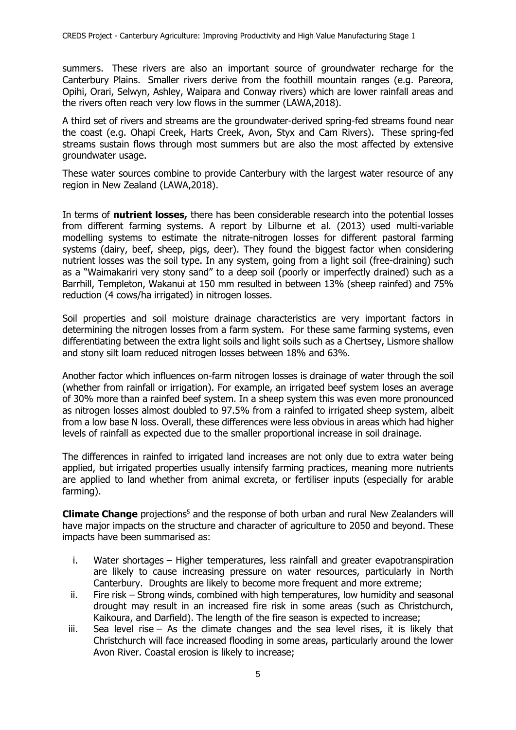summers. These rivers are also an important source of groundwater recharge for the Canterbury Plains. Smaller rivers derive from the foothill mountain ranges (e.g. Pareora, Opihi, Orari, Selwyn, Ashley, Waipara and Conway rivers) which are lower rainfall areas and the rivers often reach very low flows in the summer (LAWA,2018).

A third set of rivers and streams are the groundwater-derived spring-fed streams found near the coast (e.g. Ohapi Creek, Harts Creek, Avon, Styx and Cam Rivers). These spring-fed streams sustain flows through most summers but are also the most affected by extensive groundwater usage.

These water sources combine to provide Canterbury with the largest water resource of any region in New Zealand (LAWA,2018).

In terms of **nutrient losses,** there has been considerable research into the potential losses from different farming systems. A report by Lilburne et al. (2013) used multi-variable modelling systems to estimate the nitrate-nitrogen losses for different pastoral farming systems (dairy, beef, sheep, pigs, deer). They found the biggest factor when considering nutrient losses was the soil type. In any system, going from a light soil (free-draining) such as a "Waimakariri very stony sand" to a deep soil (poorly or imperfectly drained) such as a Barrhill, Templeton, Wakanui at 150 mm resulted in between 13% (sheep rainfed) and 75% reduction (4 cows/ha irrigated) in nitrogen losses.

Soil properties and soil moisture drainage characteristics are very important factors in determining the nitrogen losses from a farm system. For these same farming systems, even differentiating between the extra light soils and light soils such as a Chertsey, Lismore shallow and stony silt loam reduced nitrogen losses between 18% and 63%.

Another factor which influences on-farm nitrogen losses is drainage of water through the soil (whether from rainfall or irrigation). For example, an irrigated beef system loses an average of 30% more than a rainfed beef system. In a sheep system this was even more pronounced as nitrogen losses almost doubled to 97.5% from a rainfed to irrigated sheep system, albeit from a low base N loss. Overall, these differences were less obvious in areas which had higher levels of rainfall as expected due to the smaller proportional increase in soil drainage.

The differences in rainfed to irrigated land increases are not only due to extra water being applied, but irrigated properties usually intensify farming practices, meaning more nutrients are applied to land whether from animal excreta, or fertiliser inputs (especially for arable farming).

**Climate Change** projections<sup>5</sup> and the response of both urban and rural New Zealanders will have major impacts on the structure and character of agriculture to 2050 and beyond. These impacts have been summarised as:

- i. Water shortages Higher temperatures, less rainfall and greater evapotranspiration are likely to cause increasing pressure on water resources, particularly in North Canterbury. Droughts are likely to become more frequent and more extreme;
- ii. Fire risk Strong winds, combined with high temperatures, low humidity and seasonal drought may result in an increased fire risk in some areas (such as Christchurch, Kaikoura, and Darfield). The length of the fire season is expected to increase;
- iii. Sea level rise As the climate changes and the sea level rises, it is likely that Christchurch will face increased flooding in some areas, particularly around the lower Avon River. Coastal erosion is likely to increase;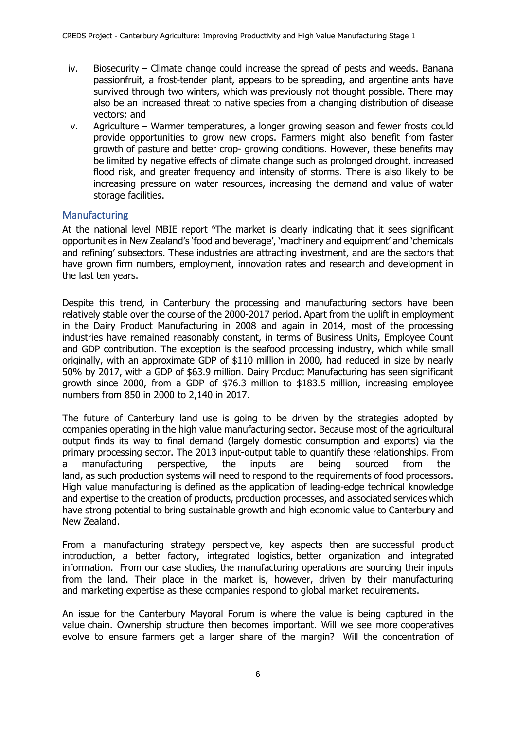- iv. Biosecurity Climate change could increase the spread of pests and weeds. Banana passionfruit, a frost-tender plant, appears to be spreading, and argentine ants have survived through two winters, which was previously not thought possible. There may also be an increased threat to native species from a changing distribution of disease vectors; and
- v. Agriculture Warmer temperatures, a longer growing season and fewer frosts could provide opportunities to grow new crops. Farmers might also benefit from faster growth of pasture and better crop- growing conditions. However, these benefits may be limited by negative effects of climate change such as prolonged drought, increased flood risk, and greater frequency and intensity of storms. There is also likely to be increasing pressure on water resources, increasing the demand and value of water storage facilities.

### <span id="page-14-0"></span>**Manufacturing**

At the national level MBIE report <sup>6</sup>The market is clearly indicating that it sees significant opportunities in New Zealand's 'food and beverage', 'machinery and equipment' and 'chemicals and refining' subsectors. These industries are attracting investment, and are the sectors that have grown firm numbers, employment, innovation rates and research and development in the last ten years.

Despite this trend, in Canterbury the processing and manufacturing sectors have been relatively stable over the course of the 2000-2017 period. Apart from the uplift in employment in the Dairy Product Manufacturing in 2008 and again in 2014, most of the processing industries have remained reasonably constant, in terms of Business Units, Employee Count and GDP contribution. The exception is the seafood processing industry, which while small originally, with an approximate GDP of \$110 million in 2000, had reduced in size by nearly 50% by 2017, with a GDP of \$63.9 million. Dairy Product Manufacturing has seen significant growth since 2000, from a GDP of \$76.3 million to \$183.5 million, increasing employee numbers from 850 in 2000 to 2,140 in 2017.

The future of Canterbury land use is going to be driven by the strategies adopted by companies operating in the high value manufacturing sector. Because most of the agricultural output finds its way to final demand (largely domestic consumption and exports) via the primary processing sector. The 2013 input-output table to quantify these relationships. From a manufacturing perspective, the inputs are being sourced from the land, as such production systems will need to respond to the requirements of food processors. High value manufacturing is defined as the application of leading-edge technical knowledge and expertise to the creation of products, production processes, and associated services which have strong potential to bring sustainable growth and high economic value to Canterbury and New Zealand.

From a manufacturing strategy perspective, key aspects then are successful product introduction, a better factory, integrated logistics, better organization and integrated information. From our case studies, the manufacturing operations are sourcing their inputs from the land. Their place in the market is, however, driven by their manufacturing and marketing expertise as these companies respond to global market requirements.

An issue for the Canterbury Mayoral Forum is where the value is being captured in the value chain. Ownership structure then becomes important. Will we see more cooperatives evolve to ensure farmers get a larger share of the margin? Will the concentration of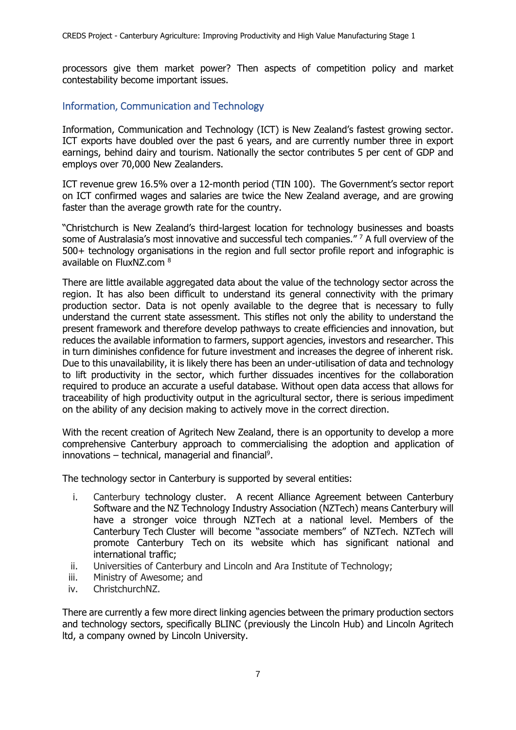processors give them market power? Then aspects of competition policy and market contestability become important issues.

## <span id="page-15-0"></span>Information, Communication and Technology

Information, Communication and Technology (ICT) is New Zealand's fastest growing sector. ICT exports have doubled over the past 6 years, and are currently number three in export earnings, behind dairy and tourism. Nationally the sector contributes 5 per cent of GDP and employs over 70,000 New Zealanders.

ICT revenue grew 16.5% over a 12-month period (TIN 100). The Government's sector report on ICT confirmed wages and salaries are twice the New Zealand average, and are growing faster than the average growth rate for the country.

"Christchurch is New Zealand's third-largest location for technology businesses and boasts some of Australasia's most innovative and successful tech companies." <sup>7</sup> A full overview of the 500+ technology organisations in the region and full sector profile report and infographic is available on FluxNZ.com <sup>8</sup>

There are little available aggregated data about the value of the technology sector across the region. It has also been difficult to understand its general connectivity with the primary production sector. Data is not openly available to the degree that is necessary to fully understand the current state assessment. This stifles not only the ability to understand the present framework and therefore develop pathways to create efficiencies and innovation, but reduces the available information to farmers, support agencies, investors and researcher. This in turn diminishes confidence for future investment and increases the degree of inherent risk. Due to this unavailability, it is likely there has been an under-utilisation of data and technology to lift productivity in the sector, which further dissuades incentives for the collaboration required to produce an accurate a useful database. Without open data access that allows for traceability of high productivity output in the agricultural sector, there is serious impediment on the ability of any decision making to actively move in the correct direction.

With the recent creation of Agritech New Zealand, there is an opportunity to develop a more comprehensive Canterbury approach to commercialising the adoption and application of innovations  $-$  technical, managerial and financial<sup>9</sup>.

The technology sector in Canterbury is supported by several entities:

- i. Canterbury technology cluster. A recent Alliance Agreement between Canterbury Software and the NZ Technology Industry Association (NZTech) means Canterbury will have a stronger voice through NZTech at a national level. Members of the Canterbury Tech Cluster will become "associate members" of NZTech. NZTech will promote Canterbury Tech on its website which has significant national and international traffic;
- ii. Universities of Canterbury and Lincoln and Ara Institute of Technology;
- iii. Ministry of Awesome; and
- iv. ChristchurchNZ.

There are currently a few more direct linking agencies between the primary production sectors and technology sectors, specifically BLINC (previously the Lincoln Hub) and Lincoln Agritech ltd, a company owned by Lincoln University.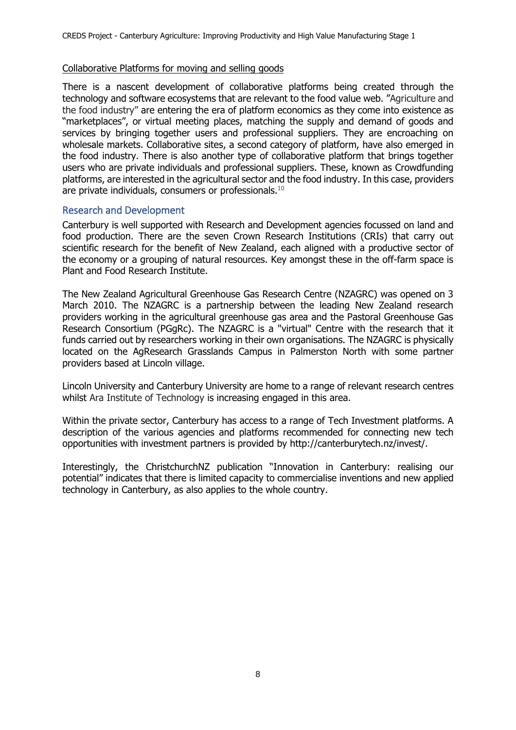### Collaborative Platforms for moving and selling goods

There is a nascent development of collaborative platforms being created through the technology and software ecosystems that are relevant to the food value web. "Agriculture and the food industry" are entering the era of platform economics as they come into existence as "marketplaces", or virtual meeting places, matching the supply and demand of goods and services by bringing together users and professional suppliers. They are encroaching on wholesale markets. Collaborative sites, a second category of platform, have also emerged in the food industry. There is also another type of collaborative platform that brings together users who are private individuals and professional suppliers. These, known as Crowdfunding platforms, are interested in the agricultural sector and the food industry. In this case, providers are private individuals, consumers or professionals.<sup>10</sup>

### <span id="page-16-0"></span>Research and Development

Canterbury is well supported with Research and Development agencies focussed on land and food production. There are the seven Crown Research Institutions (CRIs) that carry out scientific research for the benefit of New Zealand, each aligned with a productive sector of the economy or a grouping of natural resources. Key amongst these in the off-farm space is Plant and Food Research Institute.

The New Zealand Agricultural Greenhouse Gas Research Centre (NZAGRC) was opened on 3 March 2010. The NZAGRC is a partnership between the leading New Zealand research providers working in the agricultural greenhouse gas area and the Pastoral Greenhouse Gas Research Consortium (PGgRc). The NZAGRC is a "virtual" Centre with the research that it funds carried out by researchers working in their own organisations. The NZAGRC is physically located on the AgResearch Grasslands Campus in Palmerston North with some partner providers based at Lincoln village.

Lincoln University and Canterbury University are home to a range of relevant research centres whilst Ara Institute of Technology is increasing engaged in this area.

Within the private sector, Canterbury has access to a range of Tech Investment platforms. A description of the various agencies and platforms recommended for connecting new tech opportunities with investment partners is provided by [http://canterburytech.nz/invest/.](http://canterburytech.nz/invest/)

Interestingly, the ChristchurchNZ publication "Innovation in Canterbury: realising our potential" indicates that there is limited capacity to commercialise inventions and new applied technology in Canterbury, as also applies to the whole country.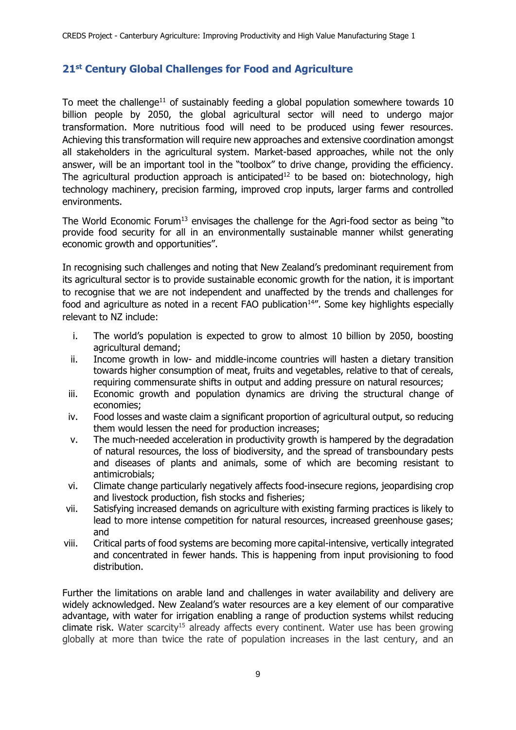# <span id="page-17-0"></span>**21st Century Global Challenges for Food and Agriculture**

To meet the challenge<sup>11</sup> of sustainably feeding a global population somewhere towards 10 billion people by 2050, the global agricultural sector will need to undergo major transformation. More nutritious food will need to be produced using fewer resources. Achieving this transformation will require new approaches and extensive coordination amongst all stakeholders in the agricultural system. Market-based approaches, while not the only answer, will be an important tool in the "toolbox" to drive change, providing the efficiency. The agricultural production approach is anticipated<sup>12</sup> to be based on: biotechnology, high technology machinery, precision farming, improved crop inputs, larger farms and controlled environments.

The World Economic Forum<sup>13</sup> envisages the challenge for the Agri-food sector as being "to provide food security for all in an environmentally sustainable manner whilst generating economic growth and opportunities".

In recognising such challenges and noting that New Zealand's predominant requirement from its agricultural sector is to provide sustainable economic growth for the nation, it is important to recognise that we are not independent and unaffected by the trends and challenges for food and agriculture as noted in a recent FAO publication $14$ ". Some key highlights especially relevant to NZ include:

- i. The world's population is expected to grow to almost 10 billion by 2050, boosting agricultural demand;
- ii. Income growth in low- and middle-income countries will hasten a dietary transition towards higher consumption of meat, fruits and vegetables, relative to that of cereals, requiring commensurate shifts in output and adding pressure on natural resources;
- iii. Economic growth and population dynamics are driving the structural change of economies;
- iv. Food losses and waste claim a significant proportion of agricultural output, so reducing them would lessen the need for production increases;
- v. The much-needed acceleration in productivity growth is hampered by the degradation of natural resources, the loss of biodiversity, and the spread of transboundary pests and diseases of plants and animals, some of which are becoming resistant to antimicrobials;
- vi. Climate change particularly negatively affects food-insecure regions, jeopardising crop and livestock production, fish stocks and fisheries;
- vii. Satisfying increased demands on agriculture with existing farming practices is likely to lead to more intense competition for natural resources, increased greenhouse gases; and
- viii. Critical parts of food systems are becoming more capital-intensive, vertically integrated and concentrated in fewer hands. This is happening from input provisioning to food distribution.

Further the limitations on arable land and challenges in water availability and delivery are widely acknowledged. New Zealand's water resources are a key element of our comparative advantage, with water for irrigation enabling a range of production systems whilst reducing  $climate$  risk. Water scarcity<sup>15</sup> already affects every continent. Water use has been growing globally at more than twice the rate of population increases in the last century, and an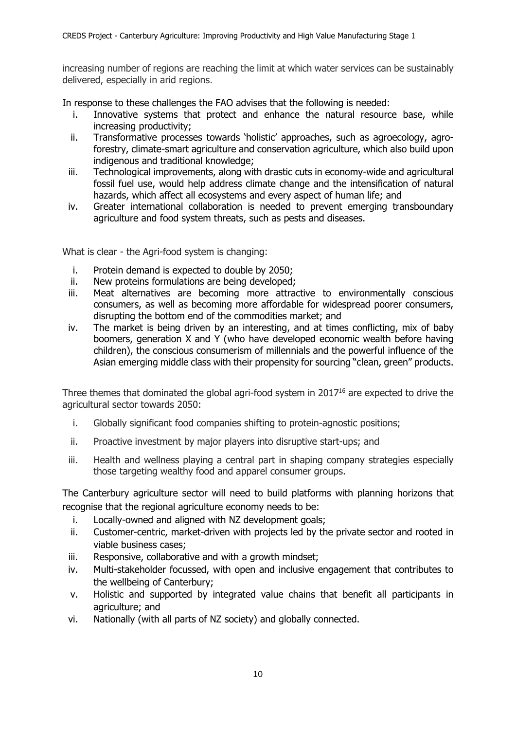increasing number of regions are reaching the limit at which water services can be sustainably delivered, especially in arid regions.

In response to these challenges the FAO advises that the following is needed:

- i. Innovative systems that protect and enhance the natural resource base, while increasing productivity;
- ii. Transformative processes towards 'holistic' approaches, such as agroecology, agroforestry, climate-smart agriculture and conservation agriculture, which also build upon indigenous and traditional knowledge;
- iii. Technological improvements, along with drastic cuts in economy-wide and agricultural fossil fuel use, would help address climate change and the intensification of natural hazards, which affect all ecosystems and every aspect of human life; and
- iv. Greater international collaboration is needed to prevent emerging transboundary agriculture and food system threats, such as pests and diseases.

What is clear - the Agri-food system is changing:

- i. Protein demand is expected to double by 2050;
- ii. New proteins formulations are being developed;
- iii. Meat alternatives are becoming more attractive to environmentally conscious consumers, as well as becoming more affordable for widespread poorer consumers, disrupting the bottom end of the commodities market; and
- iv. The market is being driven by an interesting, and at times conflicting, mix of baby boomers, generation X and Y (who have developed economic wealth before having children), the conscious consumerism of millennials and the powerful influence of the Asian emerging middle class with their propensity for sourcing "clean, green" products.

Three themes that dominated the global agri-food system in 2017<sup>16</sup> are expected to drive the agricultural sector towards 2050:

- i. Globally significant food companies shifting to protein-agnostic positions;
- ii. Proactive investment by major players into disruptive start-ups; and
- iii. Health and wellness playing a central part in shaping company strategies especially those targeting wealthy food and apparel consumer groups.

The Canterbury agriculture sector will need to build platforms with planning horizons that recognise that the regional agriculture economy needs to be:

- i. Locally-owned and aligned with NZ development goals;
- ii. Customer-centric, market-driven with projects led by the private sector and rooted in viable business cases;
- iii. Responsive, collaborative and with a growth mindset;
- iv. Multi-stakeholder focussed, with open and inclusive engagement that contributes to the wellbeing of Canterbury;
- v. Holistic and supported by integrated value chains that benefit all participants in agriculture; and
- vi. Nationally (with all parts of NZ society) and globally connected.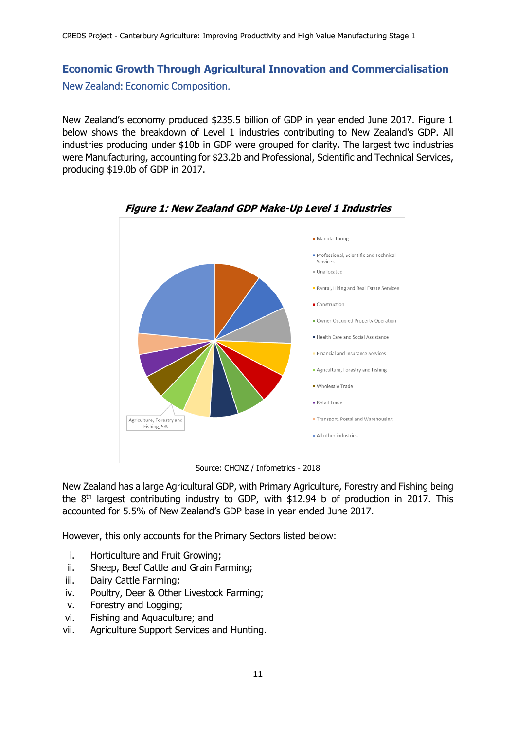# <span id="page-19-1"></span><span id="page-19-0"></span>**Economic Growth Through Agricultural Innovation and Commercialisation** New Zealand: Economic Composition.

New Zealand's economy produced \$235.5 billion of GDP in year ended June 2017. Figure 1 below shows the breakdown of Level 1 industries contributing to New Zealand's GDP. All industries producing under \$10b in GDP were grouped for clarity. The largest two industries were Manufacturing, accounting for \$23.2b and Professional, Scientific and Technical Services, producing \$19.0b of GDP in 2017.



**Figure 1: New Zealand GDP Make-Up Level 1 Industries**

Source: CHCNZ / Infometrics - 2018

New Zealand has a large Agricultural GDP, with Primary Agriculture, Forestry and Fishing being the  $8<sup>th</sup>$  largest contributing industry to GDP, with \$12.94 b of production in 2017. This accounted for 5.5% of New Zealand's GDP base in year ended June 2017.

However, this only accounts for the Primary Sectors listed below:

- i. Horticulture and Fruit Growing;
- ii. Sheep, Beef Cattle and Grain Farming;
- iii. Dairy Cattle Farming;
- iv. Poultry, Deer & Other Livestock Farming;
- v. Forestry and Logging;
- vi. Fishing and Aquaculture; and
- vii. Agriculture Support Services and Hunting.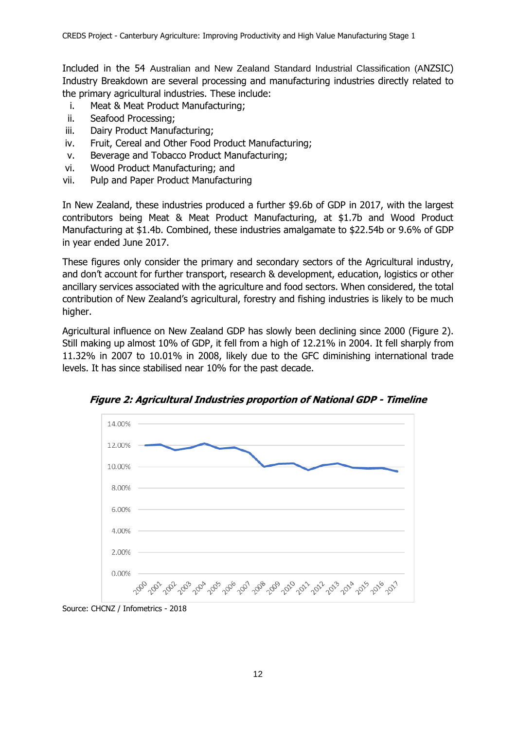Included in the 54 Australian and New Zealand Standard Industrial Classification (ANZSIC) Industry Breakdown are several processing and manufacturing industries directly related to the primary agricultural industries. These include:

- i. Meat & Meat Product Manufacturing;
- ii. Seafood Processing;
- iii. Dairy Product Manufacturing;
- iv. Fruit, Cereal and Other Food Product Manufacturing;
- v. Beverage and Tobacco Product Manufacturing;
- vi. Wood Product Manufacturing; and
- vii. Pulp and Paper Product Manufacturing

In New Zealand, these industries produced a further \$9.6b of GDP in 2017, with the largest contributors being Meat & Meat Product Manufacturing, at \$1.7b and Wood Product Manufacturing at \$1.4b. Combined, these industries amalgamate to \$22.54b or 9.6% of GDP in year ended June 2017.

These figures only consider the primary and secondary sectors of the Agricultural industry, and don't account for further transport, research & development, education, logistics or other ancillary services associated with the agriculture and food sectors. When considered, the total contribution of New Zealand's agricultural, forestry and fishing industries is likely to be much higher.

Agricultural influence on New Zealand GDP has slowly been declining since 2000 (Figure 2). Still making up almost 10% of GDP, it fell from a high of 12.21% in 2004. It fell sharply from 11.32% in 2007 to 10.01% in 2008, likely due to the GFC diminishing international trade levels. It has since stabilised near 10% for the past decade.



**Figure 2: Agricultural Industries proportion of National GDP - Timeline**

Source: CHCNZ / Infometrics - 2018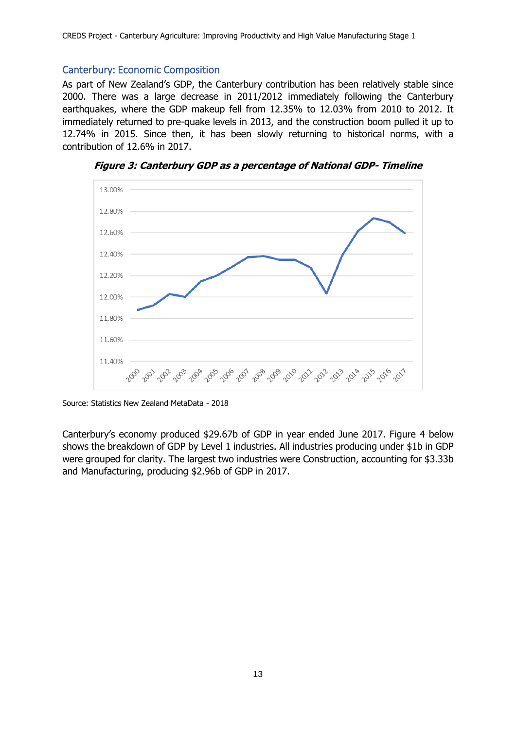## <span id="page-21-0"></span>Canterbury: Economic Composition

As part of New Zealand's GDP, the Canterbury contribution has been relatively stable since 2000. There was a large decrease in 2011/2012 immediately following the Canterbury earthquakes, where the GDP makeup fell from 12.35% to 12.03% from 2010 to 2012. It immediately returned to pre-quake levels in 2013, and the construction boom pulled it up to 12.74% in 2015. Since then, it has been slowly returning to historical norms, with a contribution of 12.6% in 2017.



**Figure 3: Canterbury GDP as a percentage of National GDP- Timeline**

Source: Statistics New Zealand MetaData - 2018

Canterbury's economy produced \$29.67b of GDP in year ended June 2017. Figure 4 below shows the breakdown of GDP by Level 1 industries. All industries producing under \$1b in GDP were grouped for clarity. The largest two industries were Construction, accounting for \$3.33b and Manufacturing, producing \$2.96b of GDP in 2017.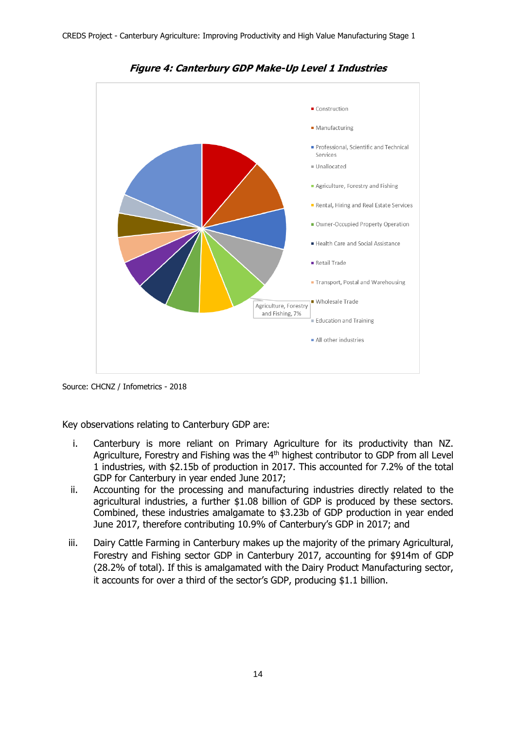

**Figure 4: Canterbury GDP Make-Up Level 1 Industries**

Source: CHCNZ / Infometrics - 2018

Key observations relating to Canterbury GDP are:

- i. Canterbury is more reliant on Primary Agriculture for its productivity than NZ. Agriculture, Forestry and Fishing was the 4<sup>th</sup> highest contributor to GDP from all Level 1 industries, with \$2.15b of production in 2017. This accounted for 7.2% of the total GDP for Canterbury in year ended June 2017;
- ii. Accounting for the processing and manufacturing industries directly related to the agricultural industries, a further \$1.08 billion of GDP is produced by these sectors. Combined, these industries amalgamate to \$3.23b of GDP production in year ended June 2017, therefore contributing 10.9% of Canterbury's GDP in 2017; and
- iii. Dairy Cattle Farming in Canterbury makes up the majority of the primary Agricultural, Forestry and Fishing sector GDP in Canterbury 2017, accounting for \$914m of GDP (28.2% of total). If this is amalgamated with the Dairy Product Manufacturing sector, it accounts for over a third of the sector's GDP, producing \$1.1 billion.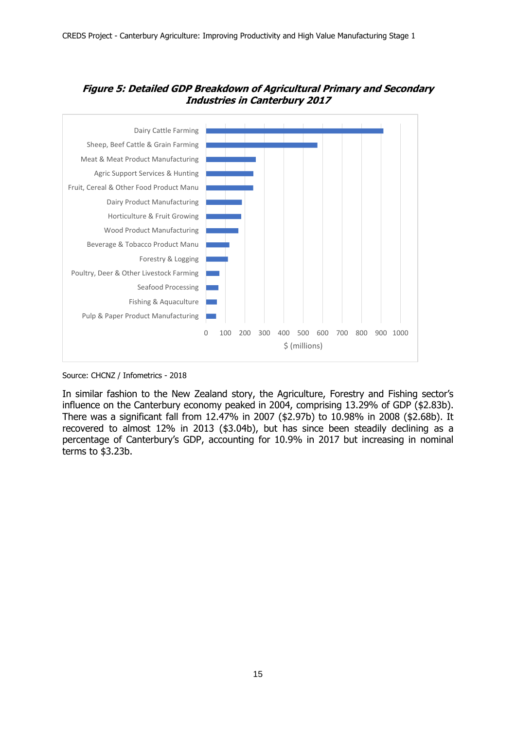



Source: CHCNZ / Infometrics - 2018

In similar fashion to the New Zealand story, the Agriculture, Forestry and Fishing sector's influence on the Canterbury economy peaked in 2004, comprising 13.29% of GDP (\$2.83b). There was a significant fall from 12.47% in 2007 (\$2.97b) to 10.98% in 2008 (\$2.68b). It recovered to almost 12% in 2013 (\$3.04b), but has since been steadily declining as a percentage of Canterbury's GDP, accounting for 10.9% in 2017 but increasing in nominal terms to \$3.23b.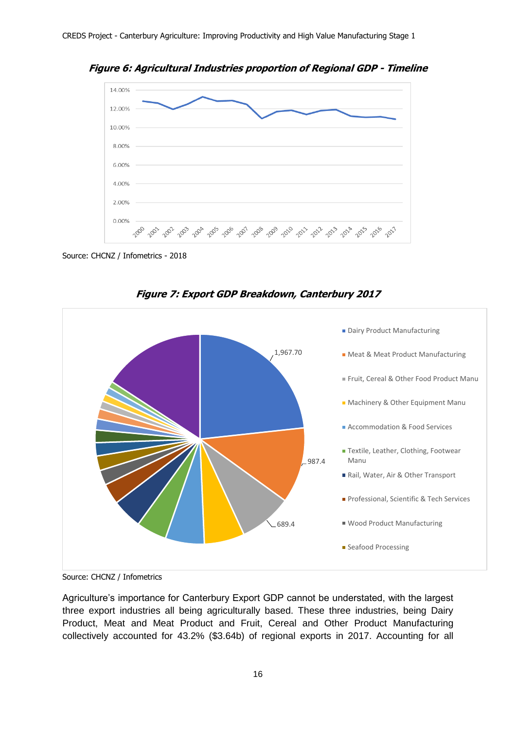**Figure 6: Agricultural Industries proportion of Regional GDP - Timeline**



Source: CHCNZ / Infometrics - 2018



**Figure 7: Export GDP Breakdown, Canterbury 2017**

Agriculture's importance for Canterbury Export GDP cannot be understated, with the largest three export industries all being agriculturally based. These three industries, being Dairy Product, Meat and Meat Product and Fruit, Cereal and Other Product Manufacturing collectively accounted for 43.2% (\$3.64b) of regional exports in 2017. Accounting for all

Source: CHCNZ / Infometrics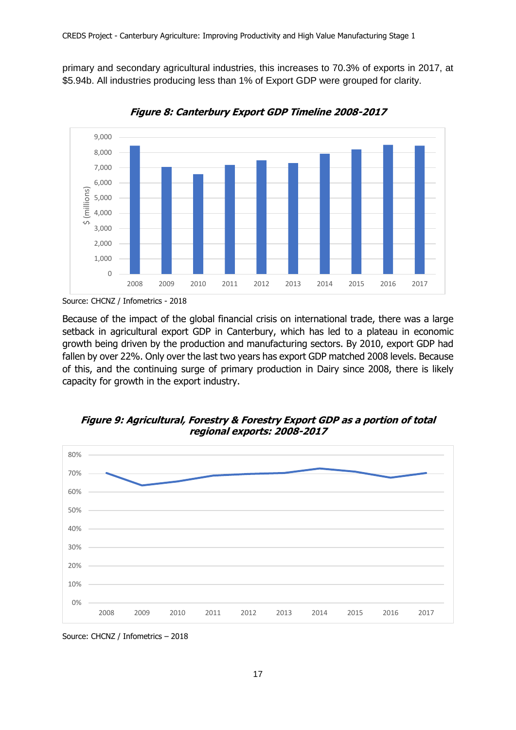primary and secondary agricultural industries, this increases to 70.3% of exports in 2017, at \$5.94b. All industries producing less than 1% of Export GDP were grouped for clarity.



**Figure 8: Canterbury Export GDP Timeline 2008-2017**

Because of the impact of the global financial crisis on international trade, there was a large setback in agricultural export GDP in Canterbury, which has led to a plateau in economic growth being driven by the production and manufacturing sectors. By 2010, export GDP had fallen by over 22%. Only over the last two years has export GDP matched 2008 levels. Because of this, and the continuing surge of primary production in Dairy since 2008, there is likely capacity for growth in the export industry.





Source: CHCNZ / Infometrics – 2018

Source: CHCNZ / Infometrics - 2018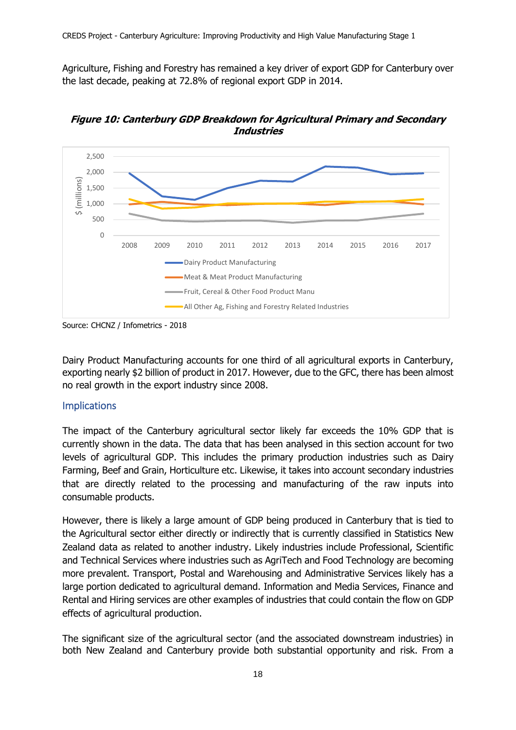Agriculture, Fishing and Forestry has remained a key driver of export GDP for Canterbury over the last decade, peaking at 72.8% of regional export GDP in 2014.



**Figure 10: Canterbury GDP Breakdown for Agricultural Primary and Secondary Industries**

Dairy Product Manufacturing accounts for one third of all agricultural exports in Canterbury, exporting nearly \$2 billion of product in 2017. However, due to the GFC, there has been almost no real growth in the export industry since 2008.

## <span id="page-26-0"></span>Implications

The impact of the Canterbury agricultural sector likely far exceeds the 10% GDP that is currently shown in the data. The data that has been analysed in this section account for two levels of agricultural GDP. This includes the primary production industries such as Dairy Farming, Beef and Grain, Horticulture etc. Likewise, it takes into account secondary industries that are directly related to the processing and manufacturing of the raw inputs into consumable products.

However, there is likely a large amount of GDP being produced in Canterbury that is tied to the Agricultural sector either directly or indirectly that is currently classified in Statistics New Zealand data as related to another industry. Likely industries include Professional, Scientific and Technical Services where industries such as AgriTech and Food Technology are becoming more prevalent. Transport, Postal and Warehousing and Administrative Services likely has a large portion dedicated to agricultural demand. Information and Media Services, Finance and Rental and Hiring services are other examples of industries that could contain the flow on GDP effects of agricultural production.

The significant size of the agricultural sector (and the associated downstream industries) in both New Zealand and Canterbury provide both substantial opportunity and risk. From a

Source: CHCNZ / Infometrics - 2018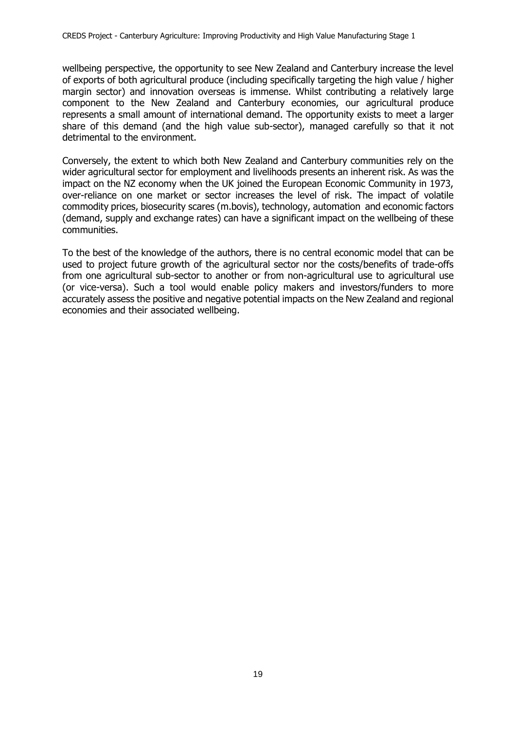wellbeing perspective, the opportunity to see New Zealand and Canterbury increase the level of exports of both agricultural produce (including specifically targeting the high value / higher margin sector) and innovation overseas is immense. Whilst contributing a relatively large component to the New Zealand and Canterbury economies, our agricultural produce represents a small amount of international demand. The opportunity exists to meet a larger share of this demand (and the high value sub-sector), managed carefully so that it not detrimental to the environment.

Conversely, the extent to which both New Zealand and Canterbury communities rely on the wider agricultural sector for employment and livelihoods presents an inherent risk. As was the impact on the NZ economy when the UK joined the European Economic Community in 1973, over-reliance on one market or sector increases the level of risk. The impact of volatile commodity prices, biosecurity scares (m.bovis), technology, automation and economic factors (demand, supply and exchange rates) can have a significant impact on the wellbeing of these communities.

To the best of the knowledge of the authors, there is no central economic model that can be used to project future growth of the agricultural sector nor the costs/benefits of trade-offs from one agricultural sub-sector to another or from non-agricultural use to agricultural use (or vice-versa). Such a tool would enable policy makers and investors/funders to more accurately assess the positive and negative potential impacts on the New Zealand and regional economies and their associated wellbeing.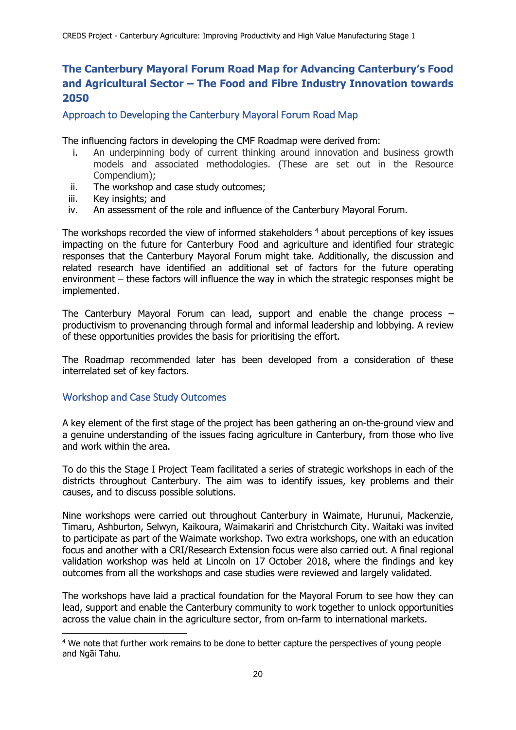# <span id="page-28-0"></span>**The Canterbury Mayoral Forum Road Map for Advancing Canterbury's Food and Agricultural Sector – The Food and Fibre Industry Innovation towards 2050**

<span id="page-28-1"></span>Approach to Developing the Canterbury Mayoral Forum Road Map

The influencing factors in developing the CMF Roadmap were derived from:

- i. An underpinning body of current thinking around innovation and business growth models and associated methodologies. (These are set out in the Resource Compendium);
- ii. The workshop and case study outcomes;
- iii. Key insights; and
- iv. An assessment of the role and influence of the Canterbury Mayoral Forum.

The workshops recorded the view of informed stakeholders <sup>4</sup> about perceptions of key issues impacting on the future for Canterbury Food and agriculture and identified four strategic responses that the Canterbury Mayoral Forum might take. Additionally, the discussion and related research have identified an additional set of factors for the future operating environment – these factors will influence the way in which the strategic responses might be implemented.

The Canterbury Mayoral Forum can lead, support and enable the change process – productivism to provenancing through formal and informal leadership and lobbying. A review of these opportunities provides the basis for prioritising the effort.

The Roadmap recommended later has been developed from a consideration of these interrelated set of key factors.

### <span id="page-28-2"></span>Workshop and Case Study Outcomes

-

A key element of the first stage of the project has been gathering an on-the-ground view and a genuine understanding of the issues facing agriculture in Canterbury, from those who live and work within the area.

To do this the Stage I Project Team facilitated a series of strategic workshops in each of the districts throughout Canterbury. The aim was to identify issues, key problems and their causes, and to discuss possible solutions.

Nine workshops were carried out throughout Canterbury in Waimate, Hurunui, Mackenzie, Timaru, Ashburton, Selwyn, Kaikoura, Waimakariri and Christchurch City. Waitaki was invited to participate as part of the Waimate workshop. Two extra workshops, one with an education focus and another with a CRI/Research Extension focus were also carried out. A final regional validation workshop was held at Lincoln on 17 October 2018, where the findings and key outcomes from all the workshops and case studies were reviewed and largely validated.

The workshops have laid a practical foundation for the Mayoral Forum to see how they can lead, support and enable the Canterbury community to work together to unlock opportunities across the value chain in the agriculture sector, from on-farm to international markets.

<sup>4</sup> We note that further work remains to be done to better capture the perspectives of young people and Ngāi Tahu.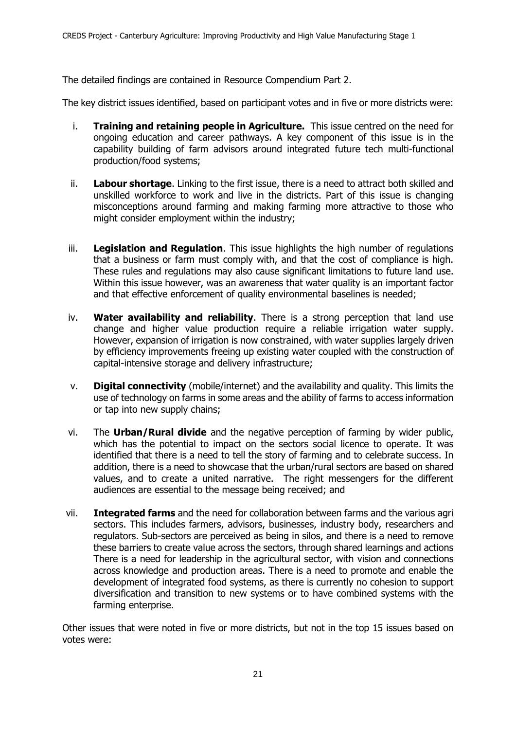The detailed findings are contained in Resource Compendium Part 2.

The key district issues identified, based on participant votes and in five or more districts were:

- i. **Training and retaining people in Agriculture.** This issue centred on the need for ongoing education and career pathways. A key component of this issue is in the capability building of farm advisors around integrated future tech multi-functional production/food systems;
- ii. **Labour shortage**. Linking to the first issue, there is a need to attract both skilled and unskilled workforce to work and live in the districts. Part of this issue is changing misconceptions around farming and making farming more attractive to those who might consider employment within the industry;
- iii. **Legislation and Regulation**. This issue highlights the high number of regulations that a business or farm must comply with, and that the cost of compliance is high. These rules and regulations may also cause significant limitations to future land use. Within this issue however, was an awareness that water quality is an important factor and that effective enforcement of quality environmental baselines is needed;
- iv. **Water availability and reliability**. There is a strong perception that land use change and higher value production require a reliable irrigation water supply. However, expansion of irrigation is now constrained, with water supplies largely driven by efficiency improvements freeing up existing water coupled with the construction of capital-intensive storage and delivery infrastructure;
- v. **Digital connectivity** (mobile/internet) and the availability and quality. This limits the use of technology on farms in some areas and the ability of farms to access information or tap into new supply chains;
- vi. The **Urban/Rural divide** and the negative perception of farming by wider public, which has the potential to impact on the sectors social licence to operate. It was identified that there is a need to tell the story of farming and to celebrate success. In addition, there is a need to showcase that the urban/rural sectors are based on shared values, and to create a united narrative. The right messengers for the different audiences are essential to the message being received; and
- vii. **Integrated farms** and the need for collaboration between farms and the various agri sectors. This includes farmers, advisors, businesses, industry body, researchers and regulators. Sub-sectors are perceived as being in silos, and there is a need to remove these barriers to create value across the sectors, through shared learnings and actions There is a need for leadership in the agricultural sector, with vision and connections across knowledge and production areas. There is a need to promote and enable the development of integrated food systems, as there is currently no cohesion to support diversification and transition to new systems or to have combined systems with the farming enterprise.

Other issues that were noted in five or more districts, but not in the top 15 issues based on votes were: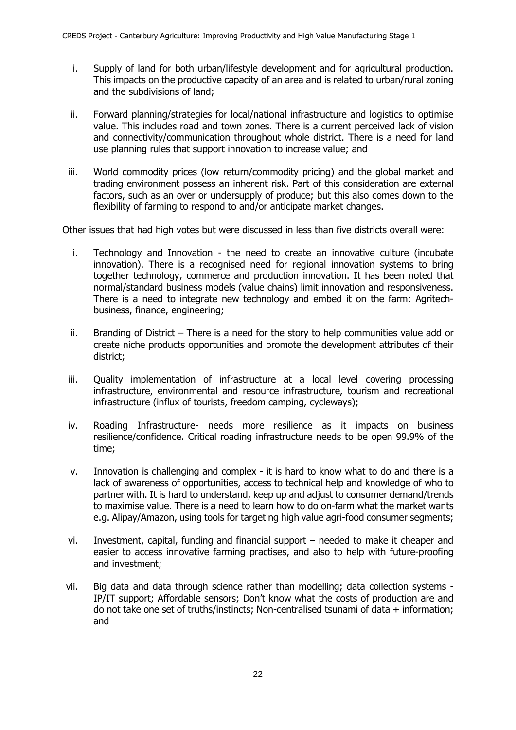- i. Supply of land for both urban/lifestyle development and for agricultural production. This impacts on the productive capacity of an area and is related to urban/rural zoning and the subdivisions of land;
- ii. Forward planning/strategies for local/national infrastructure and logistics to optimise value. This includes road and town zones. There is a current perceived lack of vision and connectivity/communication throughout whole district. There is a need for land use planning rules that support innovation to increase value; and
- iii. World commodity prices (low return/commodity pricing) and the global market and trading environment possess an inherent risk. Part of this consideration are external factors, such as an over or undersupply of produce; but this also comes down to the flexibility of farming to respond to and/or anticipate market changes.

Other issues that had high votes but were discussed in less than five districts overall were:

- i. Technology and Innovation the need to create an innovative culture (incubate innovation). There is a recognised need for regional innovation systems to bring together technology, commerce and production innovation. It has been noted that normal/standard business models (value chains) limit innovation and responsiveness. There is a need to integrate new technology and embed it on the farm: Agritechbusiness, finance, engineering;
- ii. Branding of District There is a need for the story to help communities value add or create niche products opportunities and promote the development attributes of their district;
- iii. Quality implementation of infrastructure at a local level covering processing infrastructure, environmental and resource infrastructure, tourism and recreational infrastructure (influx of tourists, freedom camping, cycleways);
- iv. Roading Infrastructure- needs more resilience as it impacts on business resilience/confidence. Critical roading infrastructure needs to be open 99.9% of the time;
- v. Innovation is challenging and complex it is hard to know what to do and there is a lack of awareness of opportunities, access to technical help and knowledge of who to partner with. It is hard to understand, keep up and adjust to consumer demand/trends to maximise value. There is a need to learn how to do on-farm what the market wants e.g. Alipay/Amazon, using tools for targeting high value agri-food consumer segments;
- vi. Investment, capital, funding and financial support needed to make it cheaper and easier to access innovative farming practises, and also to help with future-proofing and investment;
- vii. Big data and data through science rather than modelling; data collection systems IP/IT support; Affordable sensors; Don't know what the costs of production are and do not take one set of truths/instincts; Non-centralised tsunami of data  $+$  information; and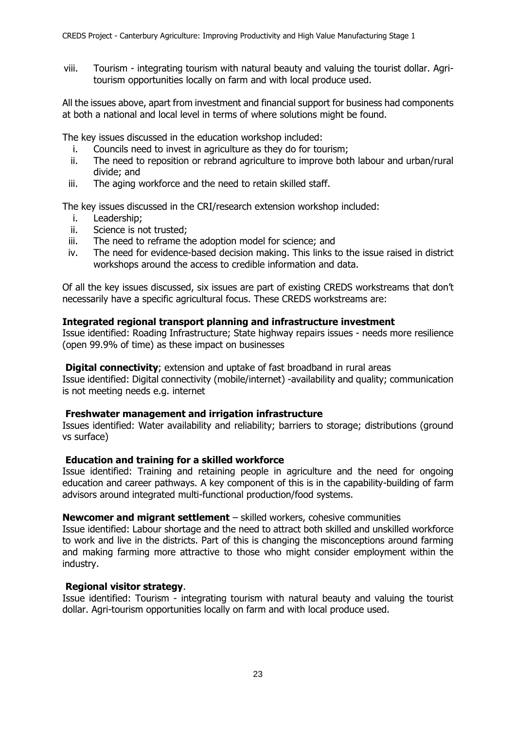viii. Tourism - integrating tourism with natural beauty and valuing the tourist dollar. Agritourism opportunities locally on farm and with local produce used.

All the issues above, apart from investment and financial support for business had components at both a national and local level in terms of where solutions might be found.

The key issues discussed in the education workshop included:

- i. Councils need to invest in agriculture as they do for tourism;
- ii. The need to reposition or rebrand agriculture to improve both labour and urban/rural divide; and
- iii. The aging workforce and the need to retain skilled staff.

The key issues discussed in the CRI/research extension workshop included:

- i. Leadership;
- ii. Science is not trusted;
- iii. The need to reframe the adoption model for science; and
- iv. The need for evidence-based decision making. This links to the issue raised in district workshops around the access to credible information and data.

Of all the key issues discussed, six issues are part of existing CREDS workstreams that don't necessarily have a specific agricultural focus. These CREDS workstreams are:

### **Integrated regional transport planning and infrastructure investment**

Issue identified: Roading Infrastructure; State highway repairs issues - needs more resilience (open 99.9% of time) as these impact on businesses

#### **Digital connectivity**; extension and uptake of fast broadband in rural areas

Issue identified: Digital connectivity (mobile/internet) -availability and quality; communication is not meeting needs e.g. internet

#### **Freshwater management and irrigation infrastructure**

Issues identified: Water availability and reliability; barriers to storage; distributions (ground vs surface)

#### **Education and training for a skilled workforce**

Issue identified: Training and retaining people in agriculture and the need for ongoing education and career pathways. A key component of this is in the capability-building of farm advisors around integrated multi-functional production/food systems.

### **Newcomer and migrant settlement** – skilled workers, cohesive communities

Issue identified: Labour shortage and the need to attract both skilled and unskilled workforce to work and live in the districts. Part of this is changing the misconceptions around farming and making farming more attractive to those who might consider employment within the industry.

### **Regional visitor strategy**.

Issue identified: Tourism - integrating tourism with natural beauty and valuing the tourist dollar. Agri-tourism opportunities locally on farm and with local produce used.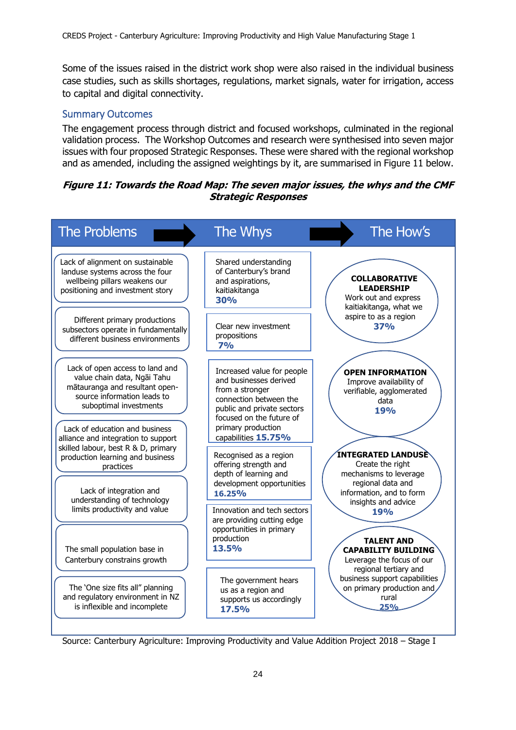Some of the issues raised in the district work shop were also raised in the individual business case studies, such as skills shortages, regulations, market signals, water for irrigation, access to capital and digital connectivity.

## <span id="page-32-0"></span>Summary Outcomes

The engagement process through district and focused workshops, culminated in the regional validation process. The Workshop Outcomes and research were synthesised into seven major issues with four proposed Strategic Responses. These were shared with the regional workshop and as amended, including the assigned weightings by it, are summarised in Figure 11 below.

### **Figure 11: Towards the Road Map: The seven major issues, the whys and the CMF Strategic Responses**



Source: Canterbury Agriculture: Improving Productivity and Value Addition Project 2018 – Stage I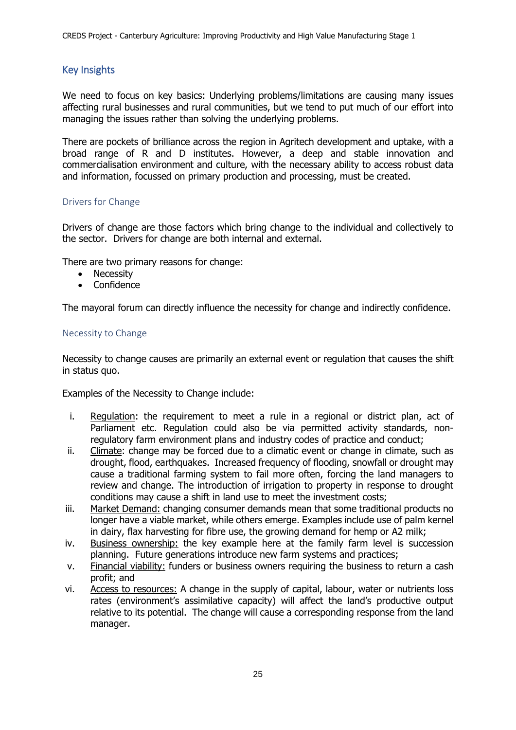# <span id="page-33-0"></span>Key Insights

We need to focus on key basics: Underlying problems/limitations are causing many issues affecting rural businesses and rural communities, but we tend to put much of our effort into managing the issues rather than solving the underlying problems.

There are pockets of brilliance across the region in Agritech development and uptake, with a broad range of R and D institutes. However, a deep and stable innovation and commercialisation environment and culture, with the necessary ability to access robust data and information, focussed on primary production and processing, must be created.

### <span id="page-33-1"></span>Drivers for Change

Drivers of change are those factors which bring change to the individual and collectively to the sector. Drivers for change are both internal and external.

There are two primary reasons for change:

- Necessity
- Confidence

The mayoral forum can directly influence the necessity for change and indirectly confidence.

### <span id="page-33-2"></span>Necessity to Change

Necessity to change causes are primarily an external event or regulation that causes the shift in status quo.

Examples of the Necessity to Change include:

- i. Regulation: the requirement to meet a rule in a regional or district plan, act of Parliament etc. Regulation could also be via permitted activity standards, nonregulatory farm environment plans and industry codes of practice and conduct;
- ii. Climate: change may be forced due to a climatic event or change in climate, such as drought, flood, earthquakes. Increased frequency of flooding, snowfall or drought may cause a traditional farming system to fail more often, forcing the land managers to review and change. The introduction of irrigation to property in response to drought conditions may cause a shift in land use to meet the investment costs;
- iii. Market Demand: changing consumer demands mean that some traditional products no longer have a viable market, while others emerge. Examples include use of palm kernel in dairy, flax harvesting for fibre use, the growing demand for hemp or A2 milk;
- iv. Business ownership: the key example here at the family farm level is succession planning. Future generations introduce new farm systems and practices;
- v. Financial viability: funders or business owners requiring the business to return a cash profit; and
- vi. Access to resources: A change in the supply of capital, labour, water or nutrients loss rates (environment's assimilative capacity) will affect the land's productive output relative to its potential. The change will cause a corresponding response from the land manager.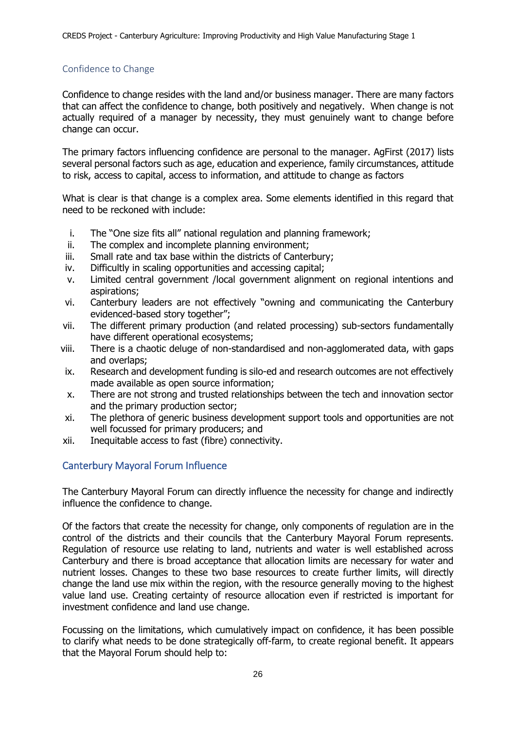### <span id="page-34-0"></span>Confidence to Change

Confidence to change resides with the land and/or business manager. There are many factors that can affect the confidence to change, both positively and negatively. When change is not actually required of a manager by necessity, they must genuinely want to change before change can occur.

The primary factors influencing confidence are personal to the manager. AgFirst (2017) lists several personal factors such as age, education and experience, family circumstances, attitude to risk, access to capital, access to information, and attitude to change as factors

What is clear is that change is a complex area. Some elements identified in this regard that need to be reckoned with include:

- i. The "One size fits all" national regulation and planning framework;
- ii. The complex and incomplete planning environment;
- iii. Small rate and tax base within the districts of Canterbury;
- iv. Difficultly in scaling opportunities and accessing capital;
- v. Limited central government /local government alignment on regional intentions and aspirations;
- vi. Canterbury leaders are not effectively "owning and communicating the Canterbury evidenced-based story together";
- vii. The different primary production (and related processing) sub-sectors fundamentally have different operational ecosystems;
- viii. There is a chaotic deluge of non-standardised and non-agglomerated data, with gaps and overlaps;
- ix. Research and development funding is silo-ed and research outcomes are not effectively made available as open source information;
- x. There are not strong and trusted relationships between the tech and innovation sector and the primary production sector;
- xi. The plethora of generic business development support tools and opportunities are not well focussed for primary producers; and
- xii. Inequitable access to fast (fibre) connectivity.

# <span id="page-34-1"></span>Canterbury Mayoral Forum Influence

The Canterbury Mayoral Forum can directly influence the necessity for change and indirectly influence the confidence to change.

Of the factors that create the necessity for change, only components of regulation are in the control of the districts and their councils that the Canterbury Mayoral Forum represents. Regulation of resource use relating to land, nutrients and water is well established across Canterbury and there is broad acceptance that allocation limits are necessary for water and nutrient losses. Changes to these two base resources to create further limits, will directly change the land use mix within the region, with the resource generally moving to the highest value land use. Creating certainty of resource allocation even if restricted is important for investment confidence and land use change.

Focussing on the limitations, which cumulatively impact on confidence, it has been possible to clarify what needs to be done strategically off-farm, to create regional benefit. It appears that the Mayoral Forum should help to: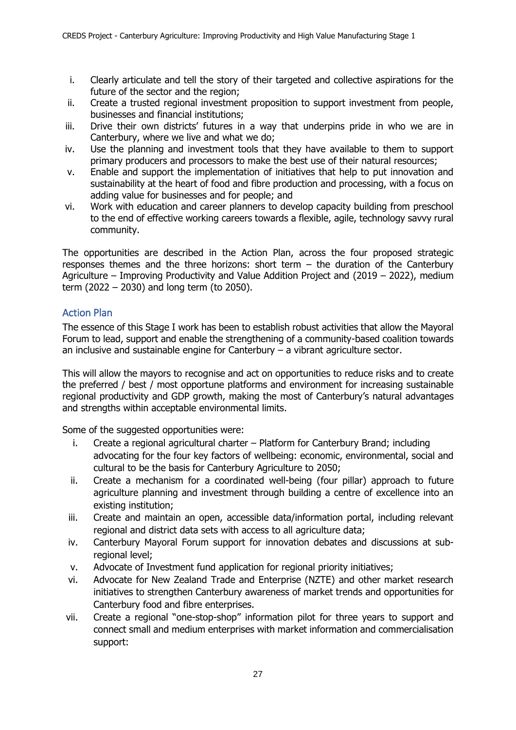- i. Clearly articulate and tell the story of their targeted and collective aspirations for the future of the sector and the region;
- ii. Create a trusted regional investment proposition to support investment from people, businesses and financial institutions;
- iii. Drive their own districts' futures in a way that underpins pride in who we are in Canterbury, where we live and what we do;
- iv. Use the planning and investment tools that they have available to them to support primary producers and processors to make the best use of their natural resources;
- v. Enable and support the implementation of initiatives that help to put innovation and sustainability at the heart of food and fibre production and processing, with a focus on adding value for businesses and for people; and
- vi. Work with education and career planners to develop capacity building from preschool to the end of effective working careers towards a flexible, agile, technology savvy rural community.

The opportunities are described in the Action Plan, across the four proposed strategic responses themes and the three horizons: short term – the duration of the Canterbury Agriculture – Improving Productivity and Value Addition Project and (2019 – 2022), medium term (2022 – 2030) and long term (to 2050).

## <span id="page-35-0"></span>Action Plan

The essence of this Stage I work has been to establish robust activities that allow the Mayoral Forum to lead, support and enable the strengthening of a community-based coalition towards an inclusive and sustainable engine for Canterbury – a vibrant agriculture sector.

This will allow the mayors to recognise and act on opportunities to reduce risks and to create the preferred / best / most opportune platforms and environment for increasing sustainable regional productivity and GDP growth, making the most of Canterbury's natural advantages and strengths within acceptable environmental limits.

Some of the suggested opportunities were:

- i. Create a regional agricultural charter Platform for Canterbury Brand; including advocating for the four key factors of wellbeing: economic, environmental, social and cultural to be the basis for Canterbury Agriculture to 2050;
- ii. Create a mechanism for a coordinated well-being (four pillar) approach to future agriculture planning and investment through building a centre of excellence into an existing institution;
- iii. Create and maintain an open, accessible data/information portal, including relevant regional and district data sets with access to all agriculture data;
- iv. Canterbury Mayoral Forum support for innovation debates and discussions at subregional level;
- v. Advocate of Investment fund application for regional priority initiatives;
- vi. Advocate for New Zealand Trade and Enterprise (NZTE) and other market research initiatives to strengthen Canterbury awareness of market trends and opportunities for Canterbury food and fibre enterprises.
- vii. Create a regional "one-stop-shop" information pilot for three years to support and connect small and medium enterprises with market information and commercialisation support: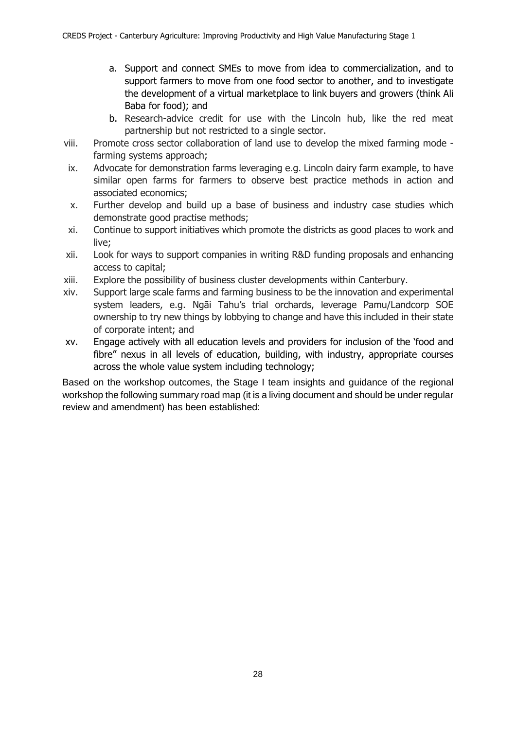- a. Support and connect SMEs to move from idea to commercialization, and to support farmers to move from one food sector to another, and to investigate the development of a virtual marketplace to link buyers and growers (think Ali Baba for food); and
- b. Research-advice credit for use with the Lincoln hub, like the red meat partnership but not restricted to a single sector.
- viii. Promote cross sector collaboration of land use to develop the mixed farming mode farming systems approach;
- ix. Advocate for demonstration farms leveraging e.g. Lincoln dairy farm example, to have similar open farms for farmers to observe best practice methods in action and associated economics;
- x. Further develop and build up a base of business and industry case studies which demonstrate good practise methods;
- xi. Continue to support initiatives which promote the districts as good places to work and live;
- xii. Look for ways to support companies in writing R&D funding proposals and enhancing access to capital;
- xiii. Explore the possibility of business cluster developments within Canterbury.
- xiv. Support large scale farms and farming business to be the innovation and experimental system leaders, e.g. Ngāi Tahu's trial orchards, leverage Pamu/Landcorp SOE ownership to try new things by lobbying to change and have this included in their state of corporate intent; and
- xv. Engage actively with all education levels and providers for inclusion of the 'food and fibre" nexus in all levels of education, building, with industry, appropriate courses across the whole value system including technology;

Based on the workshop outcomes, the Stage I team insights and guidance of the regional workshop the following summary road map (it is a living document and should be under regular review and amendment) has been established: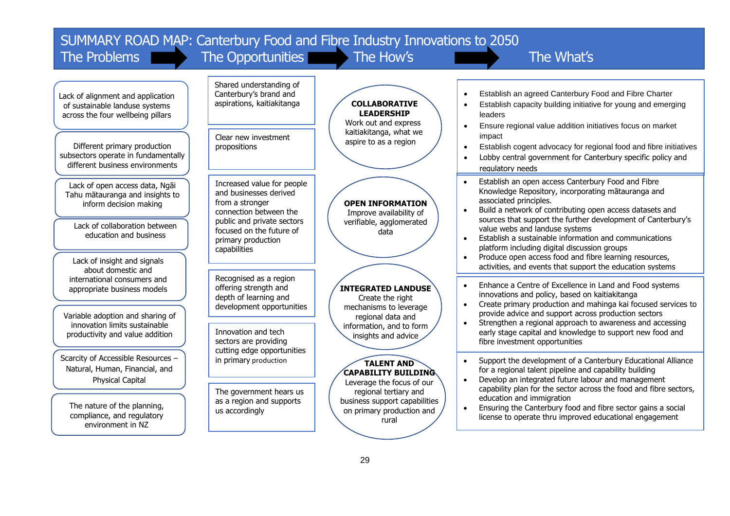| SUMMARY ROAD MAP: Canterbury Food and Fibre Industry Innovations to 2050<br>The Problems                     | The Opportunities                                                                                                               | The How's                                                                                      | The What's                                                                                                                                                                                                                                                                   |
|--------------------------------------------------------------------------------------------------------------|---------------------------------------------------------------------------------------------------------------------------------|------------------------------------------------------------------------------------------------|------------------------------------------------------------------------------------------------------------------------------------------------------------------------------------------------------------------------------------------------------------------------------|
| Lack of alignment and application<br>of sustainable landuse systems<br>across the four wellbeing pillars     | Shared understanding of<br>Canterbury's brand and<br>aspirations, kaitiakitanga                                                 | <b>COLLABORATIVE</b><br><b>LEADERSHIP</b><br>Work out and express<br>kaitiakitanga, what we    | Establish an agreed Canterbury Food and Fibre Charter<br>Establish capacity building initiative for young and emerging<br>leaders<br>Ensure regional value addition initiatives focus on market                                                                              |
| Different primary production<br>subsectors operate in fundamentally<br>different business environments       | Clear new investment<br>propositions                                                                                            | aspire to as a region                                                                          | impact<br>Establish cogent advocacy for regional food and fibre initiatives<br>Lobby central government for Canterbury specific policy and<br>regulatory needs                                                                                                               |
| Lack of open access data, Ngāi<br>Tahu mātauranga and insights to<br>inform decision making                  | Increased value for people<br>and businesses derived<br>from a stronger<br>connection between the<br>public and private sectors | <b>OPEN INFORMATION</b><br>Improve availability of<br>verifiable, agglomerated                 | Establish an open access Canterbury Food and Fibre<br>Knowledge Repository, incorporating matauranga and<br>associated principles.<br>Build a network of contributing open access datasets and<br>sources that support the further development of Canterbury's               |
| Lack of collaboration between<br>education and business<br>Lack of insight and signals<br>about domestic and | focused on the future of<br>primary production<br>capabilities                                                                  | data                                                                                           | value webs and landuse systems<br>Establish a sustainable information and communications<br>platform including digital discussion groups<br>Produce open access food and fibre learning resources,<br>$\bullet$<br>activities, and events that support the education systems |
| international consumers and<br>appropriate business models<br>Variable adoption and sharing of               | Recognised as a region<br>offering strength and<br>depth of learning and<br>development opportunities                           | <b>INTEGRATED LANDUSE</b><br>Create the right<br>mechanisms to leverage<br>regional data and   | Enhance a Centre of Excellence in Land and Food systems<br>innovations and policy, based on kaitiakitanga<br>Create primary production and mahinga kai focused services to<br>$\bullet$<br>provide advice and support across production sectors                              |
| innovation limits sustainable<br>productivity and value addition                                             | Innovation and tech<br>sectors are providing<br>cutting edge opportunities                                                      | information, and to form<br>insights and advice                                                | Strengthen a regional approach to awareness and accessing<br>$\bullet$<br>early stage capital and knowledge to support new food and<br>fibre investment opportunities                                                                                                        |
| Scarcity of Accessible Resources -<br>Natural, Human, Financial, and<br>Physical Capital                     | in primary production<br>The government hears us                                                                                | <b>TALENT AND</b><br>CAPABILITY BUILDING<br>Leverage the focus of our<br>regional tertiary and | Support the development of a Canterbury Educational Alliance<br>for a regional talent pipeline and capability building<br>Develop an integrated future labour and management<br>$\bullet$<br>capability plan for the sector across the food and fibre sectors,               |
| The nature of the planning,<br>compliance, and regulatory<br>environment in NZ                               | as a region and supports<br>us accordingly                                                                                      | business support capabilities<br>on primary production and<br>rural                            | education and immigration<br>Ensuring the Canterbury food and fibre sector gains a social<br>$\bullet$<br>license to operate thru improved educational engagement                                                                                                            |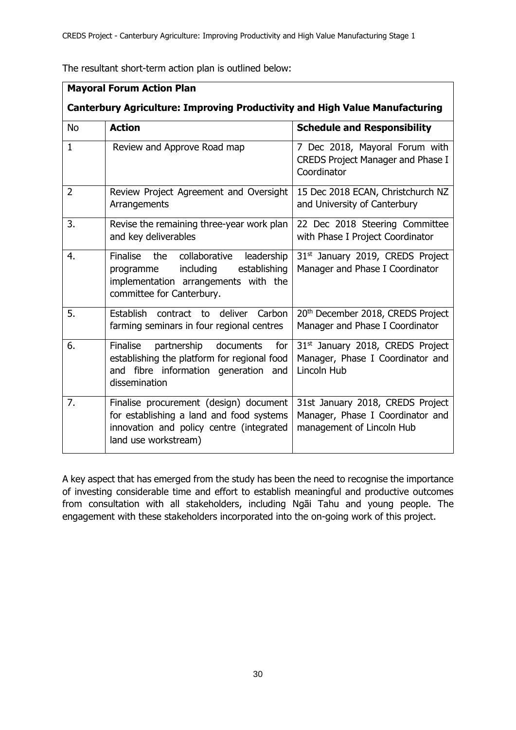The resultant short-term action plan is outlined below:

|                  | <b>Mayoral Forum Action Plan</b>                                                                                                                              |                                                                                                   |
|------------------|---------------------------------------------------------------------------------------------------------------------------------------------------------------|---------------------------------------------------------------------------------------------------|
|                  | <b>Canterbury Agriculture: Improving Productivity and High Value Manufacturing</b>                                                                            |                                                                                                   |
| <b>No</b>        | <b>Action</b>                                                                                                                                                 | <b>Schedule and Responsibility</b>                                                                |
| $\mathbf{1}$     | Review and Approve Road map                                                                                                                                   | 7 Dec 2018, Mayoral Forum with<br><b>CREDS Project Manager and Phase I</b><br>Coordinator         |
| $\overline{2}$   | Review Project Agreement and Oversight<br>Arrangements                                                                                                        | 15 Dec 2018 ECAN, Christchurch NZ<br>and University of Canterbury                                 |
| $\overline{3}$ . | Revise the remaining three-year work plan<br>and key deliverables                                                                                             | 22 Dec 2018 Steering Committee<br>with Phase I Project Coordinator                                |
| 4.               | collaborative<br>Finalise<br>the<br>leadership<br>including<br>establishing<br>programme<br>implementation arrangements with the<br>committee for Canterbury. | 31 <sup>st</sup> January 2019, CREDS Project<br>Manager and Phase I Coordinator                   |
| 5.               | deliver<br>Carbon<br>Establish contract to<br>farming seminars in four regional centres                                                                       | 20th December 2018, CREDS Project<br>Manager and Phase I Coordinator                              |
| 6.               | <b>Finalise</b><br>partnership<br>documents<br>for<br>establishing the platform for regional food<br>and fibre information generation<br>and<br>dissemination | 31 <sup>st</sup> January 2018, CREDS Project<br>Manager, Phase I Coordinator and<br>Lincoln Hub   |
| 7.               | Finalise procurement (design) document<br>for establishing a land and food systems<br>innovation and policy centre (integrated<br>land use workstream)        | 31st January 2018, CREDS Project<br>Manager, Phase I Coordinator and<br>management of Lincoln Hub |

A key aspect that has emerged from the study has been the need to recognise the importance of investing considerable time and effort to establish meaningful and productive outcomes from consultation with all stakeholders, including Ngāi Tahu and young people. The engagement with these stakeholders incorporated into the on-going work of this project.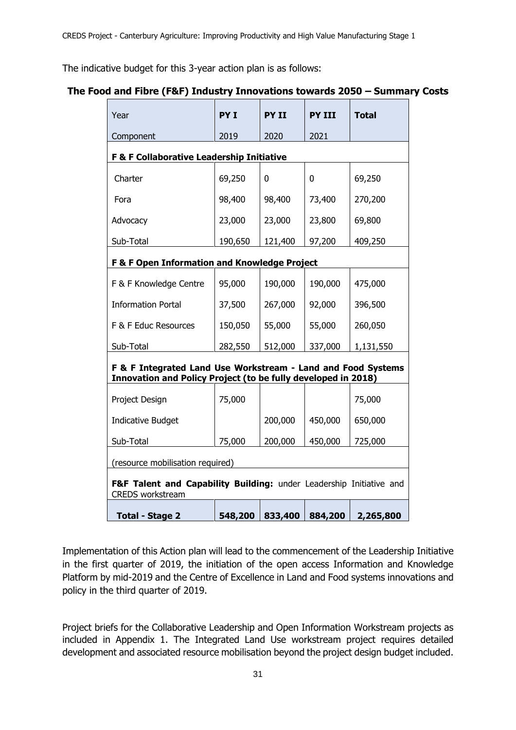The indicative budget for this 3-year action plan is as follows:

# **The Food and Fibre (F&F) Industry Innovations towards 2050 – Summary Costs**

| Year                                                                                                                          | PY I    | <b>PY II</b> | <b>PY III</b> | <b>Total</b> |  |  |
|-------------------------------------------------------------------------------------------------------------------------------|---------|--------------|---------------|--------------|--|--|
| Component                                                                                                                     | 2019    | 2020         | 2021          |              |  |  |
| F & F Collaborative Leadership Initiative                                                                                     |         |              |               |              |  |  |
| Charter                                                                                                                       | 69,250  | 0            | 0             | 69,250       |  |  |
| Fora                                                                                                                          | 98,400  | 98,400       | 73,400        | 270,200      |  |  |
| Advocacy                                                                                                                      | 23,000  | 23,000       | 23,800        | 69,800       |  |  |
| Sub-Total                                                                                                                     | 190,650 | 121,400      | 97,200        | 409,250      |  |  |
| F & F Open Information and Knowledge Project                                                                                  |         |              |               |              |  |  |
| F & F Knowledge Centre                                                                                                        | 95,000  | 190,000      | 190,000       | 475,000      |  |  |
| <b>Information Portal</b>                                                                                                     | 37,500  | 267,000      | 92,000        | 396,500      |  |  |
| F & F Educ Resources                                                                                                          | 150,050 | 55,000       | 55,000        | 260,050      |  |  |
| Sub-Total                                                                                                                     | 282,550 | 512,000      | 337,000       | 1,131,550    |  |  |
| F & F Integrated Land Use Workstream - Land and Food Systems<br>Innovation and Policy Project (to be fully developed in 2018) |         |              |               |              |  |  |
| Project Design                                                                                                                | 75,000  |              |               | 75,000       |  |  |
| <b>Indicative Budget</b>                                                                                                      |         | 200,000      | 450,000       | 650,000      |  |  |
| Sub-Total                                                                                                                     | 75,000  | 200,000      | 450,000       | 725,000      |  |  |
| (resource mobilisation required)                                                                                              |         |              |               |              |  |  |
| F&F Talent and Capability Building: under Leadership Initiative and<br><b>CREDS</b> workstream                                |         |              |               |              |  |  |
| <b>Total - Stage 2</b>                                                                                                        | 548,200 | 833,400      | 884,200       | 2,265,800    |  |  |

Implementation of this Action plan will lead to the commencement of the Leadership Initiative in the first quarter of 2019, the initiation of the open access Information and Knowledge Platform by mid-2019 and the Centre of Excellence in Land and Food systems innovations and policy in the third quarter of 2019.

Project briefs for the Collaborative Leadership and Open Information Workstream projects as included in Appendix 1. The Integrated Land Use workstream project requires detailed development and associated resource mobilisation beyond the project design budget included.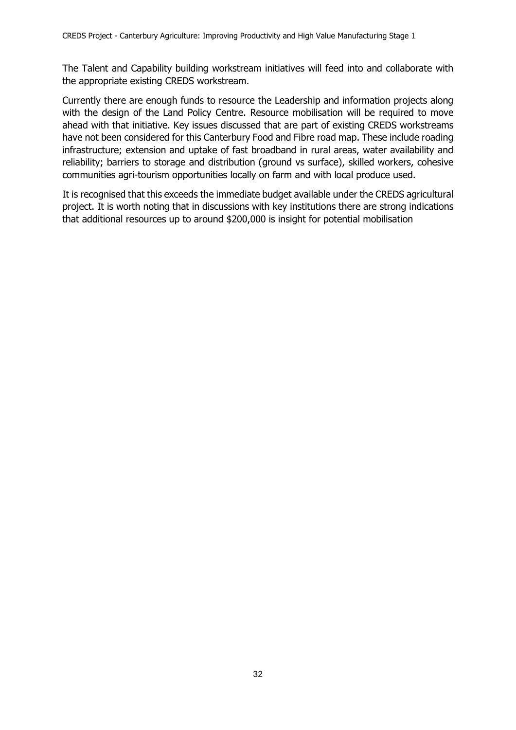The Talent and Capability building workstream initiatives will feed into and collaborate with the appropriate existing CREDS workstream.

Currently there are enough funds to resource the Leadership and information projects along with the design of the Land Policy Centre. Resource mobilisation will be required to move ahead with that initiative. Key issues discussed that are part of existing CREDS workstreams have not been considered for this Canterbury Food and Fibre road map. These include roading infrastructure; extension and uptake of fast broadband in rural areas, water availability and reliability; barriers to storage and distribution (ground vs surface), skilled workers, cohesive communities agri-tourism opportunities locally on farm and with local produce used.

It is recognised that this exceeds the immediate budget available under the CREDS agricultural project. It is worth noting that in discussions with key institutions there are strong indications that additional resources up to around \$200,000 is insight for potential mobilisation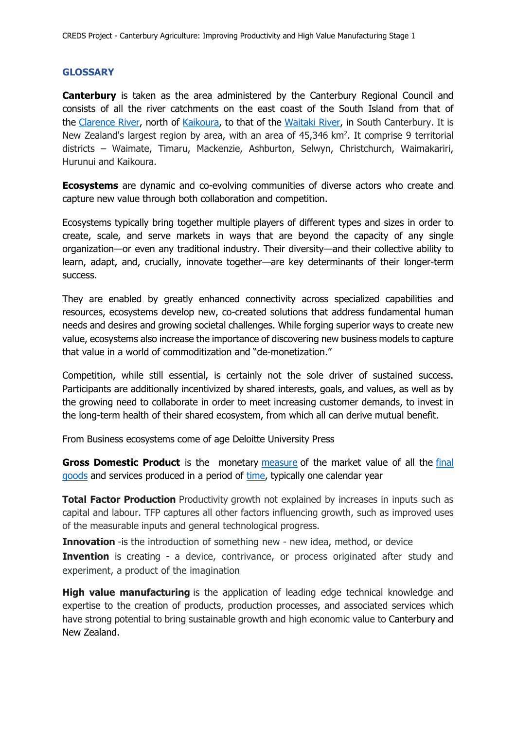### **GLOSSARY**

**Canterbury** is taken as the area administered by the Canterbury Regional Council and consists of all the river catchments on the east coast of the South Island from that of the [Clarence River,](https://en.wikipedia.org/wiki/Clarence_River_(New_Zealand)) north of [Kaikoura,](https://en.wikipedia.org/wiki/Kaikoura) to that of the [Waitaki River,](https://en.wikipedia.org/wiki/Waitaki_River) in South Canterbury. It is New Zealand's largest region by area, with an area of 45,346 km<sup>2</sup>. It comprise 9 territorial districts – Waimate, Timaru, Mackenzie, Ashburton, Selwyn, Christchurch, Waimakariri, Hurunui and Kaikoura.

**Ecosystems** are dynamic and co-evolving communities of diverse actors who create and capture new value through both collaboration and competition.

Ecosystems typically bring together multiple players of different types and sizes in order to create, scale, and serve markets in ways that are beyond the capacity of any single organization—or even any traditional industry. Their diversity—and their collective ability to learn, adapt, and, crucially, innovate together—are key determinants of their longer-term success.

They are enabled by greatly enhanced connectivity across specialized capabilities and resources, ecosystems develop new, co-created solutions that address fundamental human needs and desires and growing societal challenges. While forging superior ways to create new value, ecosystems also increase the importance of discovering new business models to capture that value in a world of commoditization and "de-monetization."

Competition, while still essential, is certainly not the sole driver of sustained success. Participants are additionally incentivized by shared interests, goals, and values, as well as by the growing need to collaborate in order to meet increasing customer demands, to invest in the long-term health of their shared ecosystem, from which all can derive mutual benefit.

From Business ecosystems come of age Deloitte University Press

**Gross Domestic Product** is the monetary [measure](https://en.wikipedia.org/wiki/Measurement_in_economics) of the market value of all the [final](https://en.wikipedia.org/wiki/Final_good)  [goods](https://en.wikipedia.org/wiki/Final_good) and services produced in a period of [time,](https://en.wikipedia.org/wiki/Time) typically one calendar year

**Total Factor Production** Productivity growth not explained by increases in inputs such as capital and labour. TFP captures all other factors influencing growth, such as improved uses of the measurable inputs and general technological progress.

**Innovation** - is the introduction of something new - new idea, method, or device **Invention** is creating - a device, contrivance, or process originated after study and experiment, a product of the imagination

**High value manufacturing** is the application of leading edge technical knowledge and expertise to the creation of products, production processes, and associated services which have strong potential to bring sustainable growth and high economic value to Canterbury and New Zealand.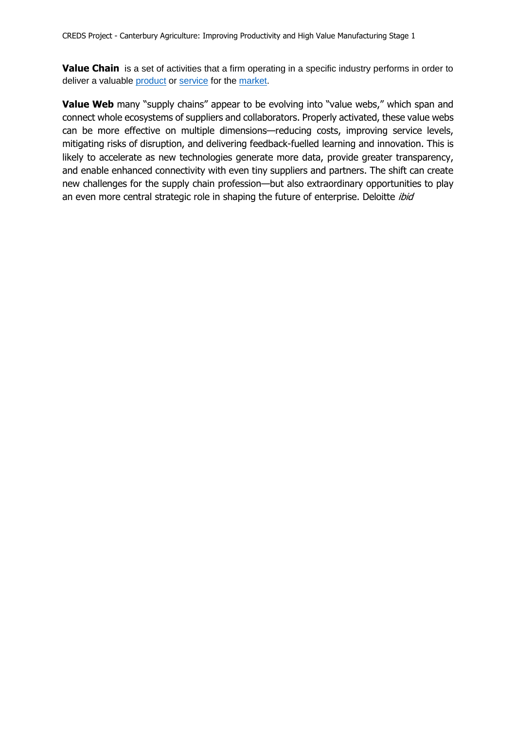**Value Chain** is a set of activities that a firm operating in a specific industry performs in order to deliver a valuable [product](https://en.wikipedia.org/wiki/Product_(business)) or [service](https://en.wikipedia.org/wiki/Service_(economics)) for the [market.](https://en.wikipedia.org/wiki/Market_(economics))

**Value Web** many "supply chains" appear to be evolving into "value webs," which span and connect whole ecosystems of suppliers and collaborators. Properly activated, these value webs can be more effective on multiple dimensions—reducing costs, improving service levels, mitigating risks of disruption, and delivering feedback-fuelled learning and innovation. This is likely to accelerate as new technologies generate more data, provide greater transparency, and enable enhanced connectivity with even tiny suppliers and partners. The shift can create new challenges for the supply chain profession—but also extraordinary opportunities to play an even more central strategic role in shaping the future of enterprise. Deloitte *ibid*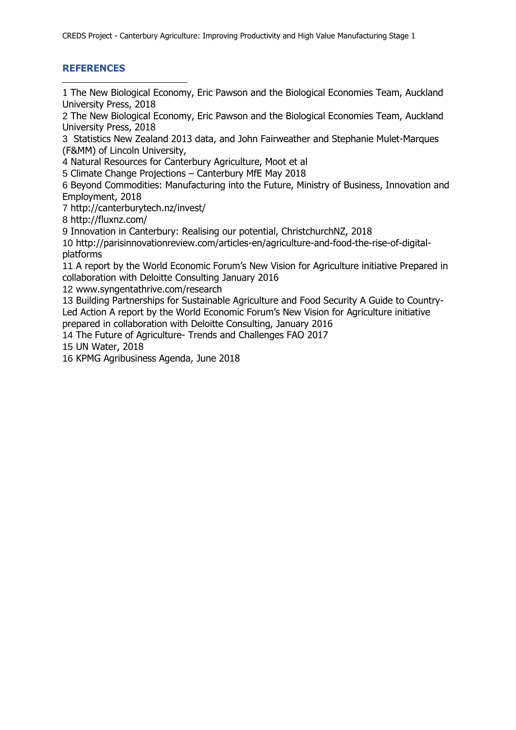# **REFERENCES**

-

1 The New Biological Economy, Eric Pawson and the Biological Economies Team, Auckland University Press, 2018

2 The New Biological Economy, Eric Pawson and the Biological Economies Team, Auckland University Press, 2018

3 Statistics New Zealand 2013 data, and John Fairweather and Stephanie Mulet-Marques (F&MM) of Lincoln University,

4 Natural Resources for Canterbury Agriculture, Moot et al

5 Climate Change Projections – Canterbury MfE May 2018

6 Beyond Commodities: Manufacturing into the Future, Ministry of Business, Innovation and Employment, 2018

7 http://canterburytech.nz/invest/

8 http://fluxnz.com/

9 Innovation in Canterbury: Realising our potential, ChristchurchNZ, 2018

10 http://parisinnovationreview.com/articles-en/agriculture-and-food-the-rise-of-digitalplatforms

11 A report by the World Economic Forum's New Vision for Agriculture initiative Prepared in collaboration with Deloitte Consulting January 2016

12 www.syngentathrive.com/research

13 Building Partnerships for Sustainable Agriculture and Food Security A Guide to Country-Led Action A report by the World Economic Forum's New Vision for Agriculture initiative prepared in collaboration with Deloitte Consulting, January 2016

14 The Future of Agriculture- Trends and Challenges FAO 2017

15 UN Water, 2018

16 KPMG Agribusiness Agenda, June 2018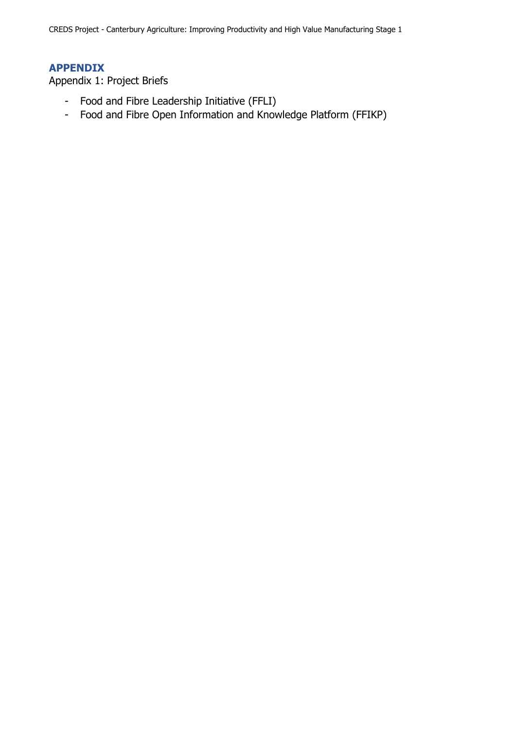CREDS Project - Canterbury Agriculture: Improving Productivity and High Value Manufacturing Stage 1

# **APPENDIX**

Appendix 1: Project Briefs

- Food and Fibre Leadership Initiative (FFLI)
- Food and Fibre Open Information and Knowledge Platform (FFIKP)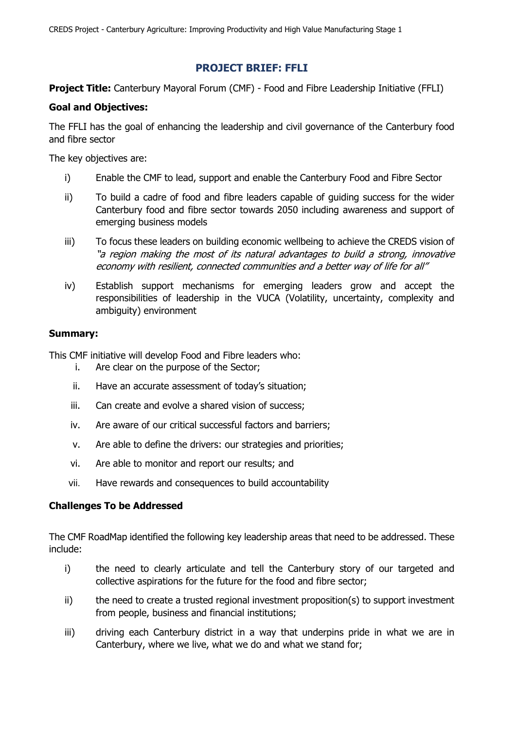# **PROJECT BRIEF: FFLI**

**Project Title:** Canterbury Mayoral Forum (CMF) - Food and Fibre Leadership Initiative (FFLI)

### **Goal and Objectives:**

The FFLI has the goal of enhancing the leadership and civil governance of the Canterbury food and fibre sector

The key objectives are:

- i) Enable the CMF to lead, support and enable the Canterbury Food and Fibre Sector
- ii) To build a cadre of food and fibre leaders capable of guiding success for the wider Canterbury food and fibre sector towards 2050 including awareness and support of emerging business models
- iii) To focus these leaders on building economic wellbeing to achieve the CREDS vision of "a region making the most of its natural advantages to build a strong, innovative economy with resilient, connected communities and a better way of life for all"
- iv) Establish support mechanisms for emerging leaders grow and accept the responsibilities of leadership in the VUCA (Volatility, uncertainty, complexity and ambiguity) environment

### **Summary:**

This CMF initiative will develop Food and Fibre leaders who:

- i. Are clear on the purpose of the Sector;
- ii. Have an accurate assessment of today's situation;
- iii. Can create and evolve a shared vision of success;
- iv. Are aware of our critical successful factors and barriers;
- v. Are able to define the drivers: our strategies and priorities;
- vi. Are able to monitor and report our results; and
- vii. Have rewards and consequences to build accountability

# **Challenges To be Addressed**

The CMF RoadMap identified the following key leadership areas that need to be addressed. These include:

- i) the need to clearly articulate and tell the Canterbury story of our targeted and collective aspirations for the future for the food and fibre sector;
- ii) the need to create a trusted regional investment proposition(s) to support investment from people, business and financial institutions;
- iii) driving each Canterbury district in a way that underpins pride in what we are in Canterbury, where we live, what we do and what we stand for;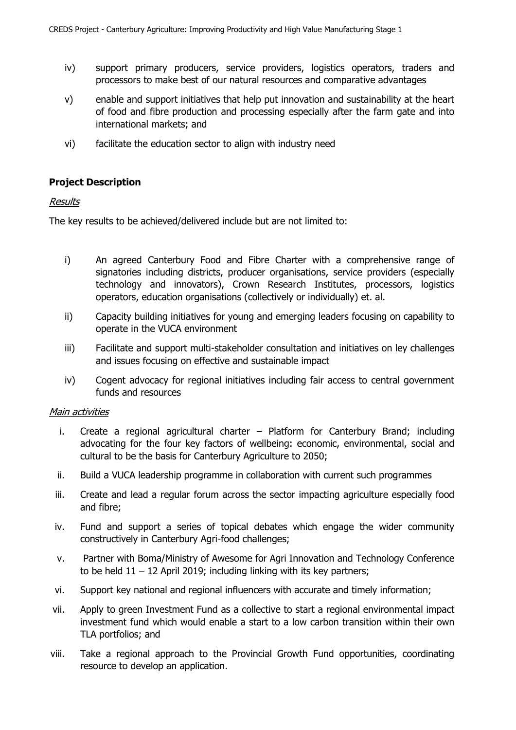- iv) support primary producers, service providers, logistics operators, traders and processors to make best of our natural resources and comparative advantages
- v) enable and support initiatives that help put innovation and sustainability at the heart of food and fibre production and processing especially after the farm gate and into international markets; and
- vi) facilitate the education sector to align with industry need

# **Project Description**

### Results

The key results to be achieved/delivered include but are not limited to:

- i) An agreed Canterbury Food and Fibre Charter with a comprehensive range of signatories including districts, producer organisations, service providers (especially technology and innovators), Crown Research Institutes, processors, logistics operators, education organisations (collectively or individually) et. al.
- ii) Capacity building initiatives for young and emerging leaders focusing on capability to operate in the VUCA environment
- iii) Facilitate and support multi-stakeholder consultation and initiatives on ley challenges and issues focusing on effective and sustainable impact
- iv) Cogent advocacy for regional initiatives including fair access to central government funds and resources

### **Main activities**

- i. Create a regional agricultural charter Platform for Canterbury Brand; including advocating for the four key factors of wellbeing: economic, environmental, social and cultural to be the basis for Canterbury Agriculture to 2050;
- ii. Build a VUCA leadership programme in collaboration with current such programmes
- iii. Create and lead a regular forum across the sector impacting agriculture especially food and fibre;
- iv. Fund and support a series of topical debates which engage the wider community constructively in Canterbury Agri-food challenges;
- v. Partner with Boma/Ministry of Awesome for Agri Innovation and Technology Conference to be held  $11 - 12$  April 2019; including linking with its key partners;
- vi. Support key national and regional influencers with accurate and timely information;
- vii. Apply to green Investment Fund as a collective to start a regional environmental impact investment fund which would enable a start to a low carbon transition within their own TLA portfolios; and
- viii. Take a regional approach to the Provincial Growth Fund opportunities, coordinating resource to develop an application.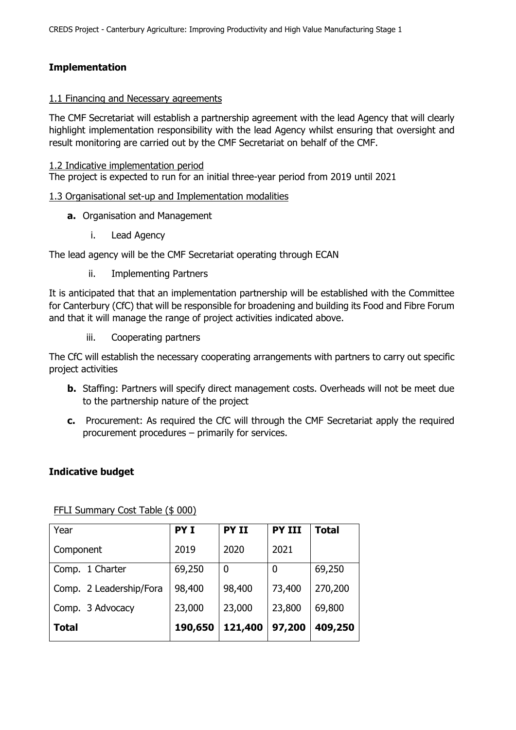# **Implementation**

### 1.1 Financing and Necessary agreements

The CMF Secretariat will establish a partnership agreement with the lead Agency that will clearly highlight implementation responsibility with the lead Agency whilst ensuring that oversight and result monitoring are carried out by the CMF Secretariat on behalf of the CMF.

1.2 Indicative implementation period

The project is expected to run for an initial three-year period from 2019 until 2021

### 1.3 Organisational set-up and Implementation modalities

- **a.** Organisation and Management
	- i. Lead Agency

The lead agency will be the CMF Secretariat operating through ECAN

ii. Implementing Partners

It is anticipated that that an implementation partnership will be established with the Committee for Canterbury (CfC) that will be responsible for broadening and building its Food and Fibre Forum and that it will manage the range of project activities indicated above.

iii. Cooperating partners

The CfC will establish the necessary cooperating arrangements with partners to carry out specific project activities

- **b.** Staffing: Partners will specify direct management costs. Overheads will not be meet due to the partnership nature of the project
- **c.** Procurement: As required the CfC will through the CMF Secretariat apply the required procurement procedures – primarily for services.

# **Indicative budget**

| Year                    | <b>PYI</b> | <b>PY II</b> | <b>PY III</b> | <b>Total</b> |
|-------------------------|------------|--------------|---------------|--------------|
| Component               | 2019       | 2020         | 2021          |              |
| Comp. 1 Charter         | 69,250     | 0            | 0             | 69,250       |
| Comp. 2 Leadership/Fora | 98,400     | 98,400       | 73,400        | 270,200      |
| Comp. 3 Advocacy        | 23,000     | 23,000       | 23,800        | 69,800       |
| Total                   | 190,650    | 121,400      | 97,200        | 409,250      |

FFLI Summary Cost Table (\$ 000)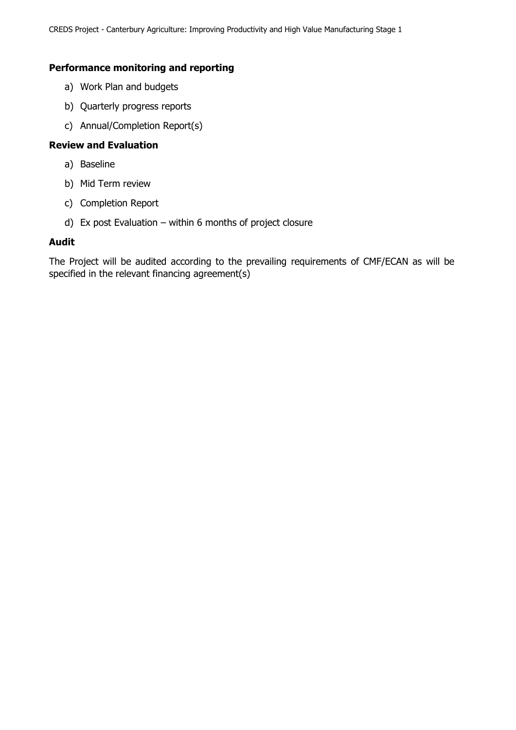### **Performance monitoring and reporting**

- a) Work Plan and budgets
- b) Quarterly progress reports
- c) Annual/Completion Report(s)

### **Review and Evaluation**

- a) Baseline
- b) Mid Term review
- c) Completion Report
- d) Ex post Evaluation within 6 months of project closure

### **Audit**

The Project will be audited according to the prevailing requirements of CMF/ECAN as will be specified in the relevant financing agreement(s)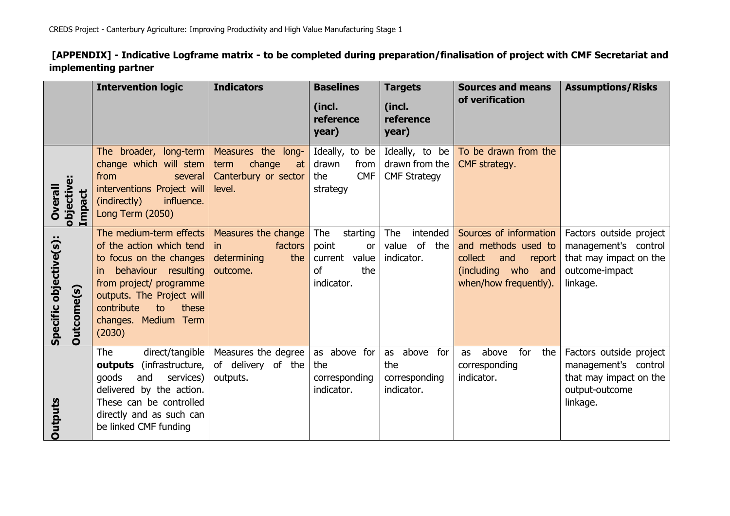**[APPENDIX] - Indicative Logframe matrix - to be completed during preparation/finalisation of project with CMF Secretariat and implementing partner**

|                                             | <b>Intervention logic</b>                                                                                                                                                                                                           | <b>Indicators</b>                                                            | <b>Baselines</b><br>(incl.<br>reference<br>year)                                         | <b>Targets</b><br>(incl.<br>reference<br>year)          | <b>Sources and means</b><br>of verification                                                                              | <b>Assumptions/Risks</b>                                                                                |
|---------------------------------------------|-------------------------------------------------------------------------------------------------------------------------------------------------------------------------------------------------------------------------------------|------------------------------------------------------------------------------|------------------------------------------------------------------------------------------|---------------------------------------------------------|--------------------------------------------------------------------------------------------------------------------------|---------------------------------------------------------------------------------------------------------|
| objective:<br>Overall<br>Impact             | The broader, long-term<br>change which will stem<br>from<br>several<br>interventions Project will<br>influence.<br>(indirectly)<br><b>Long Term (2050)</b>                                                                          | Measures the long-<br>change<br>term<br>at<br>Canterbury or sector<br>level. | Ideally, to be<br>drawn<br>from<br><b>CMF</b><br>the<br>strategy                         | Ideally, to be<br>drawn from the<br><b>CMF Strategy</b> | To be drawn from the<br>CMF strategy.                                                                                    |                                                                                                         |
| Specific objective(s):<br><b>Dutcome(s)</b> | The medium-term effects<br>of the action which tend<br>to focus on the changes<br>behaviour resulting<br>in.<br>from project/ programme<br>outputs. The Project will<br>contribute<br>to<br>these<br>changes. Medium Term<br>(2030) | Measures the change<br>factors<br>in<br>the<br>determining<br>outcome.       | The<br>starting<br>point<br>or<br>current<br>value<br><sub>of</sub><br>the<br>indicator. | The<br>intended<br>value of the<br>indicator.           | Sources of information<br>and methods used to<br>collect<br>and<br>report<br>(including who and<br>when/how frequently). | Factors outside project<br>management's control<br>that may impact on the<br>outcome-impact<br>linkage. |
| Outputs                                     | direct/tangible<br><b>The</b><br><b>outputs</b> (infrastructure,<br>goods<br>and<br>services)<br>delivered by the action.<br>These can be controlled<br>directly and as such can<br>be linked CMF funding                           | Measures the degree<br>of delivery of the<br>outputs.                        | as above for<br>the<br>corresponding<br>indicator.                                       | as above<br>for<br>the<br>corresponding<br>indicator.   | above<br>for<br>the<br>as<br>corresponding<br>indicator.                                                                 | Factors outside project<br>management's control<br>that may impact on the<br>output-outcome<br>linkage. |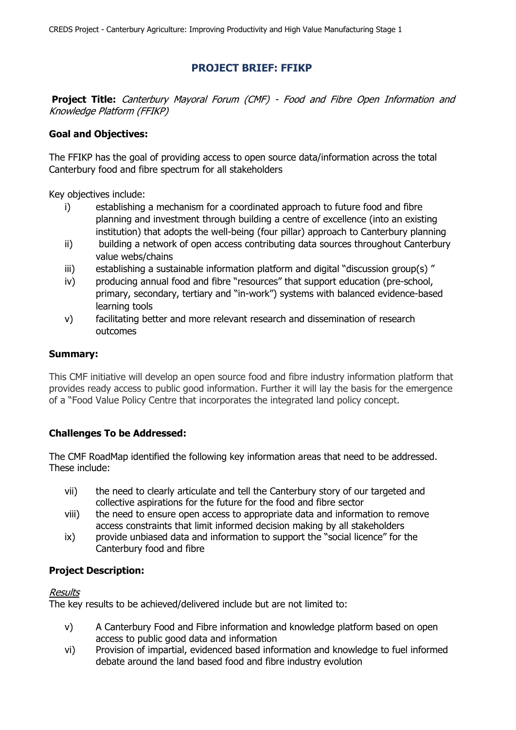# **PROJECT BRIEF: FFIKP**

**Project Title:** Canterbury Mayoral Forum (CMF) - Food and Fibre Open Information and Knowledge Platform (FFIKP)

# **Goal and Objectives:**

The FFIKP has the goal of providing access to open source data/information across the total Canterbury food and fibre spectrum for all stakeholders

Key objectives include:

- i) establishing a mechanism for a coordinated approach to future food and fibre planning and investment through building a centre of excellence (into an existing institution) that adopts the well-being (four pillar) approach to Canterbury planning
- ii) building a network of open access contributing data sources throughout Canterbury value webs/chains
- iii) establishing a sustainable information platform and digital "discussion group(s)"
- iv) producing annual food and fibre "resources" that support education (pre-school, primary, secondary, tertiary and "in-work") systems with balanced evidence-based learning tools
- v) facilitating better and more relevant research and dissemination of research outcomes

### **Summary:**

This CMF initiative will develop an open source food and fibre industry information platform that provides ready access to public good information. Further it will lay the basis for the emergence of a "Food Value Policy Centre that incorporates the integrated land policy concept.

# **Challenges To be Addressed:**

The CMF RoadMap identified the following key information areas that need to be addressed. These include:

- vii) the need to clearly articulate and tell the Canterbury story of our targeted and collective aspirations for the future for the food and fibre sector
- viii) the need to ensure open access to appropriate data and information to remove access constraints that limit informed decision making by all stakeholders
- ix) provide unbiased data and information to support the "social licence" for the Canterbury food and fibre

### **Project Description:**

### Results

The key results to be achieved/delivered include but are not limited to:

- v) A Canterbury Food and Fibre information and knowledge platform based on open access to public good data and information
- vi) Provision of impartial, evidenced based information and knowledge to fuel informed debate around the land based food and fibre industry evolution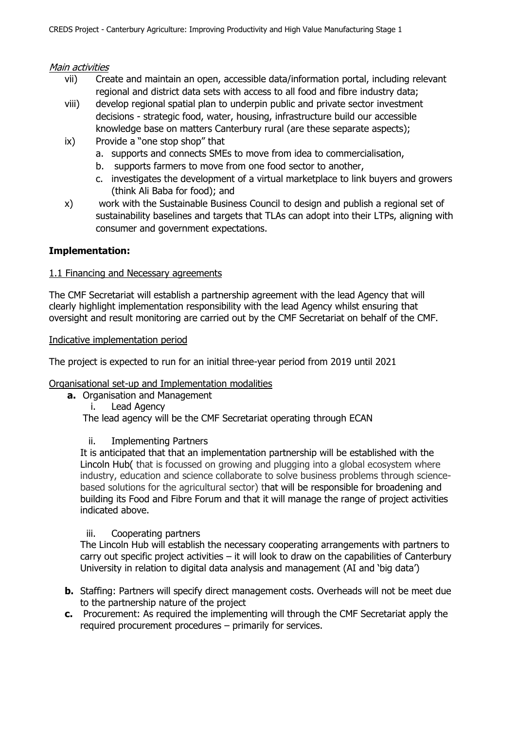### Main activities

- vii) Create and maintain an open, accessible data/information portal, including relevant regional and district data sets with access to all food and fibre industry data;
- viii) develop regional spatial plan to underpin public and private sector investment decisions - strategic food, water, housing, infrastructure build our accessible knowledge base on matters Canterbury rural (are these separate aspects);
- ix) Provide a "one stop shop" that
	- a. supports and connects SMEs to move from idea to commercialisation,
	- b. supports farmers to move from one food sector to another,
	- c. investigates the development of a virtual marketplace to link buyers and growers (think Ali Baba for food); and
- x) work with the Sustainable Business Council to design and publish a regional set of sustainability baselines and targets that TLAs can adopt into their LTPs, aligning with consumer and government expectations.

# **Implementation:**

### 1.1 Financing and Necessary agreements

The CMF Secretariat will establish a partnership agreement with the lead Agency that will clearly highlight implementation responsibility with the lead Agency whilst ensuring that oversight and result monitoring are carried out by the CMF Secretariat on behalf of the CMF.

### Indicative implementation period

The project is expected to run for an initial three-year period from 2019 until 2021

# Organisational set-up and Implementation modalities

**a.** Organisation and Management

i. Lead Agency The lead agency will be the CMF Secretariat operating through ECAN

# ii. Implementing Partners

It is anticipated that that an implementation partnership will be established with the Lincoln Hub( that is focussed on growing and plugging into a global ecosystem where industry, education and science collaborate to solve business problems through sciencebased solutions for the agricultural sector) that will be responsible for broadening and building its Food and Fibre Forum and that it will manage the range of project activities indicated above.

# iii. Cooperating partners

The Lincoln Hub will establish the necessary cooperating arrangements with partners to carry out specific project activities – it will look to draw on the capabilities of Canterbury University in relation to digital data analysis and management (AI and 'big data')

- **b.** Staffing: Partners will specify direct management costs. Overheads will not be meet due to the partnership nature of the project
- **c.** Procurement: As required the implementing will through the CMF Secretariat apply the required procurement procedures – primarily for services.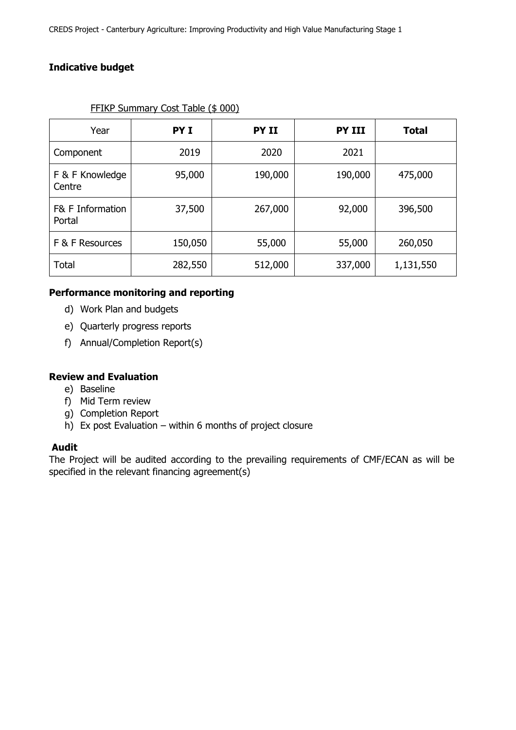# **Indicative budget**

| Year                       | PY <sub>I</sub> | PY II   | <b>PY III</b> | <b>Total</b> |
|----------------------------|-----------------|---------|---------------|--------------|
| Component                  | 2019            | 2020    | 2021          |              |
| F & F Knowledge<br>Centre  | 95,000          | 190,000 | 190,000       | 475,000      |
| F& F Information<br>Portal | 37,500          | 267,000 | 92,000        | 396,500      |
| F & F Resources            | 150,050         | 55,000  | 55,000        | 260,050      |
| <b>Total</b>               | 282,550         | 512,000 | 337,000       | 1,131,550    |

### FFIKP Summary Cost Table (\$ 000)

# **Performance monitoring and reporting**

- d) Work Plan and budgets
- e) Quarterly progress reports
- f) Annual/Completion Report(s)

# **Review and Evaluation**

- e) Baseline
- f) Mid Term review
- g) Completion Report
- h) Ex post Evaluation within 6 months of project closure

### **Audit**

The Project will be audited according to the prevailing requirements of CMF/ECAN as will be specified in the relevant financing agreement(s)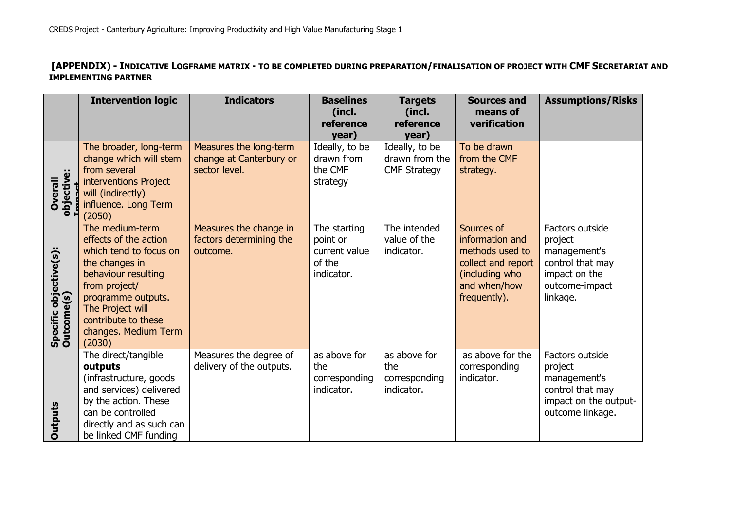# **[APPENDIX) - INDICATIVE LOGFRAME MATRIX - TO BE COMPLETED DURING PREPARATION/FINALISATION OF PROJECT WITH CMF SECRETARIAT AND IMPLEMENTING PARTNER**

|                                      | <b>Intervention logic</b>                                                                                                                                                                                                       | <b>Indicators</b>                                                  | <b>Baselines</b><br>(incl.<br>reference                           | <b>Targets</b><br>(incl.<br>reference                            | <b>Sources and</b><br>means of<br>verification                                                                           | <b>Assumptions/Risks</b>                                                                                      |
|--------------------------------------|---------------------------------------------------------------------------------------------------------------------------------------------------------------------------------------------------------------------------------|--------------------------------------------------------------------|-------------------------------------------------------------------|------------------------------------------------------------------|--------------------------------------------------------------------------------------------------------------------------|---------------------------------------------------------------------------------------------------------------|
| objective:<br>Overall                | The broader, long-term<br>change which will stem<br>from several<br>interventions Project<br>will (indirectly)<br>influence. Long Term<br>(2050)                                                                                | Measures the long-term<br>change at Canterbury or<br>sector level. | year)<br>Ideally, to be<br>drawn from<br>the CMF<br>strategy      | year)<br>Ideally, to be<br>drawn from the<br><b>CMF Strategy</b> | To be drawn<br>from the CMF<br>strategy.                                                                                 |                                                                                                               |
| Specific objective(s):<br>Outcome(s) | The medium-term<br>effects of the action<br>which tend to focus on<br>the changes in<br>behaviour resulting<br>from project/<br>programme outputs.<br>The Project will<br>contribute to these<br>changes. Medium Term<br>(2030) | Measures the change in<br>factors determining the<br>outcome.      | The starting<br>point or<br>current value<br>of the<br>indicator. | The intended<br>value of the<br>indicator.                       | Sources of<br>information and<br>methods used to<br>collect and report<br>(including who<br>and when/how<br>frequently). | Factors outside<br>project<br>management's<br>control that may<br>impact on the<br>outcome-impact<br>linkage. |
| <b>Outputs</b>                       | The direct/tangible<br>outputs<br>(infrastructure, goods<br>and services) delivered<br>by the action. These<br>can be controlled<br>directly and as such can<br>be linked CMF funding                                           | Measures the degree of<br>delivery of the outputs.                 | as above for<br>the<br>corresponding<br>indicator.                | as above for<br>the<br>corresponding<br>indicator.               | as above for the<br>corresponding<br>indicator.                                                                          | Factors outside<br>project<br>management's<br>control that may<br>impact on the output-<br>outcome linkage.   |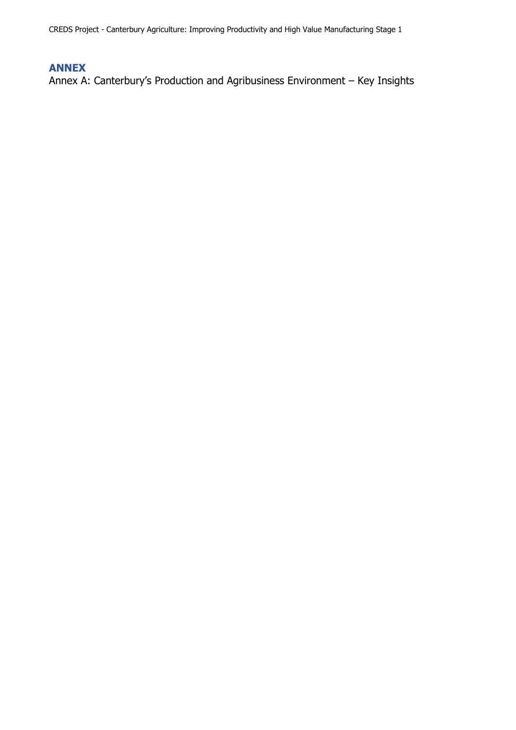CREDS Project - Canterbury Agriculture: Improving Productivity and High Value Manufacturing Stage 1

# **ANNEX**

Annex A: Canterbury's Production and Agribusiness Environment – Key Insights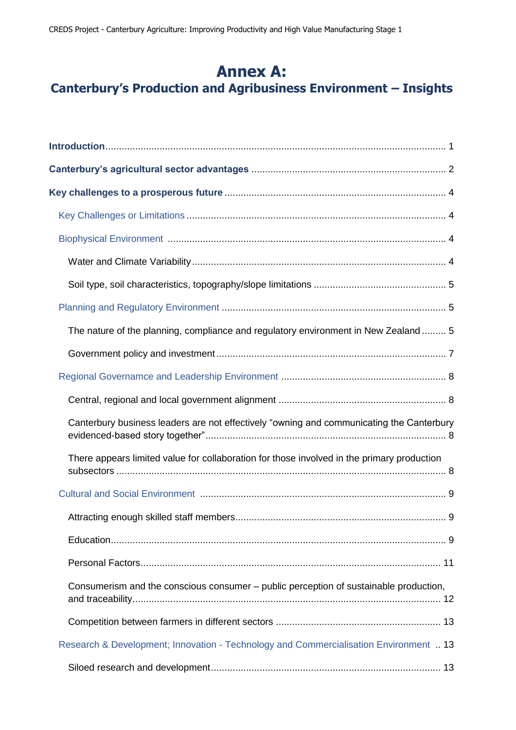# **Annex A: Canterbury's Production and Agribusiness Environment – Insights**

| The nature of the planning, compliance and regulatory environment in New Zealand 5         |
|--------------------------------------------------------------------------------------------|
|                                                                                            |
|                                                                                            |
|                                                                                            |
| Canterbury business leaders are not effectively "owning and communicating the Canterbury   |
| There appears limited value for collaboration for those involved in the primary production |
|                                                                                            |
|                                                                                            |
|                                                                                            |
|                                                                                            |
| Consumerism and the conscious consumer - public perception of sustainable production,      |
|                                                                                            |
| Research & Development; Innovation - Technology and Commercialisation Environment  13      |
|                                                                                            |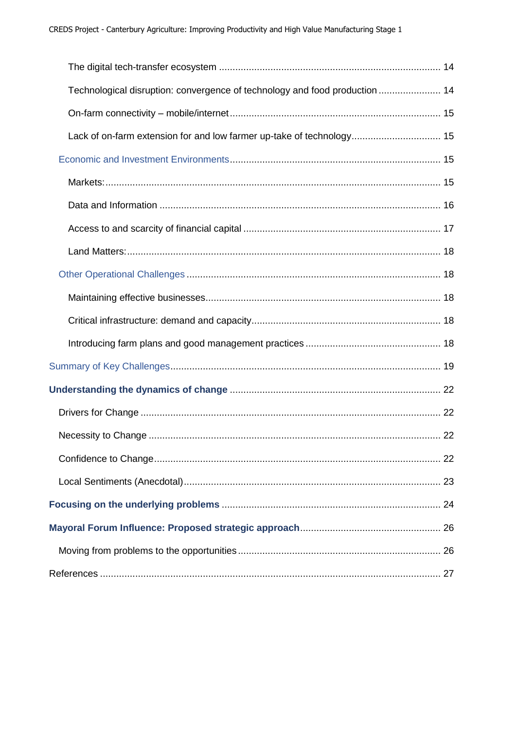| Technological disruption: convergence of technology and food production  14 |  |
|-----------------------------------------------------------------------------|--|
|                                                                             |  |
| Lack of on-farm extension for and low farmer up-take of technology 15       |  |
|                                                                             |  |
|                                                                             |  |
|                                                                             |  |
|                                                                             |  |
|                                                                             |  |
|                                                                             |  |
|                                                                             |  |
|                                                                             |  |
|                                                                             |  |
|                                                                             |  |
|                                                                             |  |
|                                                                             |  |
|                                                                             |  |
|                                                                             |  |
|                                                                             |  |
|                                                                             |  |
|                                                                             |  |
|                                                                             |  |
|                                                                             |  |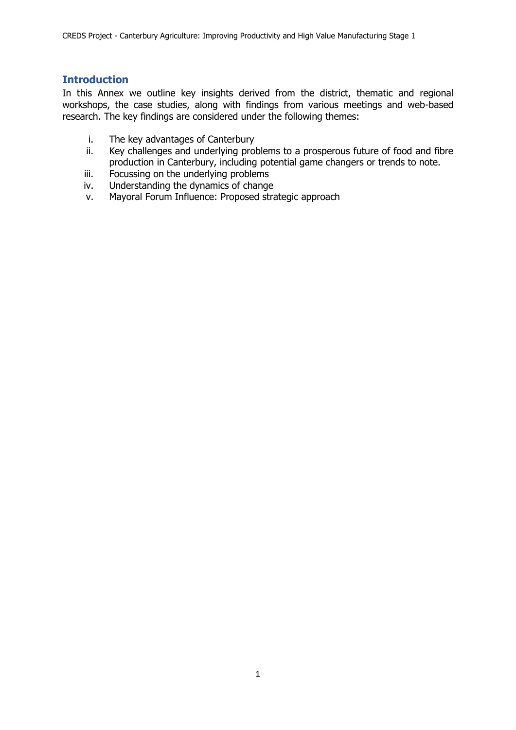# **Introduction**

In this Annex we outline key insights derived from the district, thematic and regional workshops, the case studies, along with findings from various meetings and web-based research. The key findings are considered under the following themes:

- i. The key advantages of Canterbury
- ii. Key challenges and underlying problems to a prosperous future of food and fibre production in Canterbury, including potential game changers or trends to note.
- iii. Focussing on the underlying problems
- iv. Understanding the dynamics of change
- v. Mayoral Forum Influence: Proposed strategic approach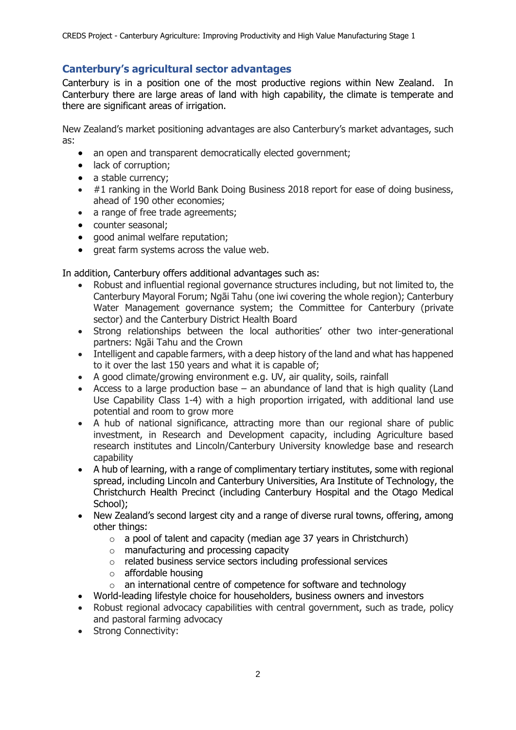# **Canterbury's agricultural sector advantages**

Canterbury is in a position one of the most productive regions within New Zealand. In Canterbury there are large areas of land with high capability, the climate is temperate and there are significant areas of irrigation.

New Zealand's market positioning advantages are also Canterbury's market advantages, such as:

- an open and transparent democratically elected government;
- lack of corruption;
- a stable currency;
- #1 ranking in the World Bank Doing Business 2018 report for ease of doing business, ahead of 190 other economies;
- a range of free trade agreements;
- counter seasonal;
- good animal welfare reputation;
- great farm systems across the value web.

In addition, Canterbury offers additional advantages such as:

- Robust and influential regional governance structures including, but not limited to, the Canterbury Mayoral Forum; Ngāi Tahu (one iwi covering the whole region); Canterbury Water Management governance system; the Committee for Canterbury (private sector) and the Canterbury District Health Board
- Strong relationships between the local authorities' other two inter-generational partners: Ngāi Tahu and the Crown
- Intelligent and capable farmers, with a deep history of the land and what has happened to it over the last 150 years and what it is capable of;
- A good climate/growing environment e.g. UV, air quality, soils, rainfall
- Access to a large production base an abundance of land that is high quality (Land Use Capability Class 1-4) with a high proportion irrigated, with additional land use potential and room to grow more
- A hub of national significance, attracting more than our regional share of public investment, in Research and Development capacity, including Agriculture based research institutes and Lincoln/Canterbury University knowledge base and research capability
- A hub of learning, with a range of complimentary tertiary institutes, some with regional spread, including Lincoln and Canterbury Universities, Ara Institute of Technology, the Christchurch Health Precinct (including Canterbury Hospital and the Otago Medical School):
- New Zealand's second largest city and a range of diverse rural towns, offering, among other things:
	- $\circ$  a pool of talent and capacity (median age 37 years in Christchurch)
	- o manufacturing and processing capacity
	- o related business service sectors including professional services
	- o affordable housing
	- $\circ$  an international centre of competence for software and technology
- World-leading lifestyle choice for householders, business owners and investors
- Robust regional advocacy capabilities with central government, such as trade, policy and pastoral farming advocacy
- Strong Connectivity: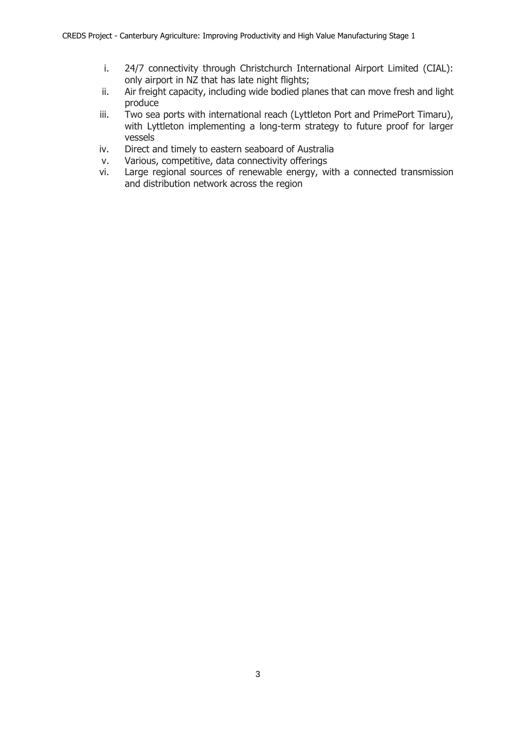- i. 24/7 connectivity through Christchurch International Airport Limited (CIAL): only airport in NZ that has late night flights;
- ii. Air freight capacity, including wide bodied planes that can move fresh and light produce
- iii. Two sea ports with international reach (Lyttleton Port and PrimePort Timaru), with Lyttleton implementing a long-term strategy to future proof for larger vessels
- iv. Direct and timely to eastern seaboard of Australia
- v. Various, competitive, data connectivity offerings
- vi. Large regional sources of renewable energy, with a connected transmission and distribution network across the region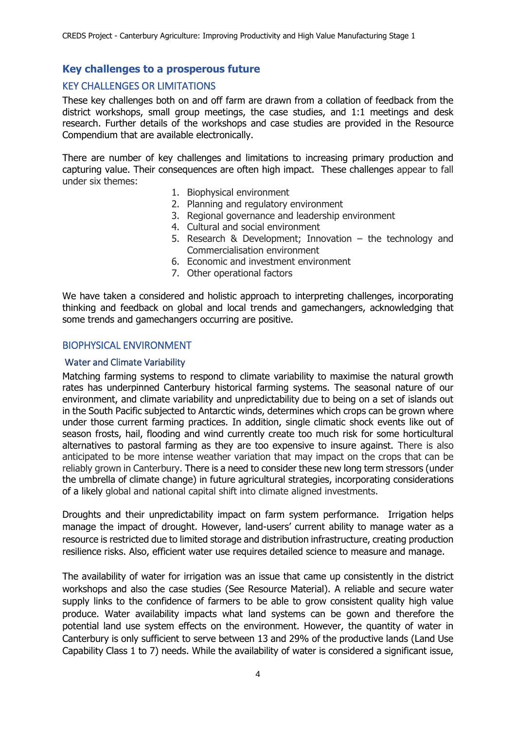# **Key challenges to a prosperous future**

# KEY CHALLENGES OR LIMITATIONS

These key challenges both on and off farm are drawn from a collation of feedback from the district workshops, small group meetings, the case studies, and 1:1 meetings and desk research. Further details of the workshops and case studies are provided in the Resource Compendium that are available electronically.

There are number of key challenges and limitations to increasing primary production and capturing value. Their consequences are often high impact. These challenges appear to fall under six themes:

- 1. Biophysical environment
- 2. Planning and regulatory environment
- 3. Regional governance and leadership environment
- 4. Cultural and social environment
- 5. Research & Development; Innovation the technology and Commercialisation environment
- 6. Economic and investment environment
- 7. Other operational factors

We have taken a considered and holistic approach to interpreting challenges, incorporating thinking and feedback on global and local trends and gamechangers, acknowledging that some trends and gamechangers occurring are positive.

### BIOPHYSICAL ENVIRONMENT

#### Water and Climate Variability

Matching farming systems to respond to climate variability to maximise the natural growth rates has underpinned Canterbury historical farming systems. The seasonal nature of our environment, and climate variability and unpredictability due to being on a set of islands out in the South Pacific subjected to Antarctic winds, determines which crops can be grown where under those current farming practices. In addition, single climatic shock events like out of season frosts, hail, flooding and wind currently create too much risk for some horticultural alternatives to pastoral farming as they are too expensive to insure against. There is also anticipated to be more intense weather variation that may impact on the crops that can be reliably grown in Canterbury. There is a need to consider these new long term stressors (under the umbrella of climate change) in future agricultural strategies, incorporating considerations of a likely global and national capital shift into climate aligned investments.

Droughts and their unpredictability impact on farm system performance. Irrigation helps manage the impact of drought. However, land-users' current ability to manage water as a resource is restricted due to limited storage and distribution infrastructure, creating production resilience risks. Also, efficient water use requires detailed science to measure and manage.

The availability of water for irrigation was an issue that came up consistently in the district workshops and also the case studies (See Resource Material). A reliable and secure water supply links to the confidence of farmers to be able to grow consistent quality high value produce. Water availability impacts what land systems can be gown and therefore the potential land use system effects on the environment. However, the quantity of water in Canterbury is only sufficient to serve between 13 and 29% of the productive lands (Land Use Capability Class 1 to 7) needs. While the availability of water is considered a significant issue,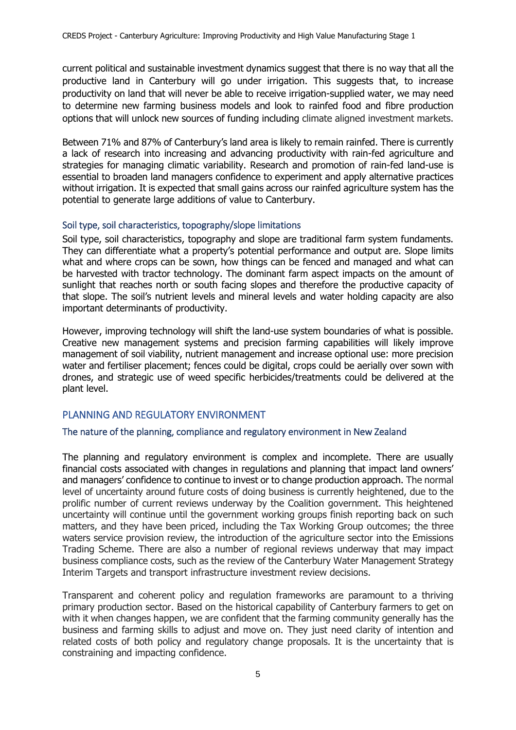current political and sustainable investment dynamics suggest that there is no way that all the productive land in Canterbury will go under irrigation. This suggests that, to increase productivity on land that will never be able to receive irrigation-supplied water, we may need to determine new farming business models and look to rainfed food and fibre production options that will unlock new sources of funding including climate aligned investment markets.

Between 71% and 87% of Canterbury's land area is likely to remain rainfed. There is currently a lack of research into increasing and advancing productivity with rain-fed agriculture and strategies for managing climatic variability. Research and promotion of rain-fed land-use is essential to broaden land managers confidence to experiment and apply alternative practices without irrigation. It is expected that small gains across our rainfed agriculture system has the potential to generate large additions of value to Canterbury.

### Soil type, soil characteristics, topography/slope limitations

Soil type, soil characteristics, topography and slope are traditional farm system fundaments. They can differentiate what a property's potential performance and output are. Slope limits what and where crops can be sown, how things can be fenced and managed and what can be harvested with tractor technology. The dominant farm aspect impacts on the amount of sunlight that reaches north or south facing slopes and therefore the productive capacity of that slope. The soil's nutrient levels and mineral levels and water holding capacity are also important determinants of productivity.

However, improving technology will shift the land-use system boundaries of what is possible. Creative new management systems and precision farming capabilities will likely improve management of soil viability, nutrient management and increase optional use: more precision water and fertiliser placement; fences could be digital, crops could be aerially over sown with drones, and strategic use of weed specific herbicides/treatments could be delivered at the plant level.

# PLANNING AND REGULATORY ENVIRONMENT

### The nature of the planning, compliance and regulatory environment in New Zealand

The planning and regulatory environment is complex and incomplete. There are usually financial costs associated with changes in regulations and planning that impact land owners' and managers' confidence to continue to invest or to change production approach. The normal level of uncertainty around future costs of doing business is currently heightened, due to the prolific number of current reviews underway by the Coalition government. This heightened uncertainty will continue until the government working groups finish reporting back on such matters, and they have been priced, including the Tax Working Group outcomes; the three waters service provision review, the introduction of the agriculture sector into the Emissions Trading Scheme. There are also a number of regional reviews underway that may impact business compliance costs, such as the review of the Canterbury Water Management Strategy Interim Targets and transport infrastructure investment review decisions.

Transparent and coherent policy and regulation frameworks are paramount to a thriving primary production sector. Based on the historical capability of Canterbury farmers to get on with it when changes happen, we are confident that the farming community generally has the business and farming skills to adjust and move on. They just need clarity of intention and related costs of both policy and regulatory change proposals. It is the uncertainty that is constraining and impacting confidence.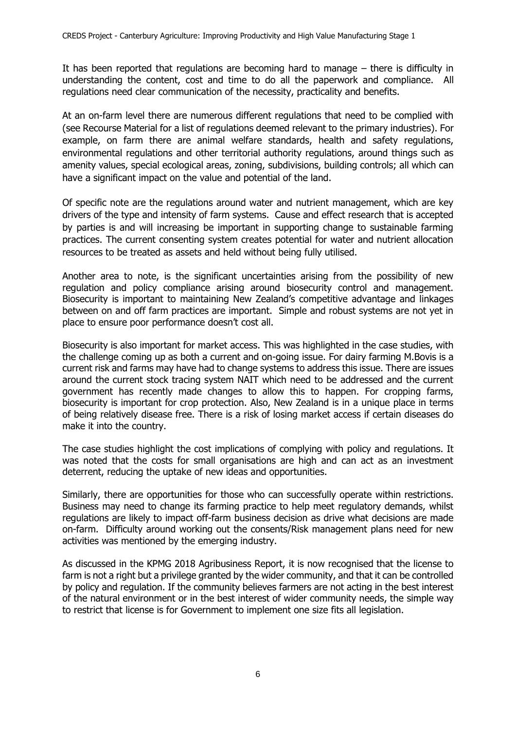It has been reported that regulations are becoming hard to manage – there is difficulty in understanding the content, cost and time to do all the paperwork and compliance. All regulations need clear communication of the necessity, practicality and benefits.

At an on-farm level there are numerous different regulations that need to be complied with (see Recourse Material for a list of regulations deemed relevant to the primary industries). For example, on farm there are animal welfare standards, health and safety regulations, environmental regulations and other territorial authority regulations, around things such as amenity values, special ecological areas, zoning, subdivisions, building controls; all which can have a significant impact on the value and potential of the land.

Of specific note are the regulations around water and nutrient management, which are key drivers of the type and intensity of farm systems. Cause and effect research that is accepted by parties is and will increasing be important in supporting change to sustainable farming practices. The current consenting system creates potential for water and nutrient allocation resources to be treated as assets and held without being fully utilised.

Another area to note, is the significant uncertainties arising from the possibility of new regulation and policy compliance arising around biosecurity control and management. Biosecurity is important to maintaining New Zealand's competitive advantage and linkages between on and off farm practices are important. Simple and robust systems are not yet in place to ensure poor performance doesn't cost all.

Biosecurity is also important for market access. This was highlighted in the case studies, with the challenge coming up as both a current and on-going issue. For dairy farming M.Bovis is a current risk and farms may have had to change systems to address this issue. There are issues around the current stock tracing system NAIT which need to be addressed and the current government has recently made changes to allow this to happen. For cropping farms, biosecurity is important for crop protection. Also, New Zealand is in a unique place in terms of being relatively disease free. There is a risk of losing market access if certain diseases do make it into the country.

The case studies highlight the cost implications of complying with policy and regulations. It was noted that the costs for small organisations are high and can act as an investment deterrent, reducing the uptake of new ideas and opportunities.

Similarly, there are opportunities for those who can successfully operate within restrictions. Business may need to change its farming practice to help meet regulatory demands, whilst regulations are likely to impact off-farm business decision as drive what decisions are made on-farm. Difficulty around working out the consents/Risk management plans need for new activities was mentioned by the emerging industry.

As discussed in the KPMG 2018 Agribusiness Report, it is now recognised that the license to farm is not a right but a privilege granted by the wider community, and that it can be controlled by policy and regulation. If the community believes farmers are not acting in the best interest of the natural environment or in the best interest of wider community needs, the simple way to restrict that license is for Government to implement one size fits all legislation.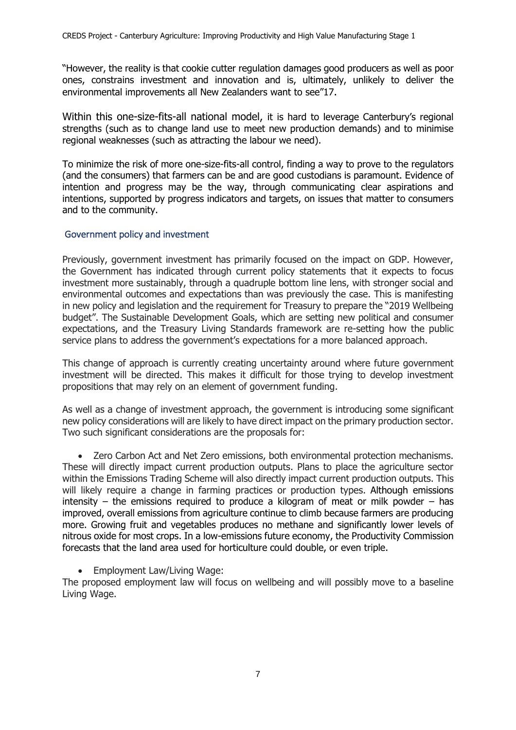"However, the reality is that cookie cutter regulation damages good producers as well as poor ones, constrains investment and innovation and is, ultimately, unlikely to deliver the environmental improvements all New Zealanders want to see"17.

Within this one-size-fits-all national model, it is hard to leverage Canterbury's regional strengths (such as to change land use to meet new production demands) and to minimise regional weaknesses (such as attracting the labour we need).

To minimize the risk of more one-size-fits-all control, finding a way to prove to the regulators (and the consumers) that farmers can be and are good custodians is paramount. Evidence of intention and progress may be the way, through communicating clear aspirations and intentions, supported by progress indicators and targets, on issues that matter to consumers and to the community.

### Government policy and investment

Previously, government investment has primarily focused on the impact on GDP. However, the Government has indicated through current policy statements that it expects to focus investment more sustainably, through a quadruple bottom line lens, with stronger social and environmental outcomes and expectations than was previously the case. This is manifesting in new policy and legislation and the requirement for Treasury to prepare the "2019 Wellbeing budget". The Sustainable Development Goals, which are setting new political and consumer expectations, and the Treasury Living Standards framework are re-setting how the public service plans to address the government's expectations for a more balanced approach.

This change of approach is currently creating uncertainty around where future government investment will be directed. This makes it difficult for those trying to develop investment propositions that may rely on an element of government funding.

As well as a change of investment approach, the government is introducing some significant new policy considerations will are likely to have direct impact on the primary production sector. Two such significant considerations are the proposals for:

• Zero Carbon Act and Net Zero emissions, both environmental protection mechanisms. These will directly impact current production outputs. Plans to place the agriculture sector within the Emissions Trading Scheme will also directly impact current production outputs. This will likely require a change in farming practices or production types. Although emissions intensity – the emissions required to produce a kilogram of meat or milk powder – has improved, overall emissions from agriculture continue to climb because farmers are producing more. Growing fruit and vegetables produces no methane and significantly lower levels of nitrous oxide for most crops. In a low-emissions future economy, the Productivity Commission forecasts that the land area used for horticulture could double, or even triple.

• Employment Law/Living Wage:

The proposed employment law will focus on wellbeing and will possibly move to a baseline Living Wage.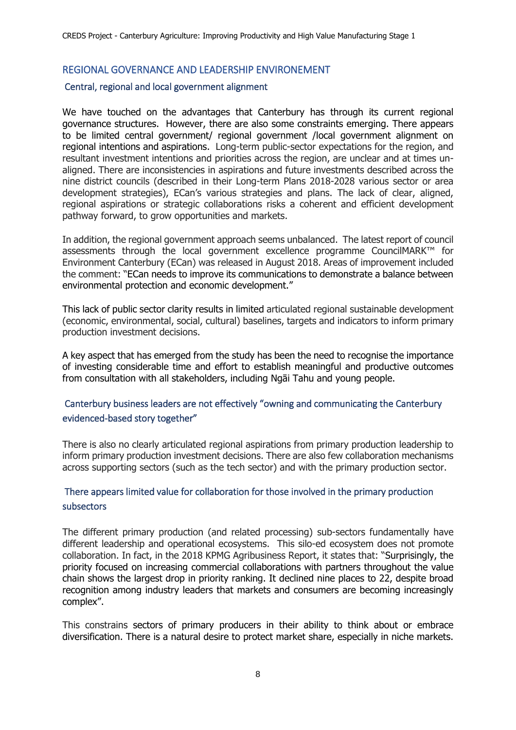# REGIONAL GOVERNANCE AND LEADERSHIP ENVIRONEMENT

### Central, regional and local government alignment

We have touched on the advantages that Canterbury has through its current regional governance structures. However, there are also some constraints emerging. There appears to be limited central government/ regional government /local government alignment on regional intentions and aspirations. Long-term public-sector expectations for the region, and resultant investment intentions and priorities across the region, are unclear and at times unaligned. There are inconsistencies in aspirations and future investments described across the nine district councils (described in their Long-term Plans 2018-2028 various sector or area development strategies), ECan's various strategies and plans. The lack of clear, aligned, regional aspirations or strategic collaborations risks a coherent and efficient development pathway forward, to grow opportunities and markets.

In addition, the regional government approach seems unbalanced. The latest report of council assessments through the local government excellence programme CouncilMARK™ for Environment Canterbury (ECan) was released in August 2018. Areas of improvement included the comment: "ECan needs to improve its communications to demonstrate a balance between environmental protection and economic development."

This lack of public sector clarity results in limited articulated regional sustainable development (economic, environmental, social, cultural) baselines, targets and indicators to inform primary production investment decisions.

A key aspect that has emerged from the study has been the need to recognise the importance of investing considerable time and effort to establish meaningful and productive outcomes from consultation with all stakeholders, including Ngāi Tahu and young people.

# Canterbury business leaders are not effectively "owning and communicating the Canterbury evidenced-based story together"

There is also no clearly articulated regional aspirations from primary production leadership to inform primary production investment decisions. There are also few collaboration mechanisms across supporting sectors (such as the tech sector) and with the primary production sector.

# There appears limited value for collaboration for those involved in the primary production subsectors

The different primary production (and related processing) sub-sectors fundamentally have different leadership and operational ecosystems. This silo-ed ecosystem does not promote collaboration. In fact, in the 2018 KPMG Agribusiness Report, it states that: "Surprisingly, the priority focused on increasing commercial collaborations with partners throughout the value chain shows the largest drop in priority ranking. It declined nine places to 22, despite broad recognition among industry leaders that markets and consumers are becoming increasingly complex".

This constrains sectors of primary producers in their ability to think about or embrace diversification. There is a natural desire to protect market share, especially in niche markets.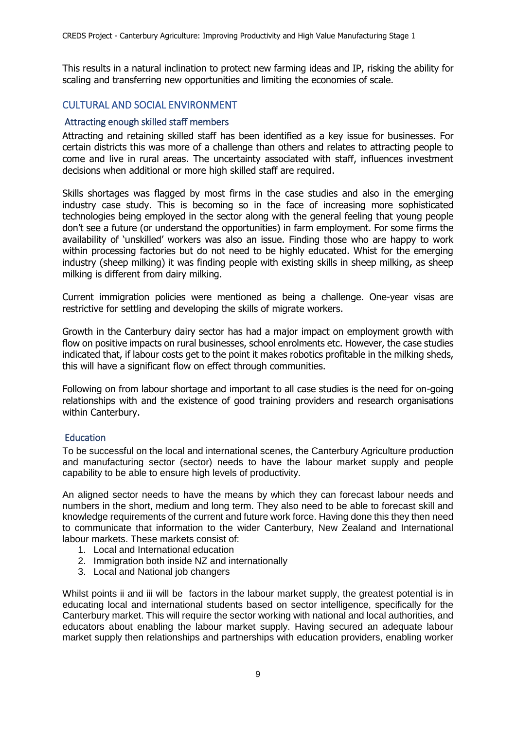This results in a natural inclination to protect new farming ideas and IP, risking the ability for scaling and transferring new opportunities and limiting the economies of scale.

# CULTURAL AND SOCIAL ENVIRONMENT

### Attracting enough skilled staff members

Attracting and retaining skilled staff has been identified as a key issue for businesses. For certain districts this was more of a challenge than others and relates to attracting people to come and live in rural areas. The uncertainty associated with staff, influences investment decisions when additional or more high skilled staff are required.

Skills shortages was flagged by most firms in the case studies and also in the emerging industry case study. This is becoming so in the face of increasing more sophisticated technologies being employed in the sector along with the general feeling that young people don't see a future (or understand the opportunities) in farm employment. For some firms the availability of 'unskilled' workers was also an issue. Finding those who are happy to work within processing factories but do not need to be highly educated. Whist for the emerging industry (sheep milking) it was finding people with existing skills in sheep milking, as sheep milking is different from dairy milking.

Current immigration policies were mentioned as being a challenge. One-year visas are restrictive for settling and developing the skills of migrate workers.

Growth in the Canterbury dairy sector has had a major impact on employment growth with flow on positive impacts on rural businesses, school enrolments etc. However, the case studies indicated that, if labour costs get to the point it makes robotics profitable in the milking sheds, this will have a significant flow on effect through communities.

Following on from labour shortage and important to all case studies is the need for on-going relationships with and the existence of good training providers and research organisations within Canterbury.

#### Education

To be successful on the local and international scenes, the Canterbury Agriculture production and manufacturing sector (sector) needs to have the labour market supply and people capability to be able to ensure high levels of productivity.

An aligned sector needs to have the means by which they can forecast labour needs and numbers in the short, medium and long term. They also need to be able to forecast skill and knowledge requirements of the current and future work force. Having done this they then need to communicate that information to the wider Canterbury, New Zealand and International labour markets. These markets consist of:

- 1. Local and International education
- 2. Immigration both inside NZ and internationally
- 3. Local and National job changers

Whilst points ii and iii will be factors in the labour market supply, the greatest potential is in educating local and international students based on sector intelligence, specifically for the Canterbury market. This will require the sector working with national and local authorities, and educators about enabling the labour market supply. Having secured an adequate labour market supply then relationships and partnerships with education providers, enabling worker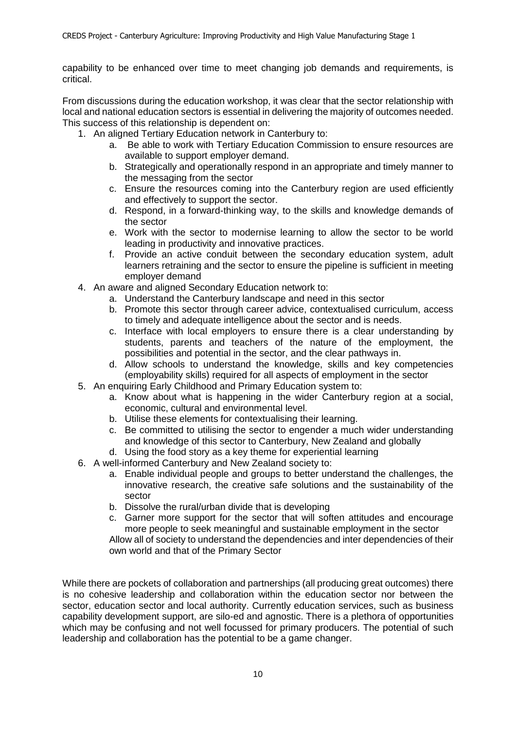capability to be enhanced over time to meet changing job demands and requirements, is critical.

From discussions during the education workshop, it was clear that the sector relationship with local and national education sectors is essential in delivering the majority of outcomes needed. This success of this relationship is dependent on:

- 1. An aligned Tertiary Education network in Canterbury to:
	- a. Be able to work with Tertiary Education Commission to ensure resources are available to support employer demand.
	- b. Strategically and operationally respond in an appropriate and timely manner to the messaging from the sector
	- c. Ensure the resources coming into the Canterbury region are used efficiently and effectively to support the sector.
	- d. Respond, in a forward-thinking way, to the skills and knowledge demands of the sector
	- e. Work with the sector to modernise learning to allow the sector to be world leading in productivity and innovative practices.
	- f. Provide an active conduit between the secondary education system, adult learners retraining and the sector to ensure the pipeline is sufficient in meeting employer demand
- 4. An aware and aligned Secondary Education network to:
	- a. Understand the Canterbury landscape and need in this sector
		- b. Promote this sector through career advice, contextualised curriculum, access to timely and adequate intelligence about the sector and is needs.
		- c. Interface with local employers to ensure there is a clear understanding by students, parents and teachers of the nature of the employment, the possibilities and potential in the sector, and the clear pathways in.
		- d. Allow schools to understand the knowledge, skills and key competencies (employability skills) required for all aspects of employment in the sector
- 5. An enquiring Early Childhood and Primary Education system to:
	- a. Know about what is happening in the wider Canterbury region at a social, economic, cultural and environmental level.
	- b. Utilise these elements for contextualising their learning.
	- c. Be committed to utilising the sector to engender a much wider understanding and knowledge of this sector to Canterbury, New Zealand and globally
	- d. Using the food story as a key theme for experiential learning
- 6. A well-informed Canterbury and New Zealand society to:
	- a. Enable individual people and groups to better understand the challenges, the innovative research, the creative safe solutions and the sustainability of the sector
	- b. Dissolve the rural/urban divide that is developing
	- c. Garner more support for the sector that will soften attitudes and encourage more people to seek meaningful and sustainable employment in the sector

Allow all of society to understand the dependencies and inter dependencies of their own world and that of the Primary Sector

While there are pockets of collaboration and partnerships (all producing great outcomes) there is no cohesive leadership and collaboration within the education sector nor between the sector, education sector and local authority. Currently education services, such as business capability development support, are silo-ed and agnostic. There is a plethora of opportunities which may be confusing and not well focussed for primary producers. The potential of such leadership and collaboration has the potential to be a game changer.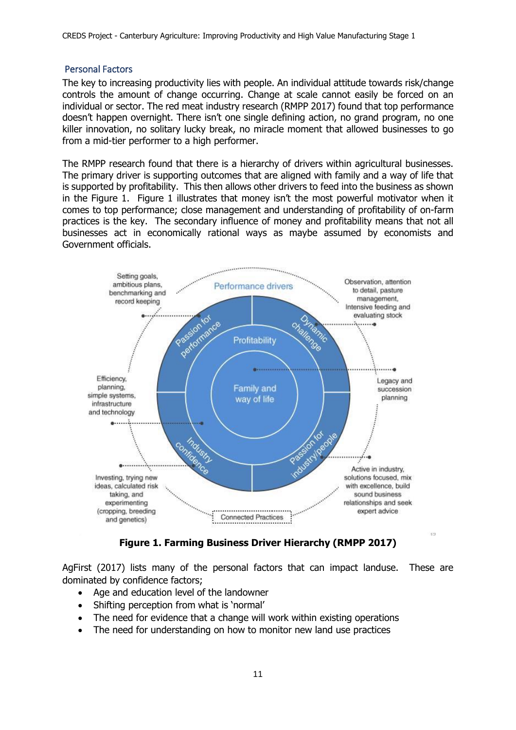CREDS Project - Canterbury Agriculture: Improving Productivity and High Value Manufacturing Stage 1

#### Personal Factors

The key to increasing productivity lies with people. An individual attitude towards risk/change controls the amount of change occurring. Change at scale cannot easily be forced on an individual or sector. The red meat industry research (RMPP 2017) found that top performance doesn't happen overnight. There isn't one single defining action, no grand program, no one killer innovation, no solitary lucky break, no miracle moment that allowed businesses to go from a mid-tier performer to a high performer.

The RMPP research found that there is a hierarchy of drivers within agricultural businesses. The primary driver is supporting outcomes that are aligned with family and a way of life that is supported by profitability. This then allows other drivers to feed into the business as shown in the Figure 1. Figure 1 illustrates that money isn't the most powerful motivator when it comes to top performance; close management and understanding of profitability of on-farm practices is the key. The secondary influence of money and profitability means that not all businesses act in economically rational ways as maybe assumed by economists and Government officials.



**Figure 1. Farming Business Driver Hierarchy (RMPP 2017)**

AgFirst (2017) lists many of the personal factors that can impact landuse. These are dominated by confidence factors;

- Age and education level of the landowner
- Shifting perception from what is 'normal'
- The need for evidence that a change will work within existing operations
- The need for understanding on how to monitor new land use practices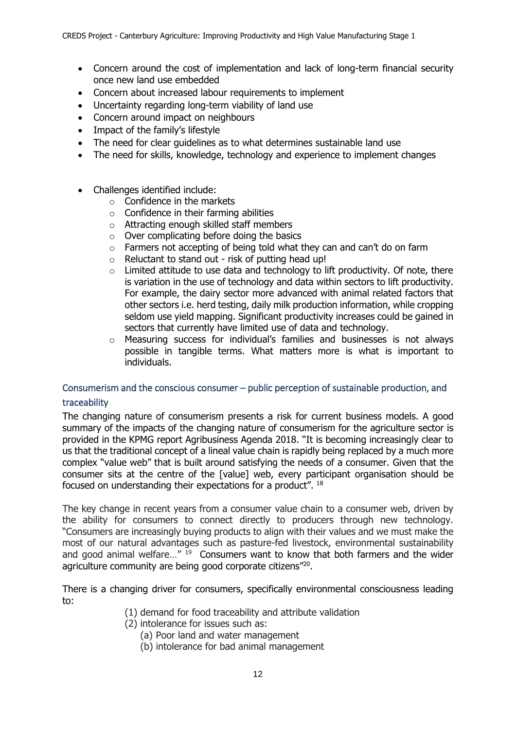- Concern around the cost of implementation and lack of long-term financial security once new land use embedded
- Concern about increased labour requirements to implement
- Uncertainty regarding long-term viability of land use
- Concern around impact on neighbours
- Impact of the family's lifestyle
- The need for clear quidelines as to what determines sustainable land use
- The need for skills, knowledge, technology and experience to implement changes
- Challenges identified include:
	- $\circ$  Confidence in the markets
	- $\circ$  Confidence in their farming abilities
	- o Attracting enough skilled staff members
	- $\circ$  Over complicating before doing the basics
	- o Farmers not accepting of being told what they can and can't do on farm
	- $\circ$  Reluctant to stand out risk of putting head up!
	- $\circ$  Limited attitude to use data and technology to lift productivity. Of note, there is variation in the use of technology and data within sectors to lift productivity. For example, the dairy sector more advanced with animal related factors that other sectors i.e. herd testing, daily milk production information, while cropping seldom use yield mapping. Significant productivity increases could be gained in sectors that currently have limited use of data and technology.
	- o Measuring success for individual's families and businesses is not always possible in tangible terms. What matters more is what is important to individuals.

# Consumerism and the conscious consumer – public perception of sustainable production, and traceability

The changing nature of consumerism presents a risk for current business models. A good summary of the impacts of the changing nature of consumerism for the agriculture sector is provided in the KPMG report Agribusiness Agenda 2018. "It is becoming increasingly clear to us that the traditional concept of a lineal value chain is rapidly being replaced by a much more complex "value web" that is built around satisfying the needs of a consumer. Given that the consumer sits at the centre of the [value] web, every participant organisation should be focused on understanding their expectations for a product". <sup>18</sup>

The key change in recent years from a consumer value chain to a consumer web, driven by the ability for consumers to connect directly to producers through new technology. "Consumers are increasingly buying products to align with their values and we must make the most of our natural advantages such as pasture-fed livestock, environmental sustainability and good animal welfare..."  $19$  Consumers want to know that both farmers and the wider agriculture community are being good corporate citizens"<sup>20</sup>.

There is a changing driver for consumers, specifically environmental consciousness leading to:

- (1) demand for food traceability and attribute validation
- (2) intolerance for issues such as:
	- (a) Poor land and water management
	- (b) intolerance for bad animal management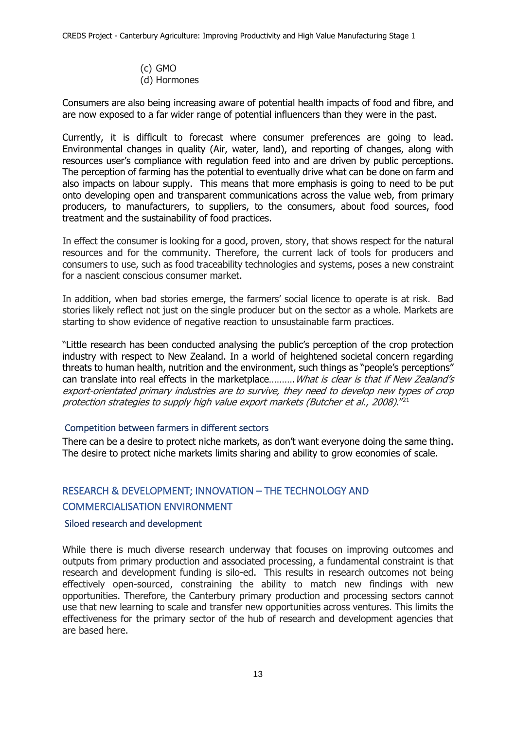(c) GMO (d) Hormones

Consumers are also being increasing aware of potential health impacts of food and fibre, and are now exposed to a far wider range of potential influencers than they were in the past.

Currently, it is difficult to forecast where consumer preferences are going to lead. Environmental changes in quality (Air, water, land), and reporting of changes, along with resources user's compliance with regulation feed into and are driven by public perceptions. The perception of farming has the potential to eventually drive what can be done on farm and also impacts on labour supply. This means that more emphasis is going to need to be put onto developing open and transparent communications across the value web, from primary producers, to manufacturers, to suppliers, to the consumers, about food sources, food treatment and the sustainability of food practices.

In effect the consumer is looking for a good, proven, story, that shows respect for the natural resources and for the community. Therefore, the current lack of tools for producers and consumers to use, such as food traceability technologies and systems, poses a new constraint for a nascient conscious consumer market.

In addition, when bad stories emerge, the farmers' social licence to operate is at risk. Bad stories likely reflect not just on the single producer but on the sector as a whole. Markets are starting to show evidence of negative reaction to unsustainable farm practices.

"Little research has been conducted analysing the public's perception of the crop protection industry with respect to New Zealand. In a world of heightened societal concern regarding threats to human health, nutrition and the environment, such things as "people's perceptions" can translate into real effects in the marketplace.......... What is clear is that if New Zealand's export-orientated primary industries are to survive, they need to develop new types of crop protection strategies to supply high value export markets (Butcher et al., 2008)."<sup>21</sup>

### Competition between farmers in different sectors

There can be a desire to protect niche markets, as don't want everyone doing the same thing. The desire to protect niche markets limits sharing and ability to grow economies of scale.

# RESEARCH & DEVELOPMENT; INNOVATION – THE TECHNOLOGY AND COMMERCIALISATION ENVIRONMENT

### Siloed research and development

While there is much diverse research underway that focuses on improving outcomes and outputs from primary production and associated processing, a fundamental constraint is that research and development funding is silo-ed. This results in research outcomes not being effectively open-sourced, constraining the ability to match new findings with new opportunities. Therefore, the Canterbury primary production and processing sectors cannot use that new learning to scale and transfer new opportunities across ventures. This limits the effectiveness for the primary sector of the hub of research and development agencies that are based here.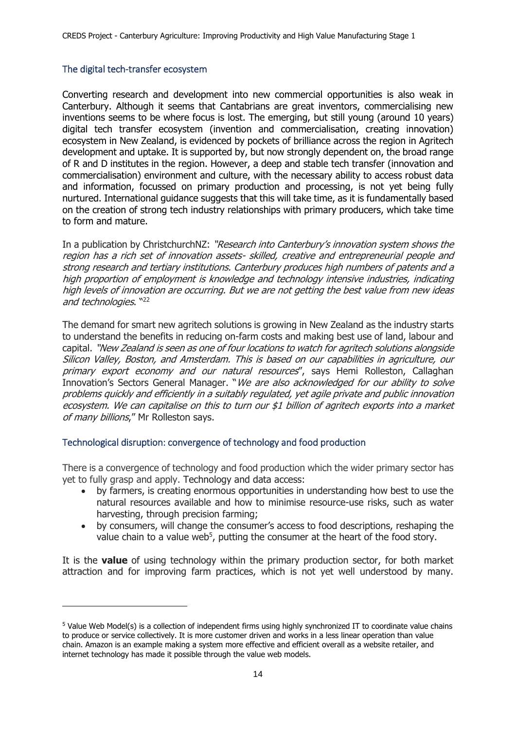### The digital tech-transfer ecosystem

-

Converting research and development into new commercial opportunities is also weak in Canterbury. Although it seems that Cantabrians are great inventors, commercialising new inventions seems to be where focus is lost. The emerging, but still young (around 10 years) digital tech transfer ecosystem (invention and commercialisation, creating innovation) ecosystem in New Zealand, is evidenced by pockets of brilliance across the region in Agritech development and uptake. It is supported by, but now strongly dependent on, the broad range of R and D institutes in the region. However, a deep and stable tech transfer (innovation and commercialisation) environment and culture, with the necessary ability to access robust data and information, focussed on primary production and processing, is not yet being fully nurtured. International guidance suggests that this will take time, as it is fundamentally based on the creation of strong tech industry relationships with primary producers, which take time to form and mature.

In a publication by ChristchurchNZ: "Research into Canterbury's innovation system shows the region has a rich set of innovation assets- skilled, creative and entrepreneurial people and strong research and tertiary institutions. Canterbury produces high numbers of patents and a high proportion of employment is knowledge and technology intensive industries, indicating high levels of innovation are occurring. But we are not getting the best value from new ideas and technologies. "22

The demand for smart new agritech solutions is growing in New Zealand as the industry starts to understand the benefits in reducing on-farm costs and making best use of land, labour and capital. "New Zealand is seen as one of four locations to watch for agritech solutions alongside Silicon Valley, Boston, and Amsterdam. This is based on our capabilities in agriculture, our primary export economy and our natural resources", says Hemi Rolleston, Callaghan Innovation's Sectors General Manager. "We are also acknowledged for our ability to solve problems quickly and efficiently in a suitably regulated, yet agile private and public innovation ecosystem. We can capitalise on this to turn our \$1 billion of agritech exports into a market of many billions," Mr Rolleston says.

### Technological disruption: convergence of technology and food production

There is a convergence of technology and food production which the wider primary sector has yet to fully grasp and apply. Technology and data access:

- by farmers, is creating enormous opportunities in understanding how best to use the natural resources available and how to minimise resource-use risks, such as water harvesting, through precision farming;
- by consumers, will change the consumer's access to food descriptions, reshaping the value chain to a value web<sup>5</sup>, putting the consumer at the heart of the food story.

It is the **value** of using technology within the primary production sector, for both market attraction and for improving farm practices, which is not yet well understood by many.

<sup>5</sup> Value Web Model(s) is a collection of independent firms using highly synchronized IT to coordinate value chains to produce or service collectively. It is more customer driven and works in a less linear operation than value chain. Amazon is an example making a system more effective and efficient overall as a website retailer, and internet technology has made it possible through the value web models.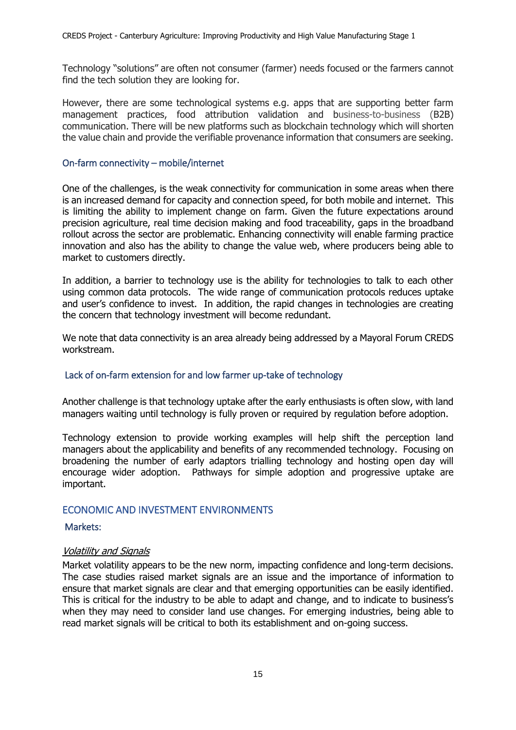Technology "solutions" are often not consumer (farmer) needs focused or the farmers cannot find the tech solution they are looking for.

However, there are some technological systems e.g. apps that are supporting better farm management practices, food attribution validation and business-to-business (B2B) communication. There will be new platforms such as blockchain technology which will shorten the value chain and provide the verifiable provenance information that consumers are seeking.

#### On-farm connectivity – mobile/internet

One of the challenges, is the weak connectivity for communication in some areas when there is an increased demand for capacity and connection speed, for both mobile and internet. This is limiting the ability to implement change on farm. Given the future expectations around precision agriculture, real time decision making and food traceability, gaps in the broadband rollout across the sector are problematic. Enhancing connectivity will enable farming practice innovation and also has the ability to change the value web, where producers being able to market to customers directly.

In addition, a barrier to technology use is the ability for technologies to talk to each other using common data protocols. The wide range of communication protocols reduces uptake and user's confidence to invest. In addition, the rapid changes in technologies are creating the concern that technology investment will become redundant.

We note that data connectivity is an area already being addressed by a Mayoral Forum CREDS workstream.

### Lack of on-farm extension for and low farmer up-take of technology

Another challenge is that technology uptake after the early enthusiasts is often slow, with land managers waiting until technology is fully proven or required by regulation before adoption.

Technology extension to provide working examples will help shift the perception land managers about the applicability and benefits of any recommended technology. Focusing on broadening the number of early adaptors trialling technology and hosting open day will encourage wider adoption. Pathways for simple adoption and progressive uptake are important.

### ECONOMIC AND INVESTMENT ENVIRONMENTS

### Markets:

#### Volatility and Signals

Market volatility appears to be the new norm, impacting confidence and long-term decisions. The case studies raised market signals are an issue and the importance of information to ensure that market signals are clear and that emerging opportunities can be easily identified. This is critical for the industry to be able to adapt and change, and to indicate to business's when they may need to consider land use changes. For emerging industries, being able to read market signals will be critical to both its establishment and on-going success.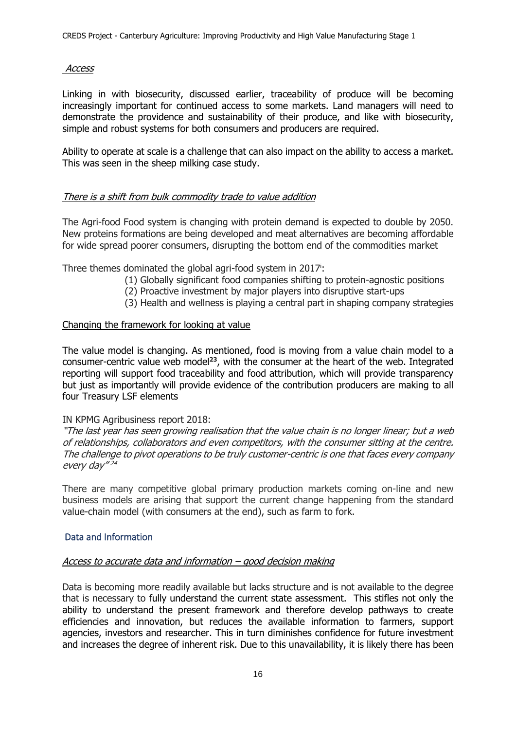#### Access

Linking in with biosecurity, discussed earlier, traceability of produce will be becoming increasingly important for continued access to some markets. Land managers will need to demonstrate the providence and sustainability of their produce, and like with biosecurity, simple and robust systems for both consumers and producers are required.

Ability to operate at scale is a challenge that can also impact on the ability to access a market. This was seen in the sheep milking case study.

### There is a shift from bulk commodity trade to value addition

The Agri-food Food system is changing with protein demand is expected to double by 2050. New proteins formations are being developed and meat alternatives are becoming affordable for wide spread poorer consumers, disrupting the bottom end of the commodities market

Three themes dominated the global agri-food system in 2017<sup>i</sup>:

- (1) Globally significant food companies shifting to protein-agnostic positions
- (2) Proactive investment by major players into disruptive start-ups
- (3) Health and wellness is playing a central part in shaping company strategies

#### Changing the framework for looking at value

The value model is changing. As mentioned, food is moving from a value chain model to a consumer-centric value web model**<sup>23</sup>**, with the consumer at the heart of the web. Integrated reporting will support food traceability and food attribution, which will provide transparency but just as importantly will provide evidence of the contribution producers are making to all four Treasury LSF elements

#### IN KPMG Agribusiness report 2018:

"The last year has seen growing realisation that the value chain is no longer linear; but a web of relationships, collaborators and even competitors, with the consumer sitting at the centre. The challenge to pivot operations to be truly customer-centric is one that faces every company every day"<sup>24</sup>

There are many competitive global primary production markets coming on-line and new business models are arising that support the current change happening from the standard value-chain model (with consumers at the end), such as farm to fork.

#### Data and Information

#### Access to accurate data and information – good decision making

Data is becoming more readily available but lacks structure and is not available to the degree that is necessary to fully understand the current state assessment. This stifles not only the ability to understand the present framework and therefore develop pathways to create efficiencies and innovation, but reduces the available information to farmers, support agencies, investors and researcher. This in turn diminishes confidence for future investment and increases the degree of inherent risk. Due to this unavailability, it is likely there has been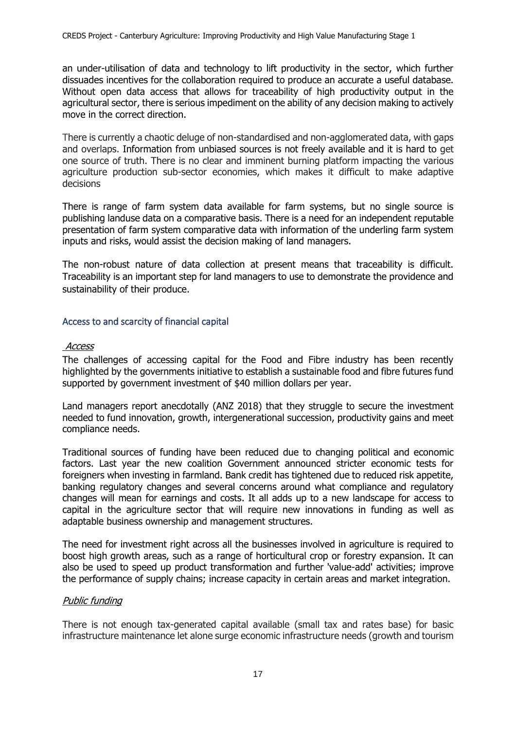an under-utilisation of data and technology to lift productivity in the sector, which further dissuades incentives for the collaboration required to produce an accurate a useful database. Without open data access that allows for traceability of high productivity output in the agricultural sector, there is serious impediment on the ability of any decision making to actively move in the correct direction.

There is currently a chaotic deluge of non-standardised and non-agglomerated data, with gaps and overlaps. Information from unbiased sources is not freely available and it is hard to get one source of truth. There is no clear and imminent burning platform impacting the various agriculture production sub-sector economies, which makes it difficult to make adaptive decisions

There is range of farm system data available for farm systems, but no single source is publishing landuse data on a comparative basis. There is a need for an independent reputable presentation of farm system comparative data with information of the underling farm system inputs and risks, would assist the decision making of land managers.

The non-robust nature of data collection at present means that traceability is difficult. Traceability is an important step for land managers to use to demonstrate the providence and sustainability of their produce.

### Access to and scarcity of financial capital

#### Access

The challenges of accessing capital for the Food and Fibre industry has been recently highlighted by the governments initiative to establish a sustainable food and fibre futures fund supported by government investment of \$40 million dollars per year.

Land managers report anecdotally (ANZ 2018) that they struggle to secure the investment needed to fund innovation, growth, intergenerational succession, productivity gains and meet compliance needs.

Traditional sources of funding have been reduced due to changing political and economic factors. Last year the new coalition Government announced stricter economic tests for foreigners when investing in farmland. Bank credit has tightened due to reduced risk appetite, banking regulatory changes and several concerns around what compliance and regulatory changes will mean for earnings and costs. It all adds up to a new landscape for access to capital in the agriculture sector that will require new innovations in funding as well as adaptable business ownership and management structures.

The need for investment right across all the businesses involved in agriculture is required to boost high growth areas, such as a range of horticultural crop or forestry expansion. It can also be used to speed up product transformation and further 'value-add' activities; improve the performance of supply chains; increase capacity in certain areas and market integration.

### Public funding

There is not enough tax-generated capital available (small tax and rates base) for basic infrastructure maintenance let alone surge economic infrastructure needs (growth and tourism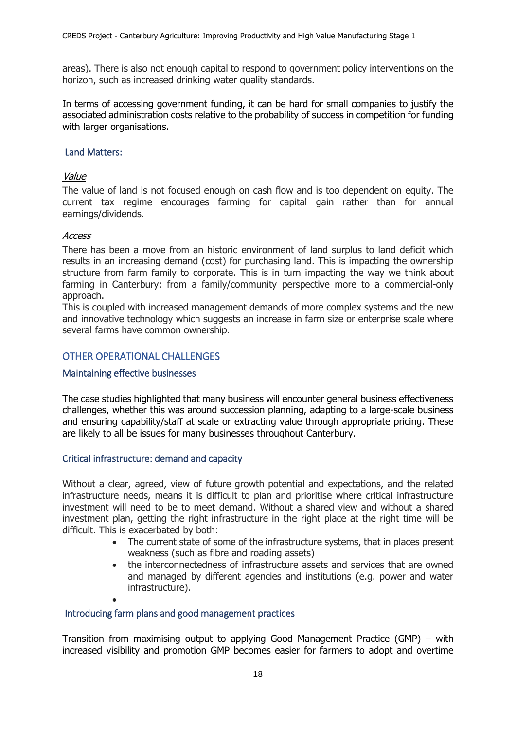areas). There is also not enough capital to respond to government policy interventions on the horizon, such as increased drinking water quality standards.

In terms of accessing government funding, it can be hard for small companies to justify the associated administration costs relative to the probability of success in competition for funding with larger organisations.

#### Land Matters:

#### Value

The value of land is not focused enough on cash flow and is too dependent on equity. The current tax regime encourages farming for capital gain rather than for annual earnings/dividends.

#### **Access**

There has been a move from an historic environment of land surplus to land deficit which results in an increasing demand (cost) for purchasing land. This is impacting the ownership structure from farm family to corporate. This is in turn impacting the way we think about farming in Canterbury: from a family/community perspective more to a commercial-only approach.

This is coupled with increased management demands of more complex systems and the new and innovative technology which suggests an increase in farm size or enterprise scale where several farms have common ownership.

### OTHER OPERATIONAL CHALLENGES

### Maintaining effective businesses

The case studies highlighted that many business will encounter general business effectiveness challenges, whether this was around succession planning, adapting to a large-scale business and ensuring capability/staff at scale or extracting value through appropriate pricing. These are likely to all be issues for many businesses throughout Canterbury.

### Critical infrastructure: demand and capacity

Without a clear, agreed, view of future growth potential and expectations, and the related infrastructure needs, means it is difficult to plan and prioritise where critical infrastructure investment will need to be to meet demand. Without a shared view and without a shared investment plan, getting the right infrastructure in the right place at the right time will be difficult. This is exacerbated by both:

- The current state of some of the infrastructure systems, that in places present weakness (such as fibre and roading assets)
- the interconnectedness of infrastructure assets and services that are owned and managed by different agencies and institutions (e.g. power and water infrastructure).
- •

### Introducing farm plans and good management practices

Transition from maximising output to applying Good Management Practice (GMP) – with increased visibility and promotion GMP becomes easier for farmers to adopt and overtime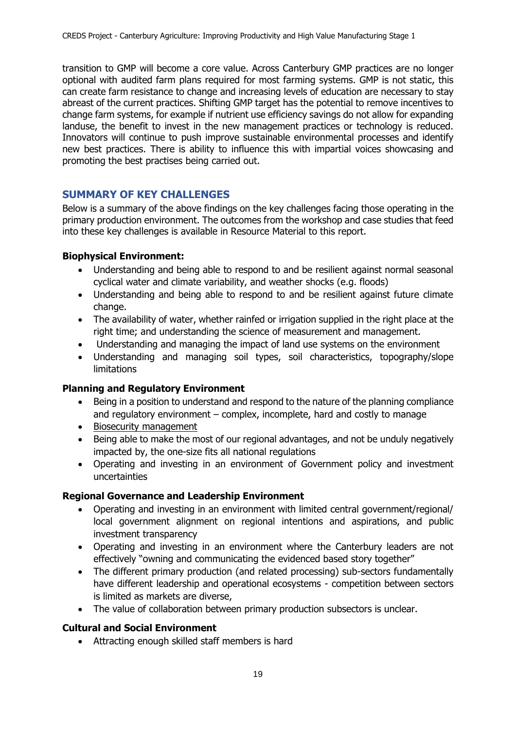transition to GMP will become a core value. Across Canterbury GMP practices are no longer optional with audited farm plans required for most farming systems. GMP is not static, this can create farm resistance to change and increasing levels of education are necessary to stay abreast of the current practices. Shifting GMP target has the potential to remove incentives to change farm systems, for example if nutrient use efficiency savings do not allow for expanding landuse, the benefit to invest in the new management practices or technology is reduced. Innovators will continue to push improve sustainable environmental processes and identify new best practices. There is ability to influence this with impartial voices showcasing and promoting the best practises being carried out.

# **SUMMARY OF KEY CHALLENGES**

Below is a summary of the above findings on the key challenges facing those operating in the primary production environment. The outcomes from the workshop and case studies that feed into these key challenges is available in Resource Material to this report.

### **Biophysical Environment:**

- Understanding and being able to respond to and be resilient against normal seasonal cyclical water and climate variability, and weather shocks (e.g. floods)
- Understanding and being able to respond to and be resilient against future climate change.
- The availability of water, whether rainfed or irrigation supplied in the right place at the right time; and understanding the science of measurement and management.
- Understanding and managing the impact of land use systems on the environment
- Understanding and managing soil types, soil characteristics, topography/slope limitations

### **Planning and Regulatory Environment**

- Being in a position to understand and respond to the nature of the planning compliance and regulatory environment – complex, incomplete, hard and costly to manage
- Biosecurity management
- Being able to make the most of our regional advantages, and not be unduly negatively impacted by, the one-size fits all national regulations
- Operating and investing in an environment of Government policy and investment uncertainties

### **Regional Governance and Leadership Environment**

- Operating and investing in an environment with limited central government/regional/ local government alignment on regional intentions and aspirations, and public investment transparency
- Operating and investing in an environment where the Canterbury leaders are not effectively "owning and communicating the evidenced based story together"
- The different primary production (and related processing) sub-sectors fundamentally have different leadership and operational ecosystems - competition between sectors is limited as markets are diverse,
- The value of collaboration between primary production subsectors is unclear.

# **Cultural and Social Environment**

• Attracting enough skilled staff members is hard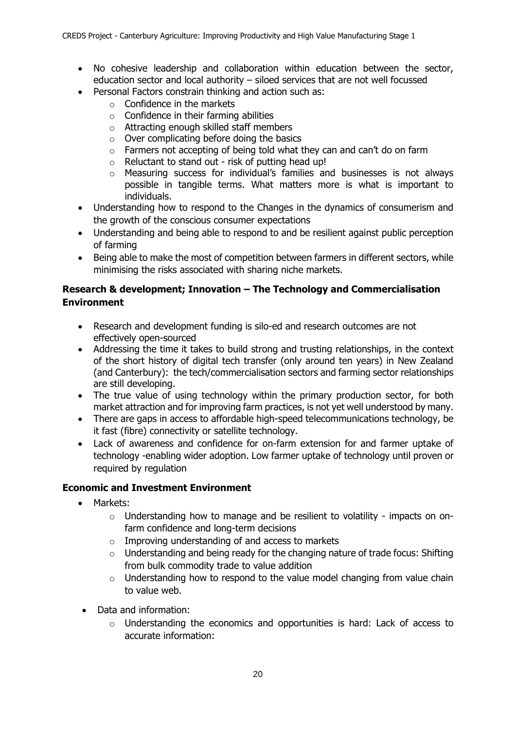- No cohesive leadership and collaboration within education between the sector, education sector and local authority – siloed services that are not well focussed
- Personal Factors constrain thinking and action such as:
	- $\circ$  Confidence in the markets
	- $\circ$  Confidence in their farming abilities
	- o Attracting enough skilled staff members
	- $\circ$  Over complicating before doing the basics
	- o Farmers not accepting of being told what they can and can't do on farm
	- $\circ$  Reluctant to stand out risk of putting head up!
	- $\circ$  Measuring success for individual's families and businesses is not always possible in tangible terms. What matters more is what is important to individuals.
- Understanding how to respond to the Changes in the dynamics of consumerism and the growth of the conscious consumer expectations
- Understanding and being able to respond to and be resilient against public perception of farming
- Being able to make the most of competition between farmers in different sectors, while minimising the risks associated with sharing niche markets.

# **Research & development; Innovation – The Technology and Commercialisation Environment**

- Research and development funding is silo-ed and research outcomes are not effectively open-sourced
- Addressing the time it takes to build strong and trusting relationships, in the context of the short history of digital tech transfer (only around ten years) in New Zealand (and Canterbury): the tech/commercialisation sectors and farming sector relationships are still developing.
- The true value of using technology within the primary production sector, for both market attraction and for improving farm practices, is not yet well understood by many.
- There are gaps in access to affordable high-speed telecommunications technology, be it fast (fibre) connectivity or satellite technology.
- Lack of awareness and confidence for on-farm extension for and farmer uptake of technology -enabling wider adoption. Low farmer uptake of technology until proven or required by regulation

# **Economic and Investment Environment**

- Markets:
	- o Understanding how to manage and be resilient to volatility impacts on onfarm confidence and long-term decisions
	- o Improving understanding of and access to markets
	- $\circ$  Understanding and being ready for the changing nature of trade focus: Shifting from bulk commodity trade to value addition
	- $\circ$  Understanding how to respond to the value model changing from value chain to value web.
- Data and information:
	- $\circ$  Understanding the economics and opportunities is hard: Lack of access to accurate information: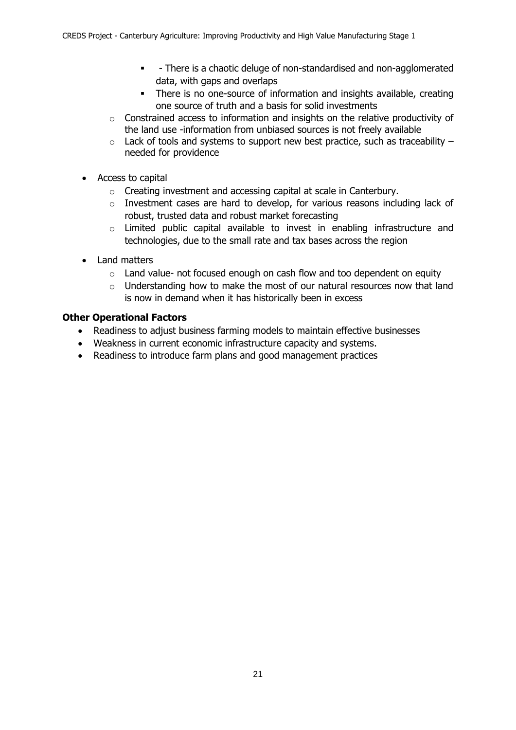- - There is a chaotic deluge of non-standardised and non-agglomerated data, with gaps and overlaps
- **•** There is no one-source of information and insights available, creating one source of truth and a basis for solid investments
- $\circ$  Constrained access to information and insights on the relative productivity of the land use -information from unbiased sources is not freely available
- $\circ$  Lack of tools and systems to support new best practice, such as traceability needed for providence
- Access to capital
	- o Creating investment and accessing capital at scale in Canterbury.
	- o Investment cases are hard to develop, for various reasons including lack of robust, trusted data and robust market forecasting
	- $\circ$  Limited public capital available to invest in enabling infrastructure and technologies, due to the small rate and tax bases across the region
- Land matters
	- $\circ$  Land value- not focused enough on cash flow and too dependent on equity
	- $\circ$  Understanding how to make the most of our natural resources now that land is now in demand when it has historically been in excess

# **Other Operational Factors**

- Readiness to adjust business farming models to maintain effective businesses
- Weakness in current economic infrastructure capacity and systems.
- Readiness to introduce farm plans and good management practices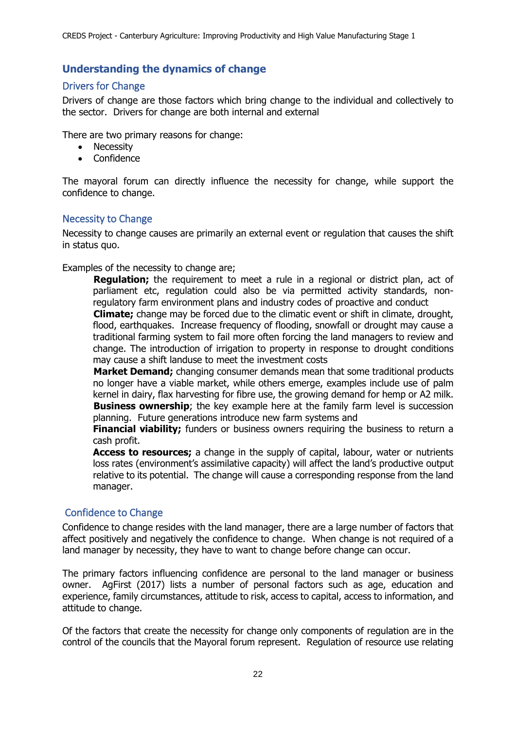# **Understanding the dynamics of change**

# Drivers for Change

Drivers of change are those factors which bring change to the individual and collectively to the sector. Drivers for change are both internal and external

There are two primary reasons for change:

- Necessity
- Confidence

The mayoral forum can directly influence the necessity for change, while support the confidence to change.

# Necessity to Change

Necessity to change causes are primarily an external event or regulation that causes the shift in status quo.

Examples of the necessity to change are;

**Regulation;** the requirement to meet a rule in a regional or district plan, act of parliament etc, regulation could also be via permitted activity standards, nonregulatory farm environment plans and industry codes of proactive and conduct

**Climate;** change may be forced due to the climatic event or shift in climate, drought, flood, earthquakes. Increase frequency of flooding, snowfall or drought may cause a traditional farming system to fail more often forcing the land managers to review and change. The introduction of irrigation to property in response to drought conditions may cause a shift landuse to meet the investment costs

**Market Demand;** changing consumer demands mean that some traditional products no longer have a viable market, while others emerge, examples include use of palm kernel in dairy, flax harvesting for fibre use, the growing demand for hemp or A2 milk. **Business ownership**; the key example here at the family farm level is succession planning. Future generations introduce new farm systems and

**Financial viability;** funders or business owners requiring the business to return a cash profit.

**Access to resources;** a change in the supply of capital, labour, water or nutrients loss rates (environment's assimilative capacity) will affect the land's productive output relative to its potential. The change will cause a corresponding response from the land manager.

# Confidence to Change

Confidence to change resides with the land manager, there are a large number of factors that affect positively and negatively the confidence to change. When change is not required of a land manager by necessity, they have to want to change before change can occur.

The primary factors influencing confidence are personal to the land manager or business owner. AgFirst (2017) lists a number of personal factors such as age, education and experience, family circumstances, attitude to risk, access to capital, access to information, and attitude to change.

Of the factors that create the necessity for change only components of regulation are in the control of the councils that the Mayoral forum represent. Regulation of resource use relating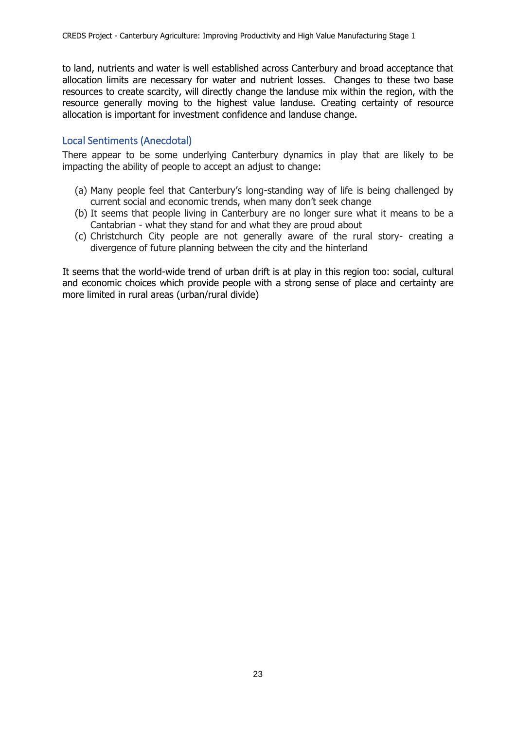to land, nutrients and water is well established across Canterbury and broad acceptance that allocation limits are necessary for water and nutrient losses. Changes to these two base resources to create scarcity, will directly change the landuse mix within the region, with the resource generally moving to the highest value landuse. Creating certainty of resource allocation is important for investment confidence and landuse change.

### Local Sentiments (Anecdotal)

There appear to be some underlying Canterbury dynamics in play that are likely to be impacting the ability of people to accept an adjust to change:

- (a) Many people feel that Canterbury's long-standing way of life is being challenged by current social and economic trends, when many don't seek change
- (b) It seems that people living in Canterbury are no longer sure what it means to be a Cantabrian - what they stand for and what they are proud about
- (c) Christchurch City people are not generally aware of the rural story- creating a divergence of future planning between the city and the hinterland

It seems that the world-wide trend of urban drift is at play in this region too: social, cultural and economic choices which provide people with a strong sense of place and certainty are more limited in rural areas (urban/rural divide)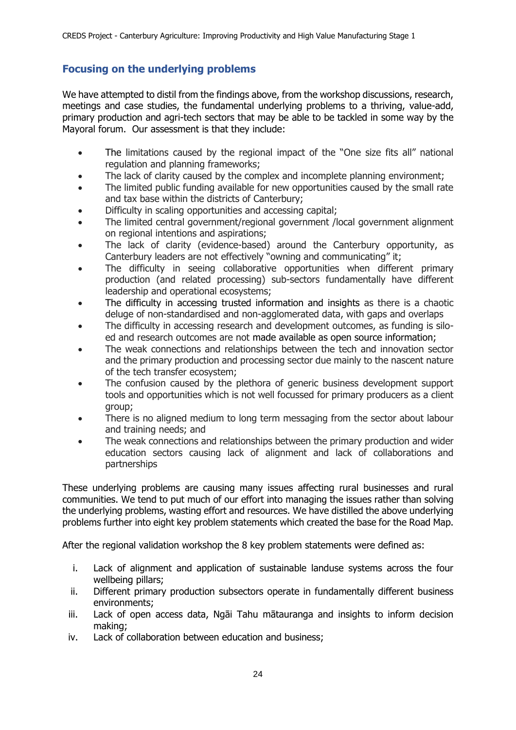# **Focusing on the underlying problems**

We have attempted to distil from the findings above, from the workshop discussions, research, meetings and case studies, the fundamental underlying problems to a thriving, value-add, primary production and agri-tech sectors that may be able to be tackled in some way by the Mayoral forum. Our assessment is that they include:

- The limitations caused by the regional impact of the "One size fits all" national regulation and planning frameworks;
- The lack of clarity caused by the complex and incomplete planning environment;
- The limited public funding available for new opportunities caused by the small rate and tax base within the districts of Canterbury;
- Difficulty in scaling opportunities and accessing capital;
- The limited central government/regional government /local government alignment on regional intentions and aspirations;
- The lack of clarity (evidence-based) around the Canterbury opportunity, as Canterbury leaders are not effectively "owning and communicating" it;
- The difficulty in seeing collaborative opportunities when different primary production (and related processing) sub-sectors fundamentally have different leadership and operational ecosystems;
- The difficulty in accessing trusted information and insights as there is a chaotic deluge of non-standardised and non-agglomerated data, with gaps and overlaps
- The difficulty in accessing research and development outcomes, as funding is siloed and research outcomes are not made available as open source information;
- The weak connections and relationships between the tech and innovation sector and the primary production and processing sector due mainly to the nascent nature of the tech transfer ecosystem;
- The confusion caused by the plethora of generic business development support tools and opportunities which is not well focussed for primary producers as a client group;
- There is no aligned medium to long term messaging from the sector about labour and training needs; and
- The weak connections and relationships between the primary production and wider education sectors causing lack of alignment and lack of collaborations and partnerships

These underlying problems are causing many issues affecting rural businesses and rural communities. We tend to put much of our effort into managing the issues rather than solving the underlying problems, wasting effort and resources. We have distilled the above underlying problems further into eight key problem statements which created the base for the Road Map.

After the regional validation workshop the 8 key problem statements were defined as:

- i. Lack of alignment and application of sustainable landuse systems across the four wellbeing pillars;
- ii. Different primary production subsectors operate in fundamentally different business environments;
- iii. Lack of open access data, Ngāi Tahu mātauranga and insights to inform decision making;
- iv. Lack of collaboration between education and business;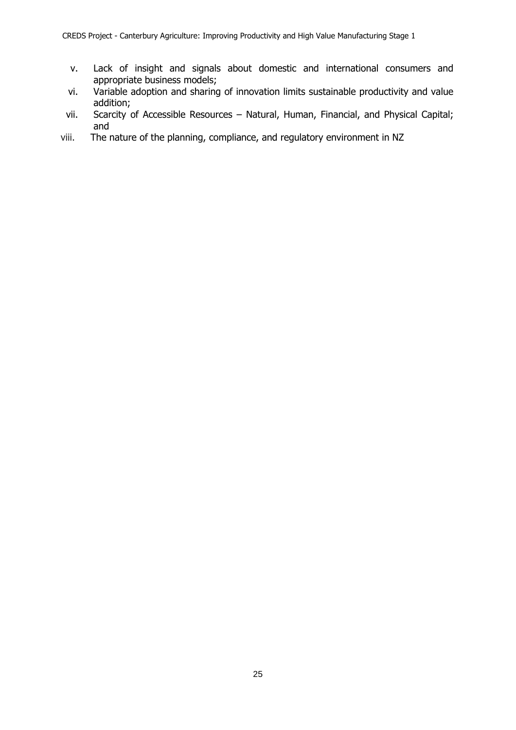- v. Lack of insight and signals about domestic and international consumers and appropriate business models;
- vi. Variable adoption and sharing of innovation limits sustainable productivity and value addition;
- vii. Scarcity of Accessible Resources Natural, Human, Financial, and Physical Capital; and
- viii. The nature of the planning, compliance, and regulatory environment in NZ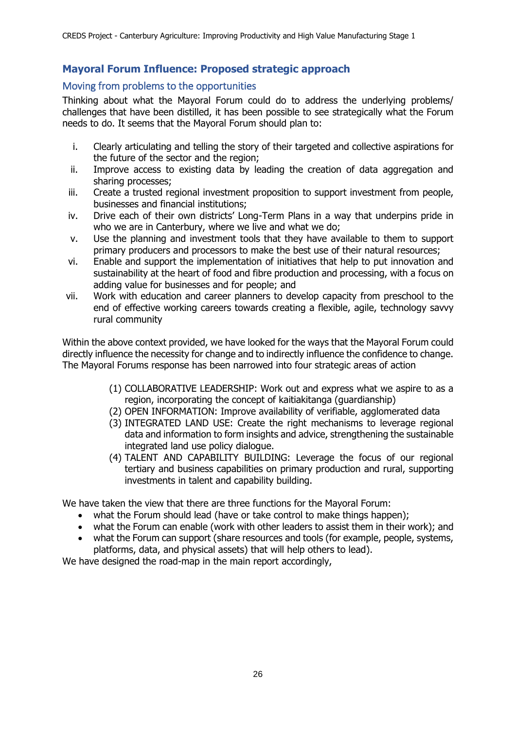# **Mayoral Forum Influence: Proposed strategic approach**

# Moving from problems to the opportunities

Thinking about what the Mayoral Forum could do to address the underlying problems/ challenges that have been distilled, it has been possible to see strategically what the Forum needs to do. It seems that the Mayoral Forum should plan to:

- i. Clearly articulating and telling the story of their targeted and collective aspirations for the future of the sector and the region;
- ii. Improve access to existing data by leading the creation of data aggregation and sharing processes;
- iii. Create a trusted regional investment proposition to support investment from people, businesses and financial institutions;
- iv. Drive each of their own districts' Long-Term Plans in a way that underpins pride in who we are in Canterbury, where we live and what we do;
- v. Use the planning and investment tools that they have available to them to support primary producers and processors to make the best use of their natural resources;
- vi. Enable and support the implementation of initiatives that help to put innovation and sustainability at the heart of food and fibre production and processing, with a focus on adding value for businesses and for people; and
- vii. Work with education and career planners to develop capacity from preschool to the end of effective working careers towards creating a flexible, agile, technology savvy rural community

Within the above context provided, we have looked for the ways that the Mayoral Forum could directly influence the necessity for change and to indirectly influence the confidence to change. The Mayoral Forums response has been narrowed into four strategic areas of action

- (1) COLLABORATIVE LEADERSHIP: Work out and express what we aspire to as a region, incorporating the concept of kaitiakitanga (guardianship)
- (2) OPEN INFORMATION: Improve availability of verifiable, agglomerated data
- (3) INTEGRATED LAND USE: Create the right mechanisms to leverage regional data and information to form insights and advice, strengthening the sustainable integrated land use policy dialogue.
- (4) TALENT AND CAPABILITY BUILDING: Leverage the focus of our regional tertiary and business capabilities on primary production and rural, supporting investments in talent and capability building.

We have taken the view that there are three functions for the Mayoral Forum:

- what the Forum should lead (have or take control to make things happen);
- what the Forum can enable (work with other leaders to assist them in their work); and
- what the Forum can support (share resources and tools (for example, people, systems, platforms, data, and physical assets) that will help others to lead).

We have designed the road-map in the main report accordingly,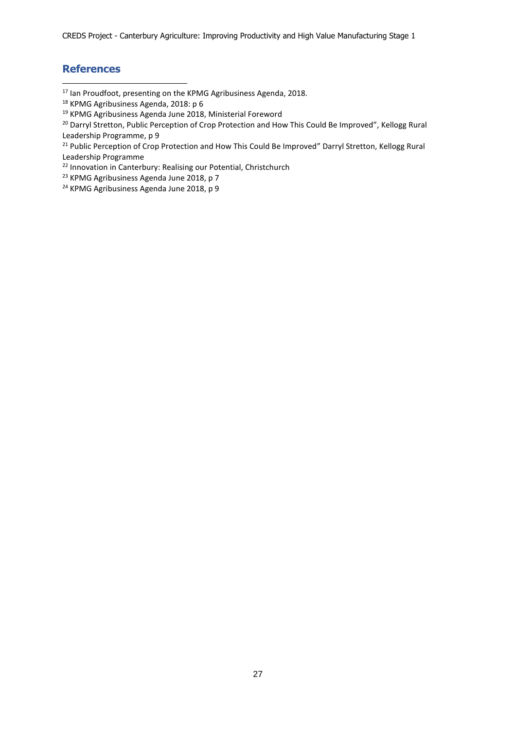CREDS Project - Canterbury Agriculture: Improving Productivity and High Value Manufacturing Stage 1

# **References**

-

<sup>17</sup> Ian Proudfoot, presenting on the KPMG Agribusiness Agenda, 2018.

<sup>21</sup> Public Perception of Crop Protection and How This Could Be Improved" Darryl Stretton, Kellogg Rural Leadership Programme

<sup>22</sup> Innovation in Canterbury: Realising our Potential, Christchurch

<sup>23</sup> KPMG Agribusiness Agenda June 2018, p 7

<sup>24</sup> KPMG Agribusiness Agenda June 2018, p 9

<sup>&</sup>lt;sup>18</sup> KPMG Agribusiness Agenda, 2018: p 6

<sup>19</sup> KPMG Agribusiness Agenda June 2018, Ministerial Foreword

<sup>&</sup>lt;sup>20</sup> Darryl Stretton, Public Perception of Crop Protection and How This Could Be Improved", Kellogg Rural Leadership Programme, p 9